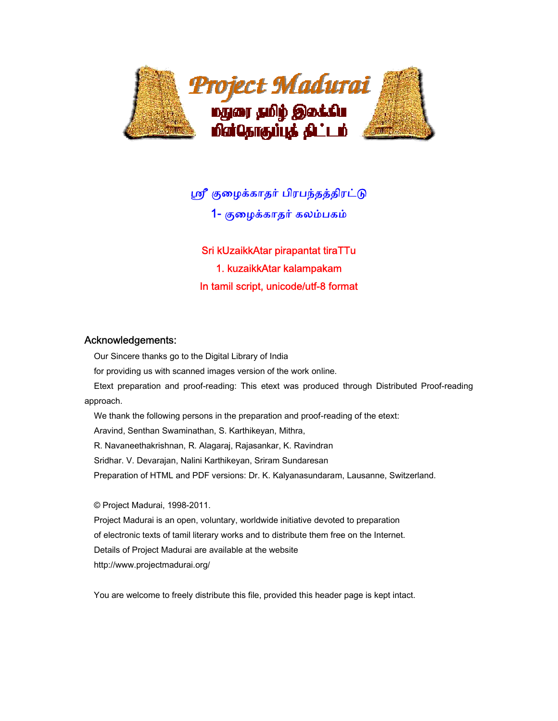

ஸ்ரீ குழைக்காதர் பிரபந்தத்திரட்டு

1- குைழக்காதர் கலம்பகம்

Sri kUzaikkAtar pirapantat tiraTTu 1. kuzaikkAtar kalampakam In tamil script, unicode/utf-8 format

## Acknowledgements:

Our Sincere thanks go to the Digital Library of India

for providing us with scanned images version of the work online.

 Etext preparation and proof-reading: This etext was produced through Distributed Proof-reading approach.

 We thank the following persons in the preparation and proof-reading of the etext: Aravind, Senthan Swaminathan, S. Karthikeyan, Mithra, R. Navaneethakrishnan, R. Alagaraj, Rajasankar, K. Ravindran Sridhar. V. Devarajan, Nalini Karthikeyan, Sriram Sundaresan Preparation of HTML and PDF versions: Dr. K. Kalyanasundaram, Lausanne, Switzerland.

© Project Madurai, 1998-2011.

 Project Madurai is an open, voluntary, worldwide initiative devoted to preparation of electronic texts of tamil literary works and to distribute them free on the Internet. Details of Project Madurai are available at the website http://www.projectmadurai.org/

You are welcome to freely distribute this file, provided this header page is kept intact.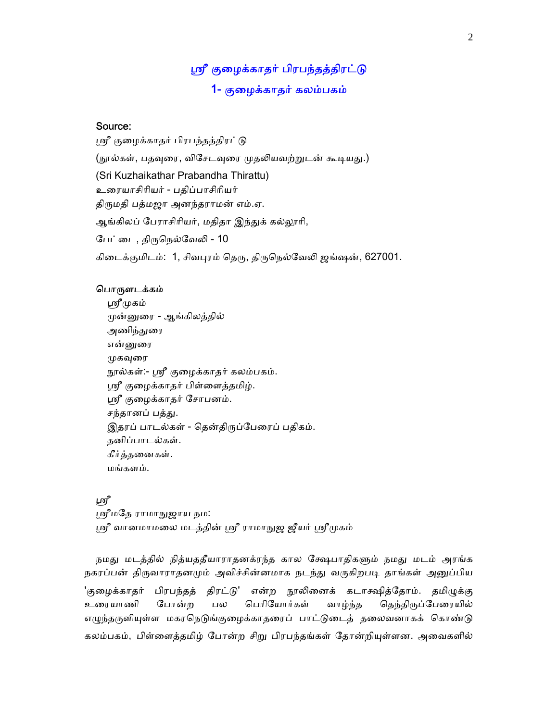# ஸ்ரீ குழைக்காதர் பிரபந்தத்திரட்டு 1- குைழக்காதர் கலம்பகம்

# Source:

ஸ்ரீ குழைக்காதர் பிரபந்தத்திரட்டு (நூல்கள், பதவுரை, விசேடவுரை முதலியவற்றுடன் கூடியது.) (Sri Kuzhaikathar Prabandha Thirattu) உைரயாசிாியர் - பதிப்பாசிாியர் திருமதி பத்மஜா அனந்தராமன் எம்.ஏ. ஆங்கிலப் பேராசிரியர், மதிதா இந்துக் கல்லூரி, பேட்டை, திருநெல்வேலி - 10 கிடைக்குமிடம்: 1, சிவபுரம் தெரு, திருநெல்வேலி ஜங்ஷன், 627001.

#### பொருளடக்கம்

ஸ்ரீமுகம் ᾙன்ᾔைர - ஆங்கிலத்தில் அணிந்துரை என்னுரை முகவுரை நூல்கள்:- ஸ்ரீ குழைக்காதர் கலம்பகம். ஸ்ரீ குழைக்காதர் பிள்ளைத்தமிழ். ᾯ குைழக்காதர் ேசாபனம். சந்தானப் பத்து. இதரப் பாடல்கள் - தென்திருப்பேரைப் பதிகம். தனிப்பாடல்கள். கீர்த்தைனகள். மங்களம்.

ஸ்ரீ ஸ்ரீமதே ராமாநுஜாய நம: ஸ்ரீ வானமாமலை மடத்தின் ஸ்ரீ ராமாநுஜ ஜீயர் ஸ்ரீமுகம்

நமது மடத்தில் நித்யததீயாராதனக்ரந்த கால க்ஷேபாதிகளும் நமது மடம் அரங்க நகரப்பன் திருவாராதனமும் அவிச்சின்னமாக நடந்து வருகிறபடி தாங்கள் அனுப்பிய 'குழைக்காதர் பிரபந்தத் திரட்டு' என்ற நூலினைக் கடாக்ஷித்தோம். தமிழுக்கு உரையாணி போன்ற பல பெரியோர்கள் வாழ்ந்த தெந்திருப்பேரையில் எழுந்தருளியுள்ள மகரநெடுங்குழைக்காதரைப் பாட்டுடைத் தலைவனாகக் கொண்டு கலம்பகம், பிள்ளைத்தமிழ் போன்ற சிறு பிரபந்தங்கள் தோன்றியுள்ளன. அவைகளில்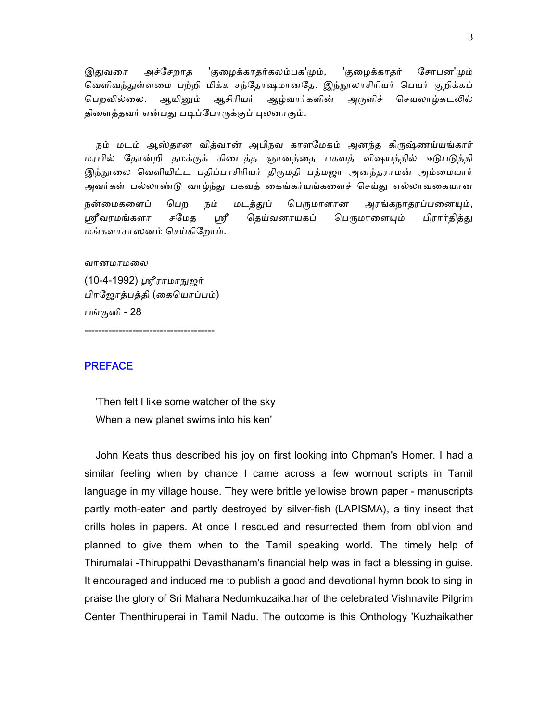இதுவரை அச்சேறாத 'குழைக்காதர்கலம்பக'மும், 'குழைக்காதர் சோபன'மும் வெளிவந்துள்ளமை பற்றி மிக்க சந்தோஷமானதே. இந்நூலாசிரியர் பெயர் குறிக்கப் பெறவில்லை. ஆயினும் ஆசிரியர் ஆழ்வார்களின் அருளிச் செயலாழ்கடலில் திளைத்தவர் என்பது படிப்போருக்குப் புலனாகும்.

நம் மடம் ஆஸ்தான வித்வான் அபிநவ காளமேகம் அனந்த கிருஷ்ணய்யங்கார் மரபில் தோன்றி தமக்குக் கிடைத்த ஞானத்தை பகவத் விஷயத்தில் ஈடுபடுத்தி இந்நூலை வெளியிட்ட பதிப்பாசிரியர் திருமதி பத்மஜா அனந்தராமன் அம்மையார் அவர்கள் பல்லாண்டு வாழ்ந்து பகவத் கைங்கர்யங்களைச் செய்து எல்லாவகையான நன்மைகளைப் பெற நம் மடத்துப் பெருமாளான அரங்கநாதரப்பனையும், ஸ்ரீவரமங்களா சமேத ஸ்ரீ தெய்வனாயகப் பெருமாளையும் பிரார்தித்து மங்களாசாஸ னம் ெசய்கிேறாம்.

வானமாமலை

(10-4-1992) ஸ்ரீராமாநுஜர் பிரேஜாத்பத்தி (ைகெயாப்பம்) பங்குனி - 28

--------------------------------------

## **PREFACE**

 'Then felt I like some watcher of the sky When a new planet swims into his ken'

 John Keats thus described his joy on first looking into Chpman's Homer. I had a similar feeling when by chance I came across a few wornout scripts in Tamil language in my village house. They were brittle yellowise brown paper - manuscripts partly moth-eaten and partly destroyed by silver-fish (LAPISMA), a tiny insect that drills holes in papers. At once I rescued and resurrected them from oblivion and planned to give them when to the Tamil speaking world. The timely help of Thirumalai -Thiruppathi Devasthanam's financial help was in fact a blessing in guise. It encouraged and induced me to publish a good and devotional hymn book to sing in praise the glory of Sri Mahara Nedumkuzaikathar of the celebrated Vishnavite Pilgrim Center Thenthiruperai in Tamil Nadu. The outcome is this Onthology 'Kuzhaikather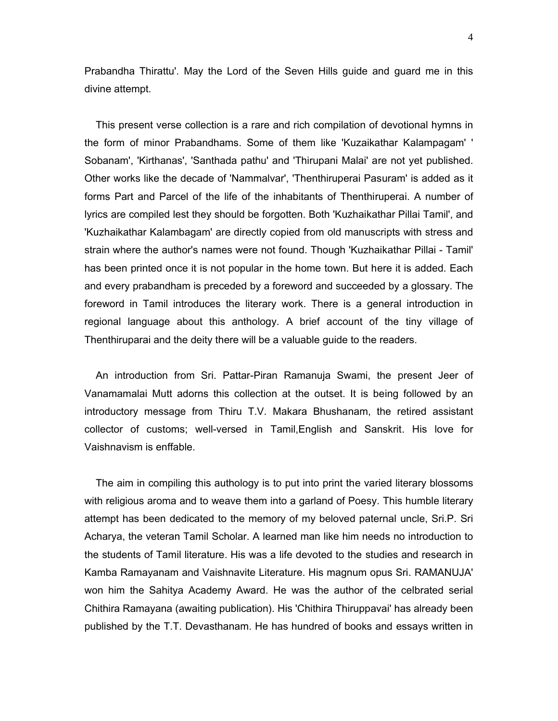Prabandha Thirattu'. May the Lord of the Seven Hills guide and guard me in this divine attempt.

 This present verse collection is a rare and rich compilation of devotional hymns in the form of minor Prabandhams. Some of them like 'Kuzaikathar Kalampagam' ' Sobanam', 'Kirthanas', 'Santhada pathu' and 'Thirupani Malai' are not yet published. Other works like the decade of 'Nammalvar', 'Thenthiruperai Pasuram' is added as it forms Part and Parcel of the life of the inhabitants of Thenthiruperai. A number of lyrics are compiled lest they should be forgotten. Both 'Kuzhaikathar Pillai Tamil', and 'Kuzhaikathar Kalambagam' are directly copied from old manuscripts with stress and strain where the author's names were not found. Though 'Kuzhaikathar Pillai - Tamil' has been printed once it is not popular in the home town. But here it is added. Each and every prabandham is preceded by a foreword and succeeded by a glossary. The foreword in Tamil introduces the literary work. There is a general introduction in regional language about this anthology. A brief account of the tiny village of Thenthiruparai and the deity there will be a valuable guide to the readers.

 An introduction from Sri. Pattar-Piran Ramanuja Swami, the present Jeer of Vanamamalai Mutt adorns this collection at the outset. It is being followed by an introductory message from Thiru T.V. Makara Bhushanam, the retired assistant collector of customs; well-versed in Tamil,English and Sanskrit. His love for Vaishnavism is enffable.

 The aim in compiling this authology is to put into print the varied literary blossoms with religious aroma and to weave them into a garland of Poesy. This humble literary attempt has been dedicated to the memory of my beloved paternal uncle, Sri.P. Sri Acharya, the veteran Tamil Scholar. A learned man like him needs no introduction to the students of Tamil literature. His was a life devoted to the studies and research in Kamba Ramayanam and Vaishnavite Literature. His magnum opus Sri. RAMANUJA' won him the Sahitya Academy Award. He was the author of the celbrated serial Chithira Ramayana (awaiting publication). His 'Chithira Thiruppavai' has already been published by the T.T. Devasthanam. He has hundred of books and essays written in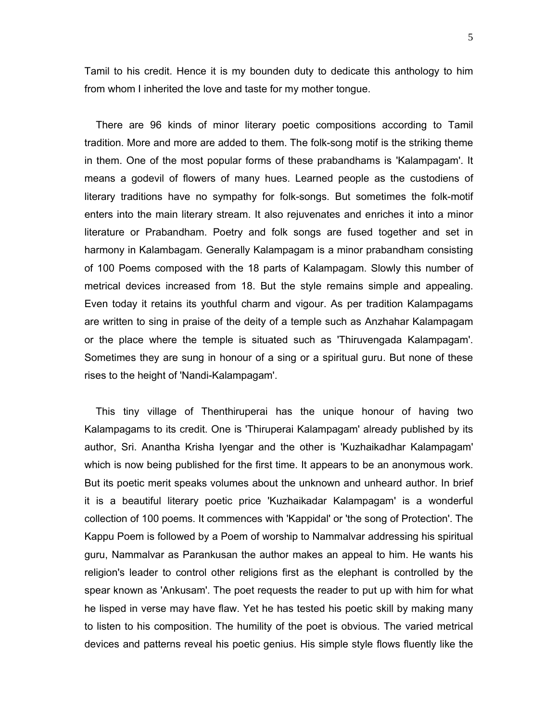Tamil to his credit. Hence it is my bounden duty to dedicate this anthology to him from whom I inherited the love and taste for my mother tongue.

 There are 96 kinds of minor literary poetic compositions according to Tamil tradition. More and more are added to them. The folk-song motif is the striking theme in them. One of the most popular forms of these prabandhams is 'Kalampagam'. It means a godevil of flowers of many hues. Learned people as the custodiens of literary traditions have no sympathy for folk-songs. But sometimes the folk-motif enters into the main literary stream. It also rejuvenates and enriches it into a minor literature or Prabandham. Poetry and folk songs are fused together and set in harmony in Kalambagam. Generally Kalampagam is a minor prabandham consisting of 100 Poems composed with the 18 parts of Kalampagam. Slowly this number of metrical devices increased from 18. But the style remains simple and appealing. Even today it retains its youthful charm and vigour. As per tradition Kalampagams are written to sing in praise of the deity of a temple such as Anzhahar Kalampagam or the place where the temple is situated such as 'Thiruvengada Kalampagam'. Sometimes they are sung in honour of a sing or a spiritual guru. But none of these rises to the height of 'Nandi-Kalampagam'.

 This tiny village of Thenthiruperai has the unique honour of having two Kalampagams to its credit. One is 'Thiruperai Kalampagam' already published by its author, Sri. Anantha Krisha Iyengar and the other is 'Kuzhaikadhar Kalampagam' which is now being published for the first time. It appears to be an anonymous work. But its poetic merit speaks volumes about the unknown and unheard author. In brief it is a beautiful literary poetic price 'Kuzhaikadar Kalampagam' is a wonderful collection of 100 poems. It commences with 'Kappidal' or 'the song of Protection'. The Kappu Poem is followed by a Poem of worship to Nammalvar addressing his spiritual guru, Nammalvar as Parankusan the author makes an appeal to him. He wants his religion's leader to control other religions first as the elephant is controlled by the spear known as 'Ankusam'. The poet requests the reader to put up with him for what he lisped in verse may have flaw. Yet he has tested his poetic skill by making many to listen to his composition. The humility of the poet is obvious. The varied metrical devices and patterns reveal his poetic genius. His simple style flows fluently like the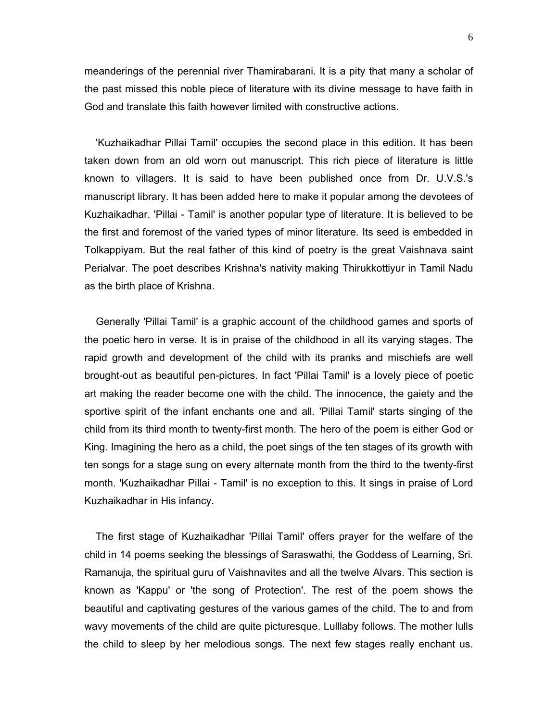meanderings of the perennial river Thamirabarani. It is a pity that many a scholar of the past missed this noble piece of literature with its divine message to have faith in God and translate this faith however limited with constructive actions.

 'Kuzhaikadhar Pillai Tamil' occupies the second place in this edition. It has been taken down from an old worn out manuscript. This rich piece of literature is little known to villagers. It is said to have been published once from Dr. U.V.S.'s manuscript library. It has been added here to make it popular among the devotees of Kuzhaikadhar. 'Pillai - Tamil' is another popular type of literature. It is believed to be the first and foremost of the varied types of minor literature. Its seed is embedded in Tolkappiyam. But the real father of this kind of poetry is the great Vaishnava saint Perialvar. The poet describes Krishna's nativity making Thirukkottiyur in Tamil Nadu as the birth place of Krishna.

 Generally 'Pillai Tamil' is a graphic account of the childhood games and sports of the poetic hero in verse. It is in praise of the childhood in all its varying stages. The rapid growth and development of the child with its pranks and mischiefs are well brought-out as beautiful pen-pictures. In fact 'Pillai Tamil' is a lovely piece of poetic art making the reader become one with the child. The innocence, the gaiety and the sportive spirit of the infant enchants one and all. 'Pillai Tamil' starts singing of the child from its third month to twenty-first month. The hero of the poem is either God or King. Imagining the hero as a child, the poet sings of the ten stages of its growth with ten songs for a stage sung on every alternate month from the third to the twenty-first month. 'Kuzhaikadhar Pillai - Tamil' is no exception to this. It sings in praise of Lord Kuzhaikadhar in His infancy.

 The first stage of Kuzhaikadhar 'Pillai Tamil' offers prayer for the welfare of the child in 14 poems seeking the blessings of Saraswathi, the Goddess of Learning, Sri. Ramanuja, the spiritual guru of Vaishnavites and all the twelve Alvars. This section is known as 'Kappu' or 'the song of Protection'. The rest of the poem shows the beautiful and captivating gestures of the various games of the child. The to and from wavy movements of the child are quite picturesque. Lulllaby follows. The mother lulls the child to sleep by her melodious songs. The next few stages really enchant us.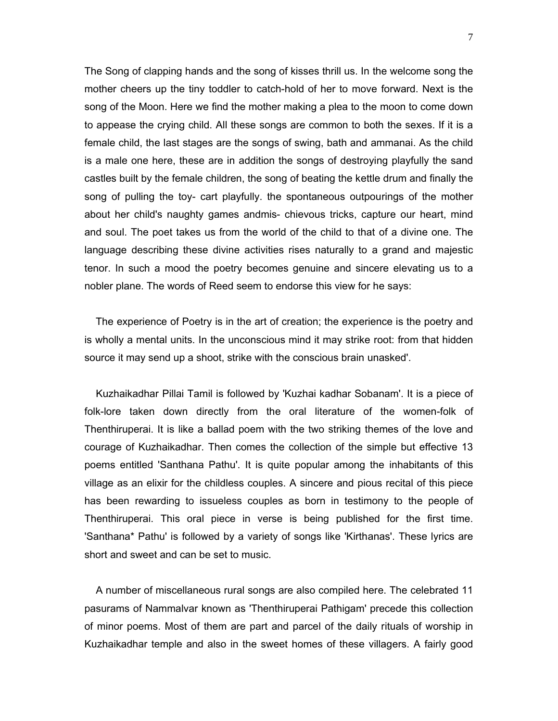The Song of clapping hands and the song of kisses thrill us. In the welcome song the mother cheers up the tiny toddler to catch-hold of her to move forward. Next is the song of the Moon. Here we find the mother making a plea to the moon to come down to appease the crying child. All these songs are common to both the sexes. If it is a female child, the last stages are the songs of swing, bath and ammanai. As the child is a male one here, these are in addition the songs of destroying playfully the sand castles built by the female children, the song of beating the kettle drum and finally the song of pulling the toy- cart playfully. the spontaneous outpourings of the mother about her child's naughty games andmis- chievous tricks, capture our heart, mind and soul. The poet takes us from the world of the child to that of a divine one. The language describing these divine activities rises naturally to a grand and majestic tenor. In such a mood the poetry becomes genuine and sincere elevating us to a nobler plane. The words of Reed seem to endorse this view for he says:

 The experience of Poetry is in the art of creation; the experience is the poetry and is wholly a mental units. In the unconscious mind it may strike root: from that hidden source it may send up a shoot, strike with the conscious brain unasked'.

 Kuzhaikadhar Pillai Tamil is followed by 'Kuzhai kadhar Sobanam'. It is a piece of folk-lore taken down directly from the oral literature of the women-folk of Thenthiruperai. It is like a ballad poem with the two striking themes of the love and courage of Kuzhaikadhar. Then comes the collection of the simple but effective 13 poems entitled 'Santhana Pathu'. It is quite popular among the inhabitants of this village as an elixir for the childless couples. A sincere and pious recital of this piece has been rewarding to issueless couples as born in testimony to the people of Thenthiruperai. This oral piece in verse is being published for the first time. 'Santhana\* Pathu' is followed by a variety of songs like 'Kirthanas'. These lyrics are short and sweet and can be set to music.

 A number of miscellaneous rural songs are also compiled here. The celebrated 11 pasurams of Nammalvar known as 'Thenthiruperai Pathigam' precede this collection of minor poems. Most of them are part and parcel of the daily rituals of worship in Kuzhaikadhar temple and also in the sweet homes of these villagers. A fairly good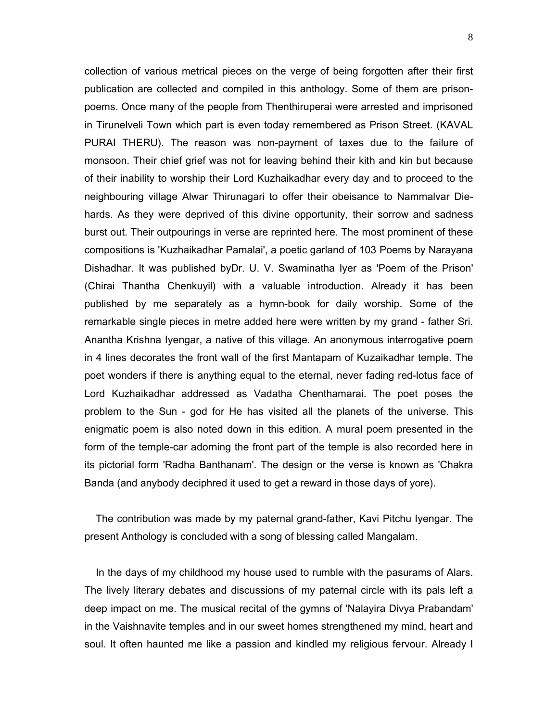collection of various metrical pieces on the verge of being forgotten after their first publication are collected and compiled in this anthology. Some of them are prisonpoems. Once many of the people from Thenthiruperai were arrested and imprisoned in Tirunelveli Town which part is even today remembered as Prison Street. (KAVAL PURAI THERU). The reason was non-payment of taxes due to the failure of monsoon. Their chief grief was not for leaving behind their kith and kin but because of their inability to worship their Lord Kuzhaikadhar every day and to proceed to the neighbouring village Alwar Thirunagari to offer their obeisance to Nammalvar Diehards. As they were deprived of this divine opportunity, their sorrow and sadness burst out. Their outpourings in verse are reprinted here. The most prominent of these compositions is 'Kuzhaikadhar Pamalai', a poetic garland of 103 Poems by Narayana Dishadhar. It was published byDr. U. V. Swaminatha Iyer as 'Poem of the Prison' (Chirai Thantha Chenkuyil) with a valuable introduction. Already it has been published by me separately as a hymn-book for daily worship. Some of the remarkable single pieces in metre added here were written by my grand - father Sri. Anantha Krishna Iyengar, a native of this village. An anonymous interrogative poem in 4 lines decorates the front wall of the first Mantapam of Kuzaikadhar temple. The poet wonders if there is anything equal to the eternal, never fading red-lotus face of Lord Kuzhaikadhar addressed as Vadatha Chenthamarai. The poet poses the problem to the Sun - god for He has visited all the planets of the universe. This enigmatic poem is also noted down in this edition. A mural poem presented in the form of the temple-car adorning the front part of the temple is also recorded here in its pictorial form 'Radha Banthanam'. The design or the verse is known as 'Chakra Banda (and anybody deciphred it used to get a reward in those days of yore).

 The contribution was made by my paternal grand-father, Kavi Pitchu Iyengar. The present Anthology is concluded with a song of blessing called Mangalam.

 In the days of my childhood my house used to rumble with the pasurams of Alars. The lively literary debates and discussions of my paternal circle with its pals left a deep impact on me. The musical recital of the gymns of 'Nalayira Divya Prabandam' in the Vaishnavite temples and in our sweet homes strengthened my mind, heart and soul. It often haunted me like a passion and kindled my religious fervour. Already I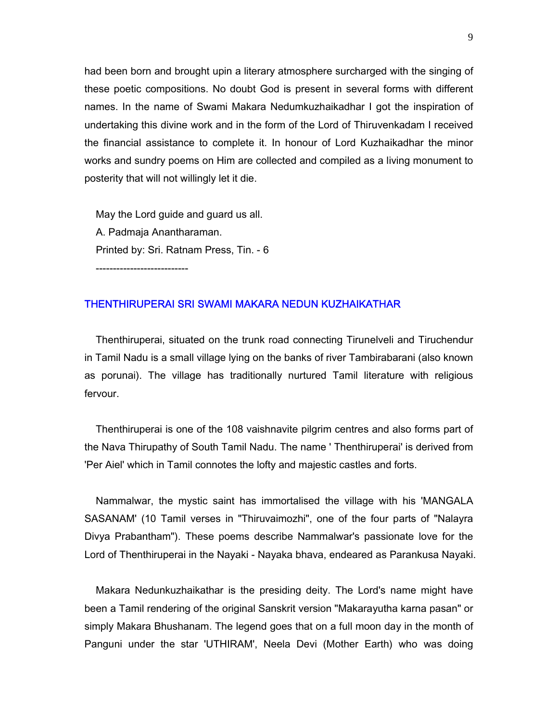had been born and brought upin a literary atmosphere surcharged with the singing of these poetic compositions. No doubt God is present in several forms with different names. In the name of Swami Makara Nedumkuzhaikadhar I got the inspiration of undertaking this divine work and in the form of the Lord of Thiruvenkadam I received the financial assistance to complete it. In honour of Lord Kuzhaikadhar the minor works and sundry poems on Him are collected and compiled as a living monument to posterity that will not willingly let it die.

 May the Lord guide and guard us all. A. Padmaja Anantharaman. Printed by: Sri. Ratnam Press, Tin. - 6

---------------------------

#### THENTHIRUPERAI SRI SWAMI MAKARA NEDUN KUZHAIKATHAR

 Thenthiruperai, situated on the trunk road connecting Tirunelveli and Tiruchendur in Tamil Nadu is a small village lying on the banks of river Tambirabarani (also known as porunai). The village has traditionally nurtured Tamil literature with religious fervour.

 Thenthiruperai is one of the 108 vaishnavite pilgrim centres and also forms part of the Nava Thirupathy of South Tamil Nadu. The name ' Thenthiruperai' is derived from 'Per Aiel' which in Tamil connotes the lofty and majestic castles and forts.

 Nammalwar, the mystic saint has immortalised the village with his 'MANGALA SASANAM' (10 Tamil verses in "Thiruvaimozhi", one of the four parts of "Nalayra Divya Prabantham"). These poems describe Nammalwar's passionate love for the Lord of Thenthiruperai in the Nayaki - Nayaka bhava, endeared as Parankusa Nayaki.

 Makara Nedunkuzhaikathar is the presiding deity. The Lord's name might have been a Tamil rendering of the original Sanskrit version "Makarayutha karna pasan" or simply Makara Bhushanam. The legend goes that on a full moon day in the month of Panguni under the star 'UTHIRAM', Neela Devi (Mother Earth) who was doing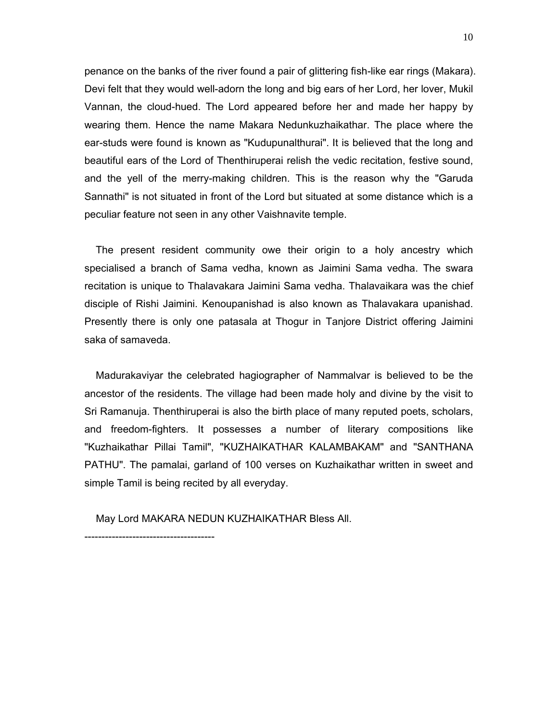penance on the banks of the river found a pair of glittering fish-like ear rings (Makara). Devi felt that they would well-adorn the long and big ears of her Lord, her lover, Mukil Vannan, the cloud-hued. The Lord appeared before her and made her happy by wearing them. Hence the name Makara Nedunkuzhaikathar. The place where the ear-studs were found is known as "Kudupunalthurai". It is believed that the long and beautiful ears of the Lord of Thenthiruperai relish the vedic recitation, festive sound, and the yell of the merry-making children. This is the reason why the "Garuda Sannathi" is not situated in front of the Lord but situated at some distance which is a peculiar feature not seen in any other Vaishnavite temple.

 The present resident community owe their origin to a holy ancestry which specialised a branch of Sama vedha, known as Jaimini Sama vedha. The swara recitation is unique to Thalavakara Jaimini Sama vedha. Thalavaikara was the chief disciple of Rishi Jaimini. Kenoupanishad is also known as Thalavakara upanishad. Presently there is only one patasala at Thogur in Tanjore District offering Jaimini saka of samaveda.

 Madurakaviyar the celebrated hagiographer of Nammalvar is believed to be the ancestor of the residents. The village had been made holy and divine by the visit to Sri Ramanuja. Thenthiruperai is also the birth place of many reputed poets, scholars, and freedom-fighters. It possesses a number of literary compositions like "Kuzhaikathar Pillai Tamil", "KUZHAIKATHAR KALAMBAKAM" and "SANTHANA PATHU". The pamalai, garland of 100 verses on Kuzhaikathar written in sweet and simple Tamil is being recited by all everyday.

May Lord MAKARA NEDUN KUZHAIKATHAR Bless All.

--------------------------------------

10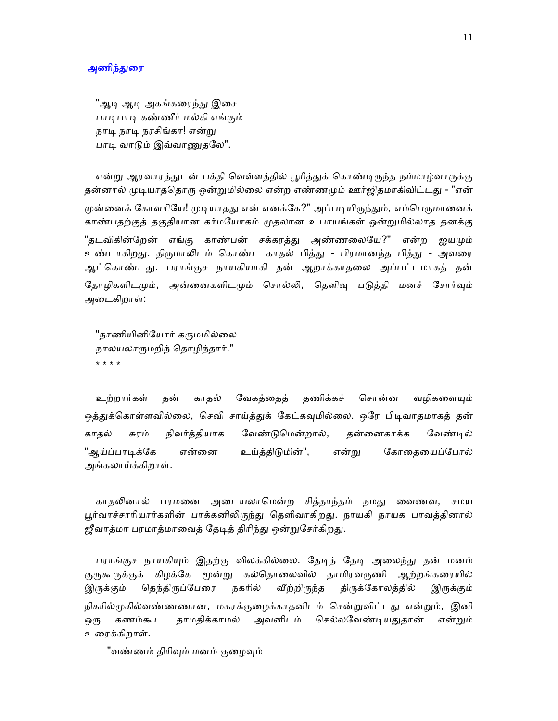#### அணிந்துரை

"ஆடி ஆடி அகங்கரைந்து இசை பாடிபாடி கண்ணீர் மல்கி எங்கும் நாடி நரசிங்கா! என்று பாடி வாடும் இவ்வாணுதலே".

என்று ஆரவாரத்துடன் பக்தி வெள்ளத்தில் பூரித்துக் கொண்டிருந்த நம்மாழ்வாருக்கு தன்னால் முடியாததொரு ஒன்றுமில்லை என்ற எண்ணமும் ஊர்ஜிதமாகிவிட்டது - "என் முன்னைக் கோளரியே! முடியாதது என் எனக்கே?" அப்படியிருந்தும், எம்பெருமானைக் காண்பதற்குத் தகுதியான கர்மேயாகம் ᾙதலான உபாயங்கள் ஒன்ᾠமில்லாத தனக்கு "தடவிகின்றேன் எங்கு காண்பன் சக்கரத்து அண்ணலையே?" என்ற ஐயமும் உண்டாகிறது. திருமாலிடம் கொண்ட காதல் பித்து - பிரமானந்த பித்து - அவரை ஆட்ெகாண்டᾐ. பராங்குச நாயகியாகி தன் ஆறாக்காதைல அப்பட்டமாகத் தன் தோழிகளிடமும், அன்னைகளிடமும் சொல்லி, தெளிவு படுத்தி மனச் சோர்வும் அைடகிறாள்:

"நாணியினியோர் கருமமில்லை நாலயலாᾞமறிந் ெதாழிந்தார்." \* \* \* \*

உற்றார்கள் தன் காதல் வேகத்தைத் தணிக்கச் சொன்ன வழிகளையும் ஒத்துக்கொள்ளவில்லை, செவி சாய்த்துக் கேட்கவுமில்லை. ஒரே பிடிவாதமாகத் தன் காதல் சுரம் நிவர்த்தியாக ேவண்ᾌெமன்றால், தன்ைனகாக்க ேவண்ᾊல் "ஆய்ப்பாடிக்கே என்னை உய்க்கிடுமின்", என்று கோகையைப்போல் அங்கலாய்க்கிறாள்.

காதலினால் பரமனை அடையலாமென்ற சித்தாந்தம் நமது வைணவ, சமய பூர்வாச்சாரியார்களின் பாக்கனிலிருந்து தெளிவாகிறது. நாயகி நாயக பாவத்தினால் ஜீவாத்மா பரமாத்மாவைத் தேடித் திரிந்து ஒன்றுசேர்கிறது.

பராங்குச நாயகியும் இதற்கு விலக்கில்லை. தேடித் தேடி அலைந்து தன் மனம் குருகூருக்குக் கிழக்கே மூன்று கல்தொலைவில் தாமிரவருணி ஆற்றங்கரையில் இருக்கும் தெந்திருப்பேரை நகரில் வீற்றிருந்த திருக்கோலத்தில் இருக்கும் நிகரில்முகில்வண்ணனான, மகரக்குழைக்காதனிடம் சென்றுவிட்டது என்றும், இனி ஒரு கணம்கூட தாமதிக்காமல் அவனிடம் செல்லவேண்டியதுதான் என்றும் உைரக்கிறாள்.

"வண்ணம் திரிவும் மனம் குழைவும்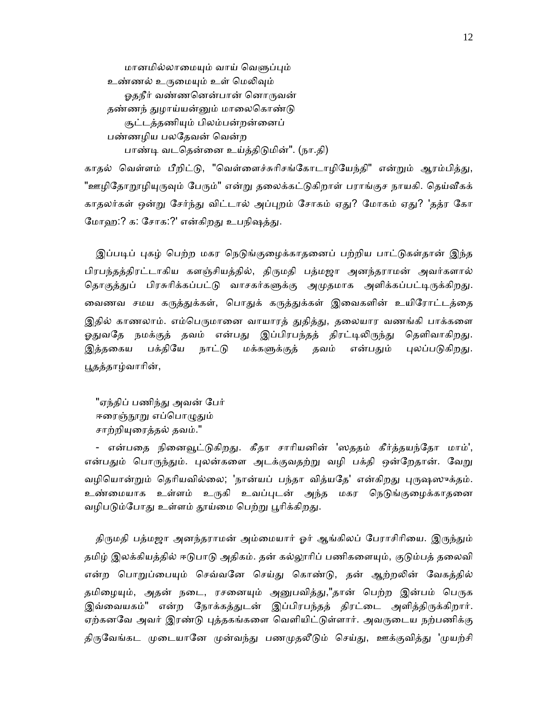மானமில்லாமையும் வாய் வெளுப்பும் உண்ணல் உருமையும் உள் மெலிவும் ஓதநீர் வண்ணனென்பான் னொருவன் தண்ணந் துழாய்யன்னும் மாலைகொண்டு சூட்டத்தணிᾜம் பிலம்பன்றன்ைனப் பண்ணழிய பலதேவன் வென்ற பாண்டி வடதென்னை உய்த்திடுமின்". (நா.தி)

காதல் வெள்ளம் பீறிட்டு, "வெள்ளைச்சுரிசங்கோடாழியேந்தி" என்றும் ஆரம்பித்து, "ஊழிதோறூழியுருவும் பேரும்" என்று தலைக்கட்டுகிறாள் பராங்குச நாயகி. தெய்வீகக் காதலர்கள் ஒன்று சேர்ந்து விட்டால் அப்புறம் சோகம் ஏது? மோகம் ஏது? 'தத்ர கோ மோவு:? க: சோக:?' என்கிறது உபநிஷத்து.

இப்படிப் புகழ் பெற்ற மகர நெடுங்குழைக்காதனைப் பற்றிய பாட்டுகள்தான் இந்த பிரபந்தத்திரட்டாகிய களஞ்சியத்தில், திருமதி பத்மஜா அனந்தராமன் அவர்களால் தொகுத்துப் பிரசுரிக்கப்பட்டு வாசகர்களுக்கு அமுதமாக அளிக்கப்பட்டிருக்கிறது. வைணவ சமய கருத்துக்கள், பொதுக் கருத்துக்கள் இவைகளின் உயிரோட்டத்தை இதில் காணலாம். எம்பெருமானை வாயாரத் துதித்து, தலையார வணங்கி பாக்களை ஓதுவதே நமக்குத் தவம் என்பது இப்பிரபந்தத் திரட்டிலிருந்து தெளிவாகிறது. இத்தகைய பக்தியே நாட்டு மக்களுக்குத் தவம் என்பதும் புலப்படுகிறது. ᾘதத்தாழ்வாாின்,

"ஏந்திப் பணிந்து அவன் பேர் ஈரைஞ்நூறு எப்பொழுதும் சாற்றியுரைத்தல் தவம்."

- என்பதை நினைவூட்டுகிறது. கீதா சாரியனின் 'ஸததம் கீர்த்தயந்தோ மாம்', என்பதும் பொருந்தும். புலன்களை அடக்குவதற்று வழி பக்தி ஒன்றேதான். வேறு வழியொன்றும் தெரியவில்லை; 'நான்யப் பந்தா வித்யதே' என்கிறது புருஷஸுக்தம். உண்மையாக உள்ளம் உருகி உவப்புடன் அந்த மகர நெடுங்குழைக்காதனை வழிபடும்போது உள்ளம் தூய்மை பெற்று பூரிக்கிறது.

திருமதி பத்மஜா அனந்தராமன் அம்மையார் ஓர் ஆங்கிலப் பேராசிரியை. இருந்தும் தமிழ் இலக்கியத்தில் ஈடுபாடு அதிகம். தன் கல்லூரிப் பணிகளையும், குடும்பத் தலைவி என்ற பொறுப்பையும் செவ்வனே செய்து கொண்டு, தன் ஆற்றலின் வேகத்தில் தமிழையும், அதன் நடை, ரசனையும் அனுபவித்து,"தான் பெற்ற இன்பம் பெருக இவ்வையகம்" என்ற நோக்கத்துடன் இப்பிரபந்தத் திரட்டை அளித்திருக்கிறார். ஏற்கனவே அவர் இரண்டு புத்தகங்களை வெளியிட்டுள்ளார். அவருடைய நற்பணிக்கு திருவேங்கட முடையானே முன்வந்து பணமுதலீடும் செய்து, ஊக்குவித்து 'முயற்சி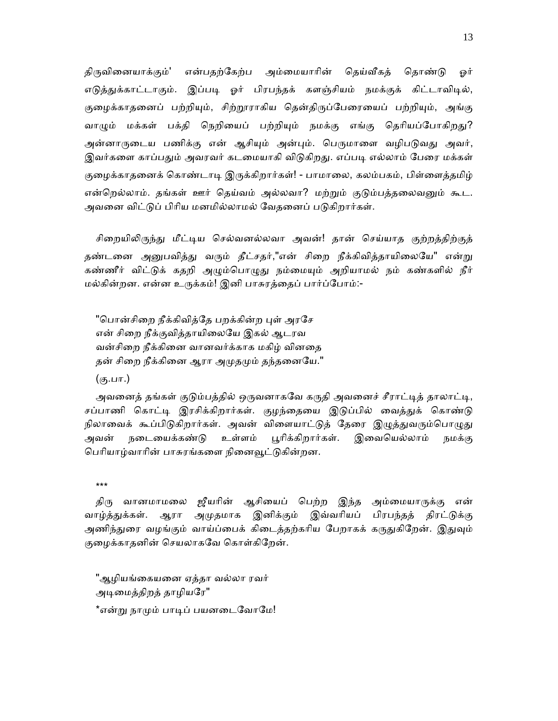திருவினையாக்கும்' என்பதற்கேற்ப அம்மையாரின் தெய்வீகத் தொண்டு ஒர் எடுத்துக்காட்டாகும். இப்படி ஓர் பிரபந்தக் களஞ்சியம் நமக்குக் கிட்டாவிடில், குழைக்காதனைப் பற்றியும், சிற்றூராகிய தென்திருப்பேரையைப் பற்றியும், அங்கு வாழும் மக்கள் பக்தி நெறியைப் பற்றியும் நமக்கு எங்கு தெரியப்போகிறது? அன்னாருடைய பணிக்கு என் ஆசியும் அன்பும். பெருமாளை வழிபடுவது அவர், இவர்களை காப்பதும் அவரவர் கடமையாகி விடுகிறது. எப்படி எல்லாம் பேரை மக்கள் குழைக்காதனைக் கொண்டாடி இருக்கிறார்கள்! - பாமாலை, கலம்பகம், பிள்ளைத்தமிழ் என்றெல்லாம். தங்கள் ஊர் தெய்வம் அல்லவா? மற்றும் குடும்பத்தலைவனும் கூட. அவனை விட்டுப் பிரிய மனமில்லாமல் வேதனைப் படுகிறார்கள்.

சிறையிலிருந்து மீட்டிய செல்வனல்லவா அவன்! தான் செய்யாத குற்றத்திற்குத் தண்டனை அனுபவித்து வரும் தீட்சதர்,"என் சிறை நீக்கிவித்தாயிலையே" என்று கண்ணீர் விட்டுக் கதறி அழும்பொழுது நம்மையும் அறியாமல் நம் கண்களில் நீர் மல்கின்றன. என்ன உᾞக்கம்! இனி பாசுரத்ைதப் பார்ப்ேபாம்:-

"பொன்சிறை நீக்கிவித்தே பறக்கின்ற புள் அரசே என் சிறை நீக்குவித்தாயிலையே இகல் ஆடரவ வன்சிைற நீக்கிைன வானவர்க்காக மகிழ் வினைத தன் சிறை நீக்கினை ஆரா அமுதமும் தந்தனையே."

(கு.பா.)

அவனைத் தங்கள் குடும்பத்தில் ஒருவனாகவே கருதி அவனைச் சீராட்டித் தாலாட்டி, சப்பாணி கொட்டி இரசிக்கிறார்கள். குழந்தையை இடுப்பில் வைத்துக் கொண்டு நிலாவைக் கூப்பிடுகிறார்கள். அவன் விளையாட்டுத் தேரை இழுத்துவரும்பொழுது அவன் நடையைக்கண்டு உள்ளம் பூரிக்கிறார்கள். இவையெல்லாம் நமக்கு பெரியாழ்வாரின் பாசுரங்களை நினைவூட்டுகின்றன.

\*\*\*

திரு வானமாமலை ஜீயரின் ஆசியைப் பெற்ற இந்த அம்மையாருக்கு என் வாழ்த்ᾐக்கள். ஆரா அᾙதமாக இனிக்கும் இவ்வாியப் பிரபந்தத் திரட்ᾌக்கு அணிந்துரை வழங்கும் வாய்ப்பைக் கிடைத்தற்கரிய பேறாகக் கருதுகிறேன். இதுவும் குைழக்காதனின் ெசயலாகேவ ெகாள்கிேறன்.

"ஆழியங்கையனை ஏத்தா வல்லா ரவர் அடிமைத்திறத் தாழியரே" \*என்று நாமும் பாடிப் பயனடைவோமே! 13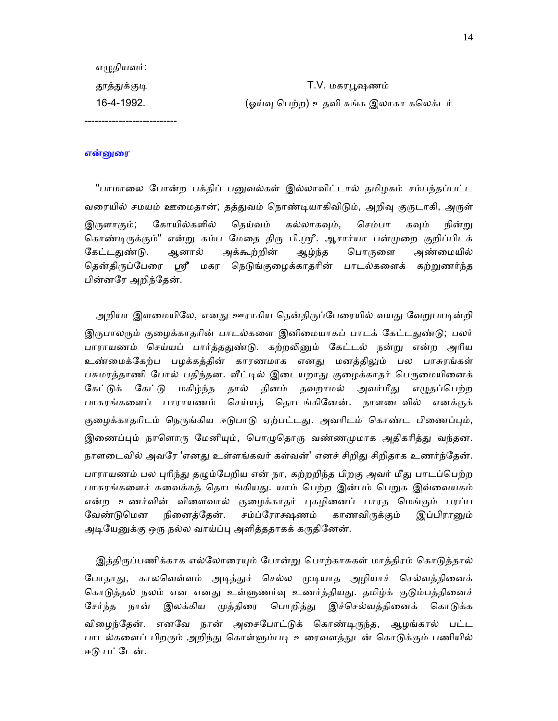| 16-4-1992.   | (ஓய்வு பெற்ற) உதவி சுங்க இலாகா கலெக்டர் |
|--------------|-----------------------------------------|
| தூத்துக்குடி | T.V. மகரபூஷணம்                          |
| எழுதியவர்:   |                                         |

#### என்னுரை

"பாமாலை போன்ற பக்திப் பனுவல்கள் இல்லாவிட்டால் தமிழகம் சம்பந்தப்பட்ட வரையில் சமயம் ஊமைதான்; தத்துவம் நொண்டியாகிவிடும், அறிவு குருடாகி, அருள் இருளாகும்; கோயில்களில் தெய்வம் கல்லாகவும், செம்பா கவும் நின்று கொண்டிருக்கும்" என்று கம்ப மேதை திரு பி.ஸ்ரீ. ஆசார்யா பன்முறை குறிப்பிடக் கேட்டதுண்டு. ஆனால் அக்கூற்றின் ஆழ்ந்த பொருளை அண்மையில் தென்திருப்பேரை ஸ்ரீ மகர நெடுங்குழைக்காதரின் பாடல்களைக் கற்றுணர்ந்த பின்னேர அறிந்ேதன்.

அறியா இளமையிலே, எனது ஊராகிய தென்திருப்பேரையில் வயது வேறுபாடின்றி இருபாலரும் குழைக்காதரின் பாடல்களை இனிமையாகப் பாடக் கேட்டதுண்டு; பலர் பாராயணம் செய்யப் பார்த்ததுண்டு. கற்றலினும் கேட்டல் நன்று என்ற அரிய உண்மைக்கேற்ப பழக்கத்தின் காரணமாக எனது மனத்திலும் பல பாசுரங்கள் பசுமரத்தாணி போல் பதிந்தன. வீட்டில் இடையறாது குழைக்காதர் பெருமையினைக் கேட்டுக் கேட்டு மகிழ்ந்த தால் தினம் தவறாமல் அவர்மீது எழுதப்பெற்ற பாசுரங்கைளப் பாராயணம் ெசய்யத் ெதாடங்கிேனன். நாளைடவில் எனக்குக் குழைக்காதரிடம் நெருங்கிய ஈடுபாடு ஏற்பட்டது. அவரிடம் கொண்ட பிணைப்பும், இணைப்பும் நாளொரு மேனியும், பொழுதொரு வண்ணமுமாக அதிகரித்து வந்தன. நாளடைவில் அவரே 'எனது உள்ளங்கவர் கள்வன்' எனச் சிறிது சிறிதாக உணர்ந்தேன். பாராயணம் பல புரிந்து தழும்பேறிய என் நா, கற்றறிந்த பிறகு அவர் மீது பாடப்பெற்ற பாசுரங்களைச் சுவைக்கத் தொடங்கியது. யாம் பெற்ற இன்பம் பெறுக இவ்வையகம் என்ற உணர்வின் விளைவால் குழைக்காதர் புகழினைப் பாரத மெங்கும் பரப்ப வேண்டுமென நினைத்தேன். சம்ப்ரோக்ஷணம் காணவிருக்கும் இப்பிரானும் அடியேனுக்கு ஒரு நல்ல வாய்ப்பு அளித்ததாகக் கருதினேன்.

இத்திருப்பணிக்காக எல்லோரையும் போன்று பொற்காசுகள் மாத்திரம் கொடுத்தால் போதாது, காலவெள்ளம் அடித்துச் செல்ல முடியாத அழியாச் செல்வத்தினைக் கொடுத்தல் நலம் என எனது உள்ளுணர்வு உணர்த்தியது. தமிழ்க் குடும்பத்தினைச் சேர்ந்த நான் இலக்கிய முத்திரை பொறித்து இச்செல்வத்தினைக் கொடுக்க விழைந்தேன். எனவே நான் அசைபோட்டுக் கொண்டிருந்த, ஆழங்கால் பட்ட பாடல்களைப் பிறரும் அறிந்து கொள்ளும்படி உரைவளத்துடன் கொடுக்கும் பணியில் ஈடு பட்டேன்.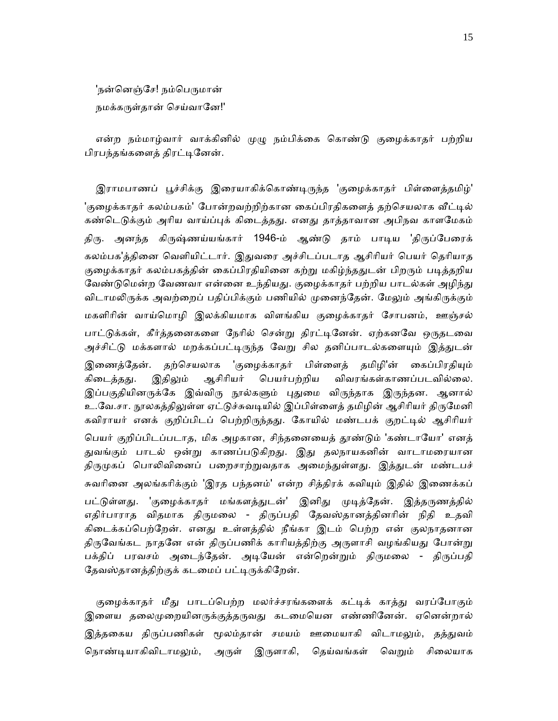'நன்னெஞ்சே! நம்பெருமான்

நமக்கருள்தான் செய்வானே!'

என்ற நம்மாழ்வார் வாக்கினில் முழு நம்பிக்கை கொண்டு குழைக்காதர் பற்றிய பிரபந்தங்களைத் திரட்டினேன்.

இராமபாணப் பூச்சிக்கு இரையாகிக்கொண்டிருந்த 'குழைக்காதர் பிள்ளைத்தமிழ்' 'குழைக்காதர் கலம்பகம்' போன்றவற்றிற்கான கைப்பிரதிகளைத் தற்செயலாக வீட்டில் கண்டெடுக்கும் அரிய வாய்ப்புக் கிடைத்தது. எனது தாத்தாவான அபிநவ காளமேகம் திரு. அனந்த கிருஷ்ணய்யங்கார் 1946-ம் ஆண்டு தாம் பாடிய 'திருப்பேரைக் கலம்பக'த்தினை வெளியிட்டார். இதுவரை அச்சிடப்படாத ஆசிரியர் பெயர் தெரியாத குழைக்காதர் கலம்பகத்தின் கைப்பிரதியினை கற்று மகிழ்ந்ததுடன் பிறரும் படித்தறிய வேண்டுமென்ற வேணவா என்னை உந்தியது. குழைக்காதர் பற்றிய பாடல்கள் அழிந்து விடாமலிருக்க அவற்றைப் பதிப்பிக்கும் பணியில் முனைந்தேன். மேலும் அங்கிருக்கும் மகளிாின் வாய்ெமாழி இலக்கியமாக விளங்கிய குைழக்காதர் ேசாபனம், ஊஞ்சல் பாட்டுக்கள், கீர்த்தனைகளை நேரில் சென்று திரட்டினேன். ஏற்கனவே ஒருதடவை அச்சிட்டு மக்களால் மறக்கப்பட்டிருந்த வேறு சில தனிப்பாடல்களையும் இத்துடன் இணைத்தேன். தற்செயலாக 'குழைக்காதர் பிள்ளைத் தமிழி'ன் கைப்பிரதியும் கிடைத்தது. இதிலும் ஆசிரியர் பெயர்பற்றிய விவரங்கள்காணப்படவில்லை. இப்பகுதியினருக்கே இவ்விரு நூல்களும் புதுமை விருந்தாக இருந்தன. ஆனால் உ.வே.சா. நூலகத்திலுள்ள ஏட்டுச்சுவடியில் இப்பிள்ளைத் தமிழின் ஆசிரியர் திருமேனி கவிராயர் எனக் குறிப்பிடப் பெற்றிருந்தது. கோயில் மண்டபக் குறட்டில் ஆசிரியர் பெயர் குறிப்பிடப்படாத, மிக அழகான, சிந்தனையைத் தூண்டும் 'கண்டாயோ' எனத் துவங்கும் பாடல் ஒன்று காணப்படுகிறது. இது தலநாயகனின் வாடாமரையான திருமுகப் பொலிவினைப் பறைசாற்றுவதாக அமைந்துள்ளது. இத்துடன் மண்டபச் சுவரினை அலங்கரிக்கும் 'இரத பந்தனம்' என்ற சித்திரக் கவியும் இதில் இணைக்கப் பட்டுள்ளது. 'குழைக்காதர் மங்களத்துடன்' இனிது முடித்தேன். இத்தருணத்தில் எதிர்பாராத விதமாக திருமலை - திருப்பதி தேவஸ்தானத்தினரின் நிதி உதவி கிடைக்கப்பெற்றேன். எனது உள்ளத்தில் நீங்கா இடம் பெற்ற என் குலநாதனான திருவேங்கட நாதனே என் திருப்பணிக் காரியத்திற்கு அருளாசி வழங்கியது போன்று பக்திப் பரவசம் அடைந்தேன். அடியேன் என்றென்றும் திருமலை - திருப்பதி தேவஸ்தானத்திற்குக் கடமைப் பட்டிருக்கிறேன்.

குழைக்காதர் மீது பாடப்பெற்ற மலர்ச்சரங்களைக் கட்டிக் காத்து வரப்போகும் இளைய தலைமுறையினருக்குத்தருவது கடமையென எண்ணினேன். ஏனென்றால் இத்தகைய திருப்பணிகள் மூலம்தான் சமயம் ஊமையாகி விடாமலும், தத்துவம் நொண்டியாகிவிடாமலும், அருள் இருளாகி, தெய்வங்கள் வெறும் சிலையாக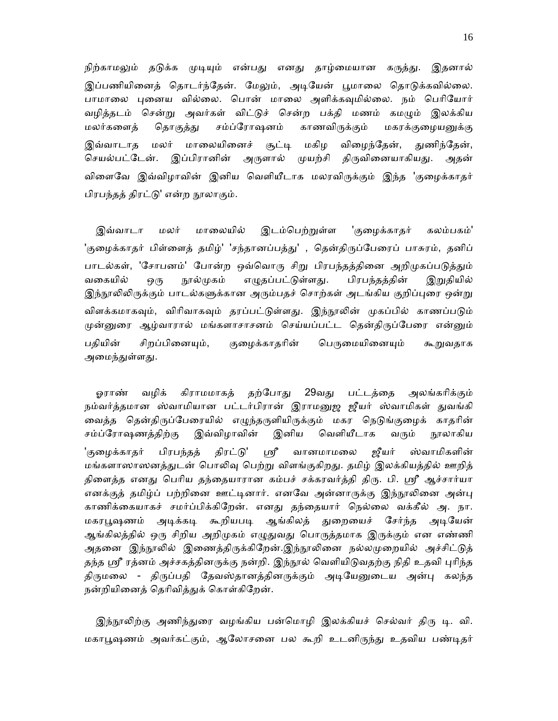நிற்காமலும் தடுக்க முடியும் என்பது எனது தாழ்மையான கருத்து. இதனால் இப்பணியினைத் தொடர்ந்தேன். மேலும், அடியேன் பூமாலை தொடுக்கவில்லை. பாமாலை புனைய வில்லை. பொன் மாலை அளிக்கவுமில்லை. நம் பெரியோர் வழித்தடம் சென்று அவர்கள் விட்டுச் சென்ற பக்தி மணம் கமழும் இலக்கிய மலர்களைத் தொகுத்து சம்ப்ரோஷனம் காணவிருக்கும் மகரக்குழையனுக்கு இவ்வாடாத மலர் மாலையினைச் சூட்டி மகிழ விழைந்தேன், துணிந்தேன், செயல்பட்டேன். இப்பிரானின் அருளால் முயற்சி திருவினையாகியது. அதன் விளைவே இவ்விழாவின் இனிய வெளியீடாக மலரவிருக்கும் இந்த 'குழைக்காதர் பிரபந்தத் திரட்ᾌ' என்றᾓலாகும்.

இவ்வாடா மலர் மாலையில் இடம்பெற்றுள்ள 'குழைக்காதர் கலம்பகம்' 'குழைக்காதர் பிள்ளைத் தமிழ்' 'சந்தானப்பத்து' , தென்திருப்பேரைப் பாசுரம், தனிப் பாடல்கள், 'சோபனம்' போன்ற ஒவ்வொரு சிறு பிரபந்தத்தினை அறிமுகப்படுத்தும் வகையில் ஒரு நூல்முகம் எழுதப்பட்டுள்ளது. பிரபந்தத்தின் இறுதியில் இந்நூலிலிருக்கும் பாடல்களுக்கான அரும்பதச் சொற்கள் அடங்கிய குறிப்புரை ஒன்று விளக்கமாகவும், விரிவாகவும் தரப்பட்டுள்ளது. இந்நூலின் முகப்பில் காணப்படும் முன்னுரை ஆழ்வாரால் மங்களாசாசனம் செய்யப்பட்ட தென்திருப்பேரை என்னும் பதியின் சிறப்பினையும், குழைக்காதரின் பெருமையினையும் கூறுவதாக அமைந்துள்ளது.

ஓராண் வழிக் கிராமமாகத் தற்போது 29வது பட்டத்தை அலங்கரிக்கும் நம்வர்த்தமான ஸ்வாமியான பட்டர்பிரான் இராமனுஜ ஜீயர் ஸ்வாமிகள் துவங்கி வைத்த தென்திருப்பேரையில் எழுந்தருளியிருக்கும் மகர நெடுங்குழைக் காதரின் சம்ப்ரோஷணத்திற்கு இவ்விழாவின் இனிய வெளியீடாக வரும் நூலாகிய 'குழைக்காதர் பிரபந்தத் திரட்டு' ஸ்ரீ வானமாமலை ஜீயர் ஸ்வாமிகளின் மங்களாஸாஸனத்துடன் பொலிவு பெற்று விளங்குகிறது. தமிழ் இலக்கியத்தில் ஊறித் திளைத்த எனது பெரிய தந்தையாரான கம்பச் சக்கரவர்த்தி திரு. பி. ஸ்ரீ ஆச்சார்யா எனக்குத் தமிழ்ப் பற்றினை ஊட்டினார். எனவே அன்னாருக்கு இந்நூலினை அன்பு காணிக்கையாகச் சமர்ப்பிக்கிறேன். எனது தந்தையார் நெல்லை வக்கீல் அ. நா. மகரபூஷணம் அடிக்கடி கூறியபடி ஆங்கிலத் துறையைச் சேர்ந்த அடியேன் ஆங்கிலத்தில் ஒரு சிறிய அறிமுகம் எழுதுவது பொருத்தமாக இருக்கும் என எண்ணி அதனை இந்நூலில் இணைத்திருக்கிறேன்.இந்நூலினை நல்லமுறையில் அச்சிட்டுத் தந்த ஸ்ரீ ரத்னம் அச்சகத்தினருக்கு நன்றி. இந்நூல் வெளியிடுவதற்கு நிதி உதவி புரிந்த திருமலை - திருப்பதி தேவஸ்தானத்தினருக்கும் அடியேனுடைய அன்பு கலந்த நன்றியினைத் தெரிவித்துக் கொள்கிறேன்.

இந்நூலிற்கு அணிந்துரை வழங்கிய பன்மொழி இலக்கியச் செல்வர் திரு டி. வி. மகாபூஷணம் அவர்கட்கும், ஆலோசனை பல கூறி உடனிருந்து உதவிய பண்டிதர்

16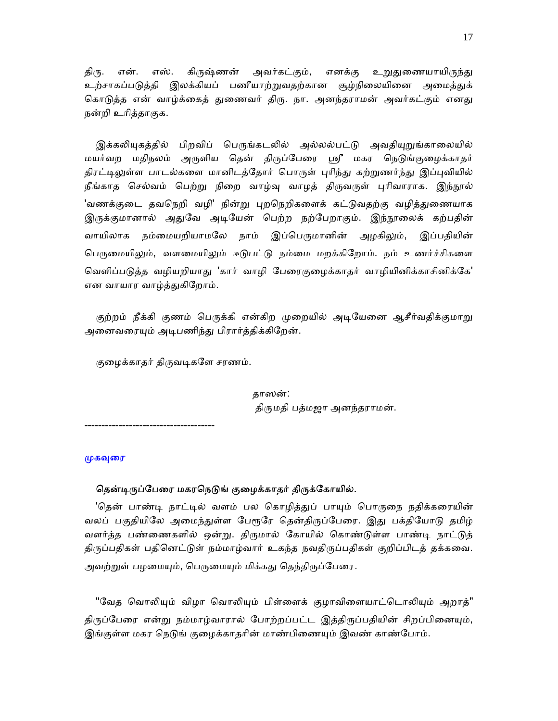திரு. என். எஸ். கிருஷ்ணன் அவர்கட்கும், எனக்கு உறுதுணையாயிருந்து உற்சாகப்படுத்தி இலக்கியப் பணீயாற்றுவதற்கான சூழ்நிலையினை அமைத்துக் கொடுத்த என் வாழ்க்கைத் துணைவர் திரு. நா. அனந்தராமன் அவர்கட்கும் எனது நன்றி உாித்தாகுக.

இக்கலியுகத்தில் பிறவிப் பெருங்கடலில் அல்லல்பட்டு அவதியுறுங்காலையில் மயர்வற மதிநலம் அருளிய தென் திருப்பேரை ஸ்ரீ மகர நெடுங்குழைக்காதர் திரட்டிலுள்ள பாடல்களை மானிடத்தோர் பொருள் புரிந்து கற்றுணர்ந்து இப்புவியில் நீங்காத செல்வம் பெற்று நிறை வாழ்வு வாழத் திருவருள் புரிவாராக. இந்நூல் 'வணக்குடை தவநெறி வழி' நின்று புறநெறிகளைக் கட்டுவதற்கு வழித்துணையாக இருக்குமானால் அதுவே அடியேன் பெற்ற நற்பேறாகும். இந்நூலைக் கற்பதின் வாயிலாக நம்மையறியாமலே நாம் இப்பெருமானின் அழகிலும், இப்பதியின் பெருமையிலும், வளமையிலும் ஈடுபட்டு நம்மை மறக்கிறோம். நம் உணர்ச்சிகளை வெளிப்படுத்த வழியறியாது 'கார் வாழி பேரைகுழைக்காதர் வாழியினிக்காசினிக்கே' என வாயார வாழ்த்ᾐகிேறாம்.

குற்றம் நீக்கி குணம் பெருக்கி என்கிற முறையில் அடியேனை ஆசீர்வதிக்குமாறு அனைவரையும் அடிபணிந்து பிரார்த்திக்கிறேன்.

குழைக்காதர் திருவடிகளே சரணம்.

 தாஸன்: திருமதி பத்மஜா அனந்தராமன்.

--------------------------------------

#### முகவுரை

#### தென்டிருப்பேரை மகரநெடுங் குழைக்காதர் திருக்கோயில்.

'தென் பாண்டி நாட்டில் வளம் பல கொழித்துப் பாயும் பொருநை நதிக்கரையின் வலப் பகுதியிலே அமைந்துள்ள பேரூரே தென்திருப்பேரை. இது பக்தியோடு தமிழ் வளர்த்த பண்ணைகளில் ஒன்று. திருமால் கோயில் கொண்டுள்ள பாண்டி நாட்டுத் திருப்பதிகள் பதினெட்டுள் நம்மாழ்வார் உகந்த நவதிருப்பதிகள் குறிப்பிடத் தக்கவை. அவற்றுள் பழமையும், பெருமையும் மிக்கது தெந்திருப்பேரை.

"வேத வொலியும் விழா வொலியும் பிள்ளைக் குழாவிளையாட்டொலியும் அறாத்" திருப்பேரை என்று நம்மாழ்வாரால் போற்றப்பட்ட இத்திருப்பதியின் சிறப்பினையும், இங்குள்ள மகர நெடுங் குழைக்காதரின் மாண்பிணையும் இவண் காண்போம்.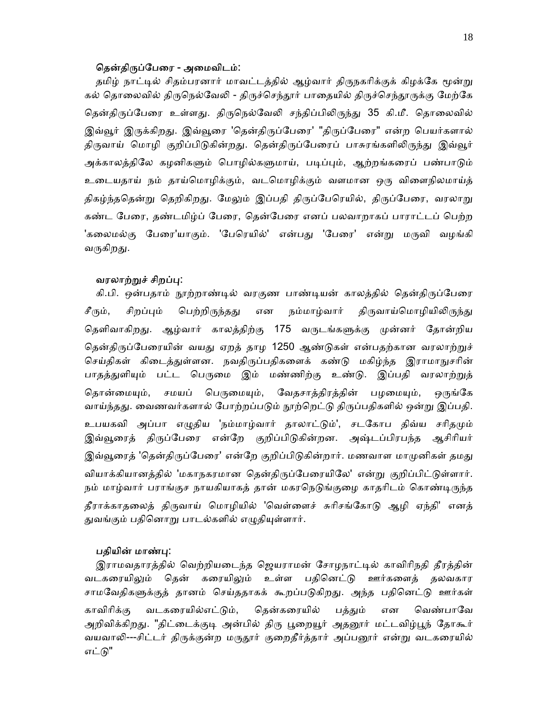#### தென்திருப்பேரை - அமைவிடம்:

தமிழ் நாட்டில் சிதம்பரனார் மாவட்டத்தில் ஆழ்வார் திருநகரிக்குக் கிழக்கே மூன்று கல் தொலைவில் திருநெல்வேலி - திருச்செந்தூர் பாதையில் திருச்செந்தூருக்கு மேற்கே தென்திருப்பேரை உள்ளது. திருநெல்வேலி சந்திப்பிலிருந்து 35 கி.மீ. தொலைவில் இவ்வூர் இருக்கிறது. இவ்வூரை 'தென்திருப்பேரை' "திருப்பேரை" என்ற பெயர்களால் திருவாய் மொழி குறிப்பிடுகின்றது. தென்திருப்பேரைப் பாசுரங்களிலிருந்து இவ்வூர் அக்காலத்திலே கழனிகளும் பொழில்களுமாய், படிப்பும், ஆற்றங்கரைப் பண்பாடும் உைடயதாய் நம் தாய்ெமாழிக்கும், வடெமாழிக்கும் வளமான ஒᾞ விைளநிலமாய்த் திகழ்ந்ததென்று தெறிகிறது. மேலும் இப்பதி திருப்பேரெயில், திருப்பேரை, வரலாறு கண்ட பேரை, தண்டமிழ்ப் பேரை, தென்பேரை எனப் பலவாறாகப் பாராட்டப் பெற்ற 'கலைமல்கு பேரை'யாகும். 'பேரெயில்' என்பது 'பேரை' என்று மருவி வழங்கி வருகிறது.

#### வரலாற்றுச் சிறப்பு:

கி.பி. ஒன்பதாம் நூற்றாண்டில் வரகுண பாண்டியன் காலத்தில் தென்திருப்பேரை சீரும், சிறப்பும் பெற்றிருந்தது என நம்மாழ்வார் திருவாய்மொழியிலிருந்து தெளிவாகிறது. ஆழ்வார் காலத்திற்கு 175 வருடங்களுக்கு முன்னர் தோன்றிய தென்திருப்பேரையின் வயது ஏறத் தாழ 1250 ஆண்டுகள் என்பதற்கான வரலாற்றுச் செய்திகள் கிடைத்துள்ளன. நவதிருப்பதிகளைக் கண்டு மகிழ்ந்த இராமாநுசரின் பாதத்துளியும் பட்ட பெருமை இம் மண்ணிற்கு உண்டு. இப்பதி வரலாற்றுத் தொன்மையும், சமயப் பெருமையும், வேதசாத்திரத்தின் பழமையும், ஒருங்கே வாய்ந்தது. வைணவர்களால் போற்றப்படும் நூற்றெட்டு திருப்பதிகளில் ஒன்று இப்பதி. உபயகவி அப்பா எழுதிய 'நம்மாழ்வார் தாலாட்டும்', சடகோப திவ்ய சரிதமும் இவ்வூரைத் திருப்பேரை என்றே குறிப்பிடுகின்றன. அஷ்டப்பிரபந்த ஆசிரியர் இவ்வூரைத் 'தென்திருப்பேரை' என்றே குறிப்பிடுகின்றார். மணவாள மாமுனிகள் தமது வியாக்கியானத்தில் 'மகாநகரமான தென்திருப்பேரையிலே' என்று குறிப்பிட்டுள்ளார். நம் மாழ்வார் பராங்குச நாயகியாகத் தான் மகரநெடுங்குழை காதரிடம் கொண்டிருந்த தீராக்காதலைத் திருவாய் மொழியில் 'வெள்ளைச் சுரிசங்கோடு ஆழி ஏந்தி' எனத் துவங்கும் பதினொறு பாடல்களில் எழுதியுள்ளார்.

### பதியின் மாண்பு:

இராமவதாரத்தில் வெற்றியடைந்த ஜெயராமன் சோழநாட்டில் காவிரிநதி தீரத்தின் வடகரையிலும் தென் கரையிலும் உள்ள பதினெட்டு ஊர்களைத் தலவகார சாமவேதிகளுக்குத் தானம் செய்ததாகக் கூறப்படுகிறது. அந்த பதினெட்டு ஊர்கள் காவிரிக்கு வடகரையில்எட்டும், தென்கரையில் பத்தும் என வெண்பாவே அறிவிக்கிறது. "திட்டைக்குடி அன்பில் திரு பூறையூர் அதனூர் மட்டவிழ்பூந் தோகூர் வயவாலி---சிட்டர் திருக்குன்ற மருதூர் குறைதீர்த்தார் அப்பனூர் என்று வடகரையில் எட்டு"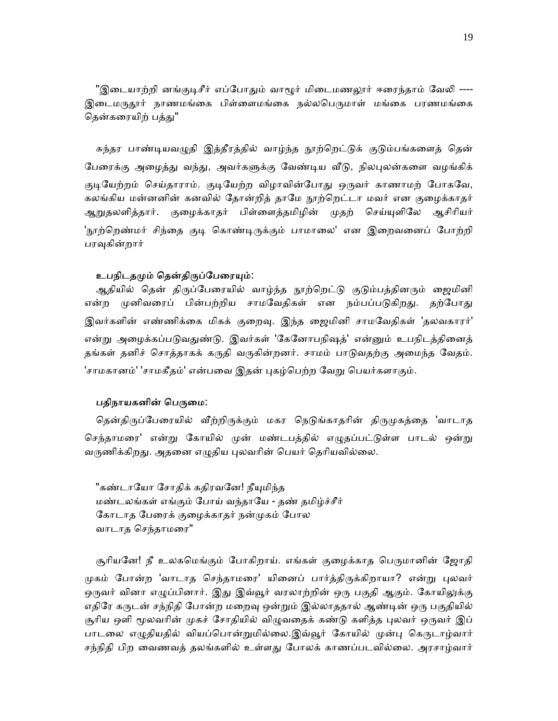"இடையாற்றி னங்குடிசீர் எப்போதும் வாழூர் மிடைமணலூர் ஈரைந்தாம் வேலி ----இடைமருதூர் நாணமங்கை பிள்ளைமங்கை நல்லபெருமாள் மங்கை பரணமங்கை தென்கரையிற் பத்து"

சுந்தர பாண்டியவழுதி இத்தீரத்தில் வாழ்ந்த நூற்றெட்டுக் குடும்பங்களைத் தென் பேரைக்கு அழைத்து வந்து, அவர்களுக்கு வேண்டிய வீடு, நிலபுலன்களை வழங்கிக் குடியேற்றம் செய்தாராம். குடியேற்ற விழாவின்போது ஒருவர் காணாமற் போகவே, கலங்கிய மன்னனின் கனவில் தோன்றித் தாமே நூற்றெட்டா மவர் என குழைக்காதர் ஆறுதலளித்தார். குழைக்காதர் பிள்ளைத்தமிழின் முதற் செய்யுளிலே ஆசிரியர் 'நூற்றெண்மர் சிந்தை குடி கொண்டிருக்கும் பாமாலை' என இறைவனைப் போற்றி பரவுகின்றார்

#### உபநிடதமும் தென்திருப்பேரையும்:

ஆதியில் தென் திருப்பேரையில் வாழ்ந்த நூற்றெட்டு குடும்பத்தினரும் ஜைமினி என்ற முனிவரைப் பின்பற்றிய சாமவேதிகள் என நம்பப்படுகிறது. தற்போது இவர்களின் எண்ணிக்கை மிகக் குறைவு. இந்த ஜைமினி சாமவேதிகள் 'தலவகாரர்' என்று அழைக்கப்படுவதுண்டு. இவர்கள் 'கேனோபநிஷத்' என்னும் உபநிடத்தினைத் தங்கள் தனிச் சொத்தாகக் கருதி வருகின்றனர். சாமம் பாடுவதற்கு அமைந்த வேதம். 'சாமகானம்' 'சாமகீதம்' என்பவை இதன் புகழ்பெற்ற வேறு பெயர்களாகும்.

## பதிநாயகனின் பெருமை:

தென்திருப்பேரையில் வீற்றிருக்கும் மகர நெடுங்காதரின் திருமுகத்தை 'வாடாத செந்தாமரை' என்று கோயில் முன் மண்டபத்தில் எழுதப்பட்டுள்ள பாடல் ஒன்று வருணிக்கிறது. அதனை எழுதிய புலவரின் பெயர் தெரியவில்லை.

"கண்டாயோ சோதிக் கதிரவனே! நீயுமிந்த மண்டலங்கள் எங்கும் ேபாய் வந்தாேய - தண் தமிழ்ச்சீர் ேகாடாத ேபைரக் குைழக்காதர் நன்ᾙகம் ேபால வாடாத செந்தாமரை"

சூரியனே! நீ உலகமெங்கும் போகிறாய். எங்கள் குழைக்காத பெருமானின் ஜோதி முகம் போன்ற 'வாடாத செந்தாமரை' யினைப் பார்த்திருக்கிறாயா? என்று புலவர் ஒருவர் வினா எழுப்பினார். இது இவ்வூர் வரலாற்றின் ஒரு பகுதி ஆகும். கோயிலுக்கு எதிரே கருடன் சந்நிதி போன்ற மறைவு ஒன்றும் இல்லாததால் ஆண்டின் ஒரு பகுதியில் சூரிய ஒளி மூலவரின் முகச் சோதியில் விழுவதைக் கண்டு களித்த புலவர் ஒருவர் இப் பாடலை எழுதியதில் வியப்பொன்றுமில்லை.இவ்வூர் கோயில் முன்பு கெருடாழ்வார் சந்நிதி பிற வைணவத் தலங்களில் உள்ளது போலக் காணப்படவில்லை. அரசாழ்வார்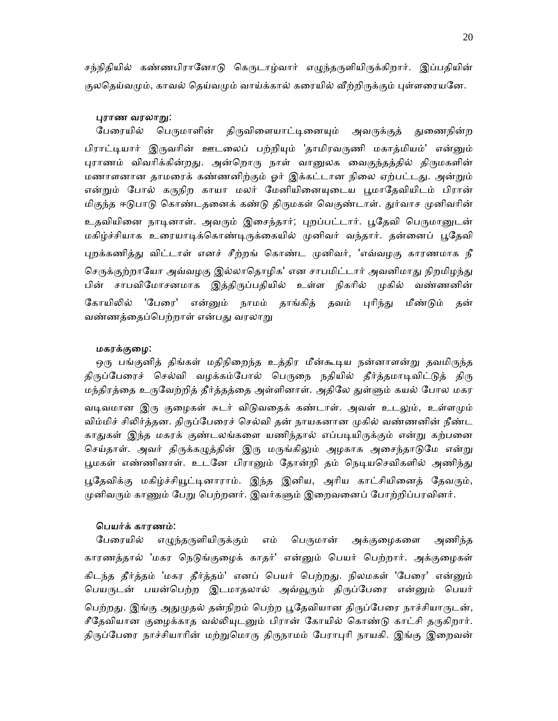சந்நிதியில் கண்ணபிரானோடு கெருடாழ்வார் எழுந்தருளியிருக்கிறார். இப்பதியின் குலதெய்வமும், காவல் தெய்வமும் வாய்க்கால் கரையில் வீற்றிருக்கும் புள்ளரையனே.

#### ᾗராண வரலாᾠ:

பேரையில் பெருமாளின் திருவிளையாட்டினையும் அவருக்குத் துணைநின்ற பிராட்டியார் இருவரின் ஊடலைப் பற்றியும் 'தாமிரவருணி மகாத்மியம்' என்னும் புராணம் விவரிக்கின்றது. அன்றொரு நாள் வானுலக வைகுந்தத்தில் திருமகளின் மணாளனான தாமரைக் கண்ணனிற்கும் ஓர் இக்கட்டான நிலை ஏற்பட்டது. அன்றும் என்றும் போல் கருநிற காயா மலர் மேனியினையுடைய பூமாதேவியிடம் பிரான் மிகுந்த ஈடுபாடு கொண்டதனைக் கண்டு திருமகள் வெகுண்டாள். துர்வாச முனிவரின் உதவியினை நாடினாள். அவரும் இசைந்தார்; புறப்பட்டார். பூதேவி பெருமானுடன் மகிழ்ச்சியாக உரையாடிக்கொண்டிருக்கையில் முனிவர் வந்தார். தன்னைப் பூதேவி புறக்கணித்து விட்டாள் எனச் சீற்றங் கொண்ட முனிவர், 'எவ்வழகு காரணமாக நீ செருக்குற்றாயோ அவ்வழகு இல்லாதொழிக' என சாபமிட்டார் அவனிமாது நிறமிழந்து பின் சாபவிமோசனமாக இத்திருப்பதியில் உள்ள நிகரில் முகில் வண்ணனின் கோயிலில் 'பேரை' என்னும் நாமம் தாங்கித் தவம் புரிந்து மீண்டும் தன் வண்ணத்தைப்பெற்றாள் என்பது வரலாறு

#### மகரக்குைழ:

ஒரு பங்குனித் திங்கள் மதிநிறைந்த உத்திர மீன்கூடிய நன்னாளன்று தவமிருந்த திருப்பேரைச் செல்வி வழக்கம்போல் பெருநை நதியில் தீர்த்தமாடிவிட்டுத் திரு மந்திரத்தை உருவேற்றித் தீர்த்தத்தை அள்ளினாள். அதிலே துள்ளும் கயல் போல மகர வடிவமான இரு குழைகள் சுடர் விடுவதைக் கண்டாள். அவள் உடலும், உள்ளமும் விம்மிச் சிலிர்த்தன. திருப்பேரைச் செல்வி தன் நாயகனான முகில் வண்ணனின் நீண்ட காதுகள் இந்த மகரக் குண்டலங்களை யணிந்தால் எப்படியிருக்கும் என்று கற்பனை செய்தாள். அவர் திருக்கழுத்தின் இரு மருங்கிலும் அழகாக அசைந்தாடுமே என்று பூமகள் எண்ணினாள். உடனே பிரானும் தோன்றி தம் நெடியசெவிகளில் அணிந்து பூதேவிக்கு மகிழ்ச்சியூட்டினாராம். இந்த இனிய, அரிய காட்சியினைத் தேவரும், முனிவரும் காணும் பேறு பெற்றனர். இவர்களும் இறைவனைப் போற்றிப்பரவினர்.

#### ெபயர்க் காரணம்:

பேரையில் எழுந்தருளியிருக்கும் எம் பெருமான் அக்குழைகளை அணிந்த காரணத்தால் 'மகர நெடுங்குழைக் காதர்' என்னும் பெயர் பெற்றார். அக்குழைகள் கிடந்த தீர்த்தம் 'மகர தீர்த்தம்' எனப் பெயர் பெற்றது. நிலமகள் 'பேரை' என்னும் பெயருடன் பயன்பெற்ற இடமாதலால் அவ்வூரும் திருப்பேரை என்னும் பெயர் பெற்றது. இங்கு அதுமுதல் தன்நிறம் பெற்ற பூதேவியான திருப்பேரை நாச்சியாருடன், சீதேவியான குழைக்காத வல்லியுடனும் பிரான் கோயில் கொண்டு காட்சி தருகிறார். திருப்பேரை நாச்சியாரின் மற்றுமொரு திருநாமம் பேராபுரி நாயகி. இங்கு இறைவன்

20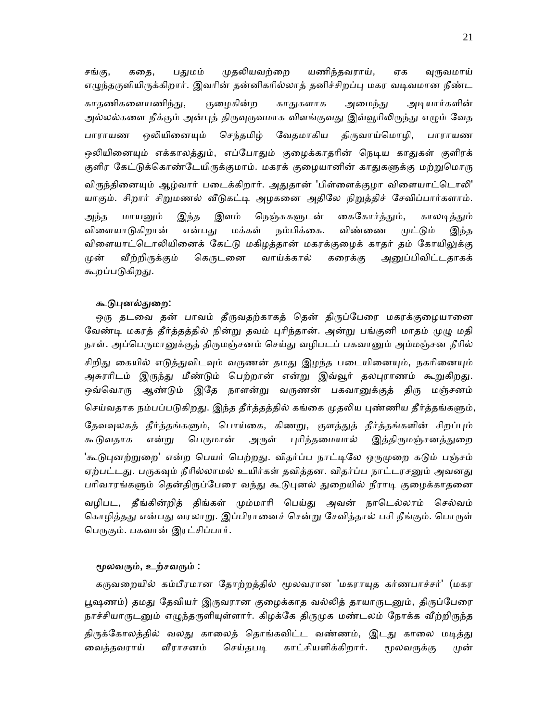சங்கு, ககை, பகுமம் முகலியவற்றை யணிந்தவராய், ஏக வருவமாய் எழுந்தருளியிருக்கிறார். இவரின் தன்னிகரில்லாத் தனிச்சிறப்பு மகர வடிவமான நீண்ட காதணிகளையணிந்து, குழைகின்ற காதுகளாக அமைந்து அடியார்களின் அல்லல்களை நீக்கும் அன்புத் திருவுருவமாக விளங்குவது இவ்வூரிலிருந்து எழும் வேத பாராயண ஒலியினையும் செந்தமிழ் வேதமாகிய திருவாய்மொழி, பாராயண ஒலியினையும் எக்காலத்தும், எப்போதும் குழைக்காதரின் நெடிய காதுகள் குளிரக் குளிர கேட்டுக்கொண்டேயிருக்குமாம். மகரக் குழையானின் காதுகளுக்கு மற்றுமொரு விருந்தினையும் ஆழ்வார் படைக்கிறார். அதுதான் 'பிள்ளைக்குழா விளையாட்டொலி' யாகும். சிறார் சிறுமணல் வீடுகட்டி அழகனை அதிலே நிறுத்திச் சேவிப்பார்களாம். அந்த மாயனும் இந்த இளம் நெஞ்சுகளுடன் கைகோர்த்தும், காலடித்தும் விளையாடுகிறான் என்பது மக்கள் நம்பிக்கை. விண்ணை முட்டும் இந்த விளையாட்டொலியினைக் கேட்டு மகிழத்தான் மகரக்குழைக் காதர் தம் கோயிலுக்கு முன் வீற்றிருக்கும் கெருடனை வாய்க்கால் கரைக்கு அனுப்பிவிட்டதாகக் கூறப்படுகிறது.

#### கூடுபுனல்துறை:

ஒரு தடவை தன் பாவம் தீருவதற்காகத் தென் திருப்பேரை மகரக்குழையானை வேண்டி மகரத் தீர்த்தத்தில் நின்று தவம் புரிந்தான். அன்று பங்குனி மாதம் முழு மதி நாள். அப்பெருமானுக்குத் திருமஞ்சனம் செய்து வழிபடப் பகவானும் அம்மஞ்சன நீரில் சிறிது கையில் எடுத்துவிடவும் வருணன் தமது இழந்த படையினையும், நகரினையும் அசுரரிடம் இருந்து மீண்டும் பெற்றான் என்று இவ்வூர் தலபுராணம் கூறுகிறது. ஒவ்வொரு ஆண்டும் இதே நாளன்று வருணன் பகவானுக்குத் திரு மஞ்சனம் செய்வதாக நம்பப்படுகிறது. இந்த தீர்த்தத்தில் கங்கை முதலிய புண்ணிய தீர்த்தங்களும், தேவவுலகத் தீர்த்தங்களும், பொய்கை, கிணறு, குளத்துத் தீர்த்தங்களின் சிறப்பும் கூடுவதாக என்று பெருமான் அருள் புரிந்தமையால் இத்திருமஞ்சனத்துறை 'கூடுபுனற்றுறை' என்ற பெயர் பெற்றது. விதர்ப்ப நாட்டிலே ஒருமுறை கடும் பஞ்சம் ஏற்பட்டது. பருகவும் நீரில்லாமல் உயிர்கள் தவித்தன. விதர்ப்ப நாட்டரசனும் அவனது பரிவாரங்களும் தென்திருப்பேரை வந்து கூடுபுனல் துறையில் நீராடி குழைக்காதனை வழிபட, தீங்கின்றித் திங்கள் மும்மாரி பெய்து அவன் நாடெல்லாம் செல்வம் கொழித்தது என்பது வரலாறு. இப்பிரானைச் சென்று சேவித்தால் பசி நீங்கும். பொருள் பெருகும். பகவான் இரட்சிப்பார்.

#### மூலவரும், உற்சவரும் :

கருவறையில் கம்பீரமான தோற்றத்தில் மூலவரான 'மகராயுத கர்ணபாச்சர்' (மகர பூஷணம்) தமது தேவியர் இருவரான குழைக்காத வல்லித் தாயாருடனும், திருப்பேரை நாச்சியாருடனும் எழுந்தருளியுள்ளார். கிழக்கே திருமுக மண்டலம் நோக்க வீற்றிருந்த திருக்கோலத்தில் வலது காலைத் தொங்கவிட்ட வண்ணம், இடது காலை மடித்து வைத்தவராய் வீராசனம் செய்தபடி காட்சியளிக்கிறார். மூலவருக்கு முன்

21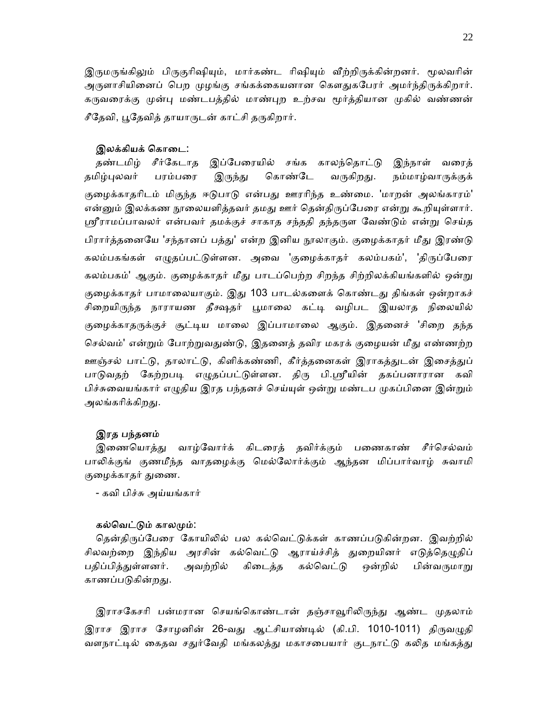இருமருங்கிலும் பிருகுரிஷியும், மார்கண்ட ரிஷியும் வீற்றிருக்கின்றனர். மூலவரின் அருளாசியினைப் பெற முழங்கு சங்கக்கையனான கௌதுகபேரர் அமர்ந்திருக்கிறார். கருவரைக்கு முன்பு மண்டபத்தில் மாண்புற உற்சவ மூர்த்தியான முகில் வண்ணன் சீதேவி, பூதேவித் தாயாருடன் காட்சி தருகிறார்.

#### இலக்கியக் கொடை:

தண்டமிழ் சீர்கேடாத இப்பேரையில் சங்க காலந்தொட்டு இந்நாள் வரைத் தமிழ்புலவர் பரம்பரை இருந்து கொண்டே வருகிறது. நம்மாழ்வாருக்குக் குழைக்காதரிடம் மிகுந்த ஈடுபாடு என்பது ஊரரிந்த உண்மை. 'மாறன் அலங்காரம்' என்னும் இலக்கண நூலையளித்தவர் தமது ஊர் தென்திருப்பேரை என்று கூறியுள்ளார். ஸ்ரீராமப்பாவலர் என்பவர் தமக்குச் சாகாத சந்ததி தந்தருள வேண்டும் என்று செய்த பிரார்த்தனையே 'சந்தானப் பத்து' என்ற இனிய நூலாகும். குழைக்காதர் மீது இரண்டு கலம்பகங்கள் எழுதப்பட்டுள்ளன. அவை 'குழைக்காதர் கலம்பகம்', 'திருப்பேரை கலம்பகம்' ஆகும். குழைக்காதர் மீது பாடப்பெற்ற சிறந்த சிற்றிலக்கியங்களில் ஒன்று குழைக்காதர் பாமாலையாகும். இது 103 பாடல்களைக் கொண்டது திங்கள் ஒன்றாகச் சிறையிருந்த நாராயண தீக்ஷதர் பூமாலை கட்டி வழிபட இயலாத நிலையில் குழைக்காதருக்குச் சூட்டிய மாலை இப்பாமாலை ஆகும். இதனைச் 'சிறை தந்த செல்வம்' என்றும் போற்றுவதுண்டு, இதனைத் தவிர மகரக் குழையன் மீது எண்ணற்ற ஊஞ்சல் பாட்டு, தாலாட்டு, கிளிக்கண்ணி, கீர்த்தனைகள் இராகத்துடன் இசைத்துப் பாடுவதற் கேற்றபடி எழுதப்பட்டுள்ளன. திரு பி.ஸ்ரீயின் தகப்பனாரான கவி பிச்சுவையங்கார் எழுதிய இரத பந்தனச் செய்யுள் ஒன்று மண்டப முகப்பினை இன்றும் அலங்கரிக்கிறது.

#### இரத பந்தனம்

இணையொத்து வாழ்வோர்க் கிடரைத் தவிர்க்கும் பணைகாண் சீர்செல்வம் பாலிக்குங் குணமீந்த வாதழைக்கு மெல்லோர்க்கும் ஆந்தன மிப்பார்வாழ் சுவாமி குழைக்காதர் துணை.

- கவி பிச்சு அய்யங்கார்

#### கல்வெட்டும் காலமும்:

தென்திருப்பேரை கோயிலில் பல கல்வெட்டுக்கள் காணப்படுகின்றன. இவற்றில் சிலவற்றை இந்திய அரசின் கல்வெட்டு ஆராய்ச்சித் துறையினர் எடுத்தெழுதிப் பதிப்பித்துள்ளனர். அவற்றில் கிடைத்த கல்வெட்டு ஒன்றில் பின்வருமாறு காணப்படுகின்றது.

இராசகேசரி பன்மரான செயங்கொண்டான் தஞ்சாவூரிலிருந்து ஆண்ட முதலாம் இராச இராச சோழனின் 26-வது ஆட்சியாண்டில் (கி.பி. 1010-1011) திருவழுதி வளநாட்டில் கைதவ சதுர்வேதி மங்கலத்து மகாசபையார் குடநாட்டு கலித மங்கத்து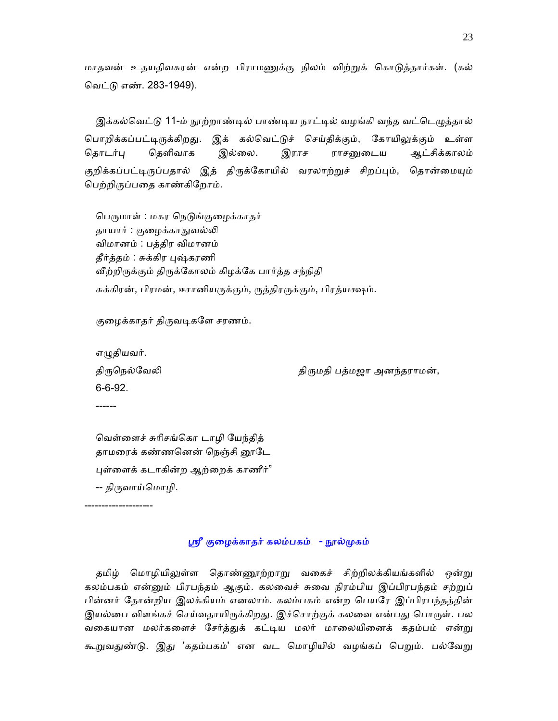மாதவன் உதயதிவசுரன் என்ற பிராமணுக்கு நிலம் விற்றுக் கொடுத்தார்கள். (கல் ெவட்ᾌ எண். 283-1949).

இக்கல்வெட்டு 11-ம் நூற்றாண்டில் பாண்டிய நாட்டில் வழங்கி வந்த வட்டெழுத்தால் பொறிக்கப்பட்டிருக்கிறது. இக் கல்வெட்டுச் செய்திக்கும், கோயிலுக்கும் உள்ள தொடர்பு தெளிவாக இல்லை. இராச ராசனுடைய ஆட்சிக்காலம் குறிக்கப்பட்டிருப்பதால் இத் திருக்கோயில் வரலாற்றுச் சிறப்பும், தொன்மையும் ெபற்றிᾞப்பைத காண்கிேறாம்.

பெருமாள் : மகர நெடுங்குழைக்காதர் தாயார் : குழைக்காதுவல்லி விமானம் : பத்திர விமானம் தீர்த்தம் : சுக்கிர புஷ்கரணி வீற்றிருக்கும் திருக்கோலம் கிழக்கே பார்த்த சந்நிதி சுக்கிரன், பிரமன், ஈசானியருக்கும், ருத்திரருக்கும், பிரத்யக்ஷம்.

குழைக்காதர் திருவடிகளே சரணம்.

எழுதியவர். 6-6-92.

--------------------

------

திருநெல்வேலி கால் திருமதி பத்மஜா அனந்தராமன்,

 ெவள்ைளச் சுாிசங்ெகா டாழி ேயந்தித் தாமரைக் கண்ணனென் நெஞ்சி னூடே ᾗள்ைளக் கடாகின்ற ஆற்ைறக் காணீர்" -- திᾞவாய்ெமாழி.

ஸ்ரீ குழைக்காதர் கலம்பகம் - நூல்முகம்

தமிழ் மொழியிலுள்ள தொண்ணூற்றாறு வகைச் சிற்றிலக்கியங்களில் ஒன்று கலம்பகம் என்னும் பிரபந்தம் ஆகும். கலவைச் சுவை நிரம்பிய இப்பிரபந்தம் சற்றுப் பின்னர் தோன்றிய இலக்கியம் எனலாம். கலம்பகம் என்ற பெயரே இப்பிரபந்தத்தின் இயல்பை விளங்கச் செய்வதாயிருக்கிறது. இச்சொற்குக் கலவை என்பது பொருள். பல வகையான மலர்களைச் சேர்த்துக் கட்டிய மலர் மாலையினைக் கதம்பம் என்று கூறுவதுண்டு. இது 'கதம்பகம்' என வட மொழியில் வழங்கப் பெறும். பல்வேறு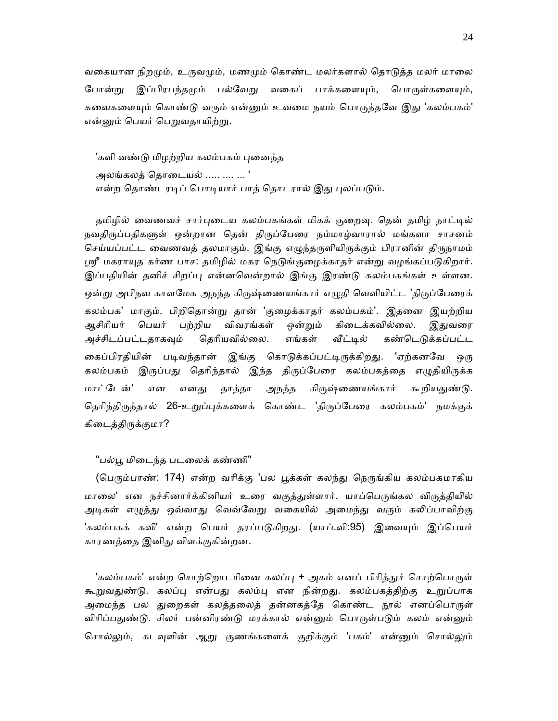வகையான நிறமும், உருவமும், மணமும் கொண்ட மலர்களால் தொடுத்த மலர் மாலை போன்று இப்பிரபந்தமும் பல்வேறு வகைப் பாக்களையும், பொருள்களையும், சுவைகளையும் கொண்டு வரும் என்னும் உவமை நயம் பொருந்தவே இது 'கலம்பகம்' என்னும் பெயர் பெறுவதாயிற்று.

'களி வண்டு மிழற்றிய கலம்பகம் புனைந்த அலங்கலத் தொடையல் ..... .... ... ' என்ற தொண்டரடிப் பொடியார் பாத் தொடரால் இது புலப்படும்.

தமிழில் வைணவச் சார்புடைய கலம்பகங்கள் மிகக் குறைவு. தென் தமிழ் நாட்டில் நவதிருப்பதிகளுள் ஒன்றான தென் திருப்பேரை நம்மாழ்வாரால் மங்களா சாசனம் செய்யப்பட்ட வைணவத் தலமாகும். இங்கு எழுந்தருளியிருக்கும் பிரானின் திருநாமம் ஸ்ரீ மகராயுத கர்ண பாச: தமிழில் மகர நெடுங்குழைக்காதர் என்று வழங்கப்படுகிறார். இப்பதியின் தனிச் சிறப்பு என்னவென்றால் இங்கு இரண்டு கலம்பகங்கள் உள்ளன. ஒன்று அபிநவ காளமேக அநந்த கிருஷ்ணையங்கார் எழுதி வெளியிட்ட 'திருப்பேரைக் கலம்பக' மாகும். பிறிெதான்ᾠ தான் 'குைழக்காதர் கலம்பகம்'. இதைன இயற்றிய ஆசிரியர் பெயர் பற்றிய விவரங்கள் ஒன்றும் கிடைக்கவில்லை. இதுவரை அச்சிடப்பட்டதாகவும் தெரியவில்லை. எங்கள் வீட்டில் கண்டெடுக்கப்பட்ட கைப்பிரதியின் படிவந்தான் இங்கு கொடுக்கப்பட்டிருக்கிறது. 'ஏற்கனவே ஒரு கலம்பகம் இருப்பது தெரிந்தால் இந்த திருப்பேரை கலம்பகத்தை எழுதியிருக்க மாட்டேன்' என எனது தாத்தா அநந்த கிருஷ்ணையங்கார் கூறியதுண்டு. தெரிந்திருந்தால் 26-உறுப்புக்களைக் கொண்ட 'திருப்பேரை கலம்பகம்' நமக்குக் கிடைத்திருக்குமா?

#### "பல்பூ மிடைந்த படலைக் கண்ணி"

(பெரும்பாண்: 174) என்ற வரிக்கு 'பல பூக்கள் கலந்து நெருங்கிய கலம்பகமாகிய மாலை' என நச்சினார்க்கினியர் உரை வகுத்துள்ளார். யாப்பெருங்கல விருத்தியில் அடிகள் எழுத்து ஒவ்வாது வெவ்வேறு வகையில் அமைந்து வரும் கலிப்பாவிற்கு 'கலம்பகக் கவி' என்ற பெயர் தரப்படுகிறது. (யாப்.வி:95) இவையும் இப்பெயர் காரணத்ைத இனிᾐ விளக்குகின்றன.

'கலம்பகம்' என்ற சொற்றொடரினை கலப்பு + அகம் எனப் பிரித்துச் சொற்பொருள் கூறுவதுண்டு. கலப்பு என்பது கலம்பு என நின்றது. கலம்பகத்திற்கு உறுப்பாக அமைந்த பல துறைகள் கலத்தலைத் தன்னகத்தே கொண்ட நூல் எனப்பொருள் விரிப்பதுண்டு. சிலர் பன்னிரண்டு மரக்கால் என்னும் பொருள்படும் கலம் என்னும் சொல்லும், கடவுளின் ஆறு குணங்களைக் குறிக்கும் 'பகம்' என்னும் சொல்லும்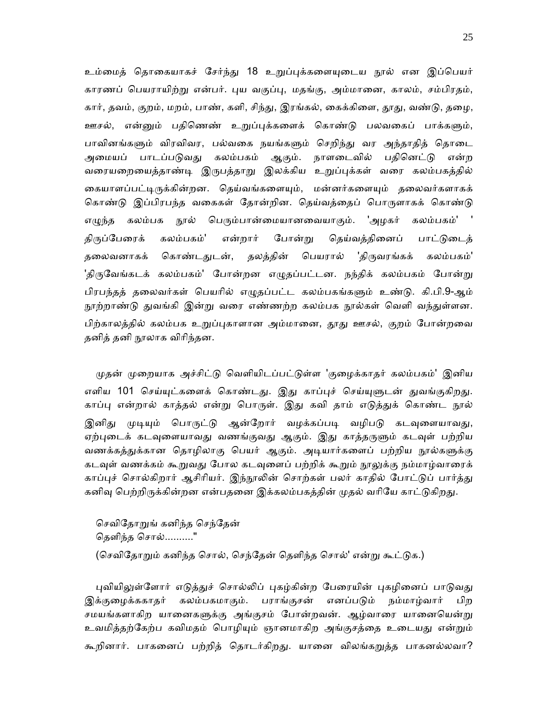உம்மைத் தொகையாகச் சேர்ந்து 18 உறுப்புக்களையுடைய நூல் என இப்பெயர் காரணப் பெயராயிற்று என்பர். புய வகுப்பு, மதங்கு, அம்மானை, காலம், சம்பிரதம், கார், தவம், குறம், மறம், பாண், களி, சிந்து, இரங்கல், கைக்கிளை, தூது, வண்டு, தழை, ஊசல், என்னும் பதிணெண் உறுப்புக்களைக் கொண்டு பலவகைப் பாக்களும், பாவினங்களும் விரவிவர, பல்வகை நயங்களும் செறிந்து வர அந்தாதித் தொடை அமையப் பாடப்படுவது கலம்பகம் ஆகும். நாளடைவில் பதினெட்டு என்ற வரையறையைத்தாண்டி இருபத்தாறு இலக்கிய உறுப்புக்கள் வரை கலம்பகத்தில் கையாளப்பட்டிருக்கின்றன. தெய்வங்களையும், மன்னர்களையும் தலைவர்களாகக் கொண்டு இப்பிரபந்த வகைகள் தோன்றின. தெய்வத்தைப் பொருளாகக் கொண்டு எழுந்த கலம்பக நூல் பெரும்பான்மையானவையாகும். 'அழகர் கலம்பகம்' ' திருப்பேரைக் கலம்பகம்' என்றார் போன்று தெய்வத்தினைப் பாட்டுடைத் தலைவனாகக் கொண்டதுடன், தலத்தின் பெயரால் 'திருவரங்கக் கலம்பகம்' 'திருவேங்கடக் கலம்பகம்' போன்றன எழுதப்பட்டன. நந்திக் கலம்பகம் போன்று பிரபந்தத் தலைவர்கள் பெயரில் எழுதப்பட்ட கலம்பகங்களும் உண்டு. கி.பி.9-ஆம் நூற்றாண்டு துவங்கி இன்று வரை எண்ணற்ற கலம்பக நூல்கள் வெளி வந்துள்ளன. பிற்காலத்தில் கலம்பக உறுப்புகாளான அம்மானை, தூது ஊசல், குறம் போன்றவை தனித் தனி நூலாக விரிந்தன.

முதன் முறையாக அச்சிட்டு வெளியிடப்பட்டுள்ள 'குழைக்காதர் கலம்பகம்' இனிய எளிய 101 செய்யுட்களைக் கொண்டது. இது காப்புச் செய்யுளுடன் துவங்குகிறது. காப்பு என்றால் காத்தல் என்று பொருள். இது கவி தாம் எடுத்துக் கொண்ட நூல் இனிது முடியும் பொருட்டு ஆன்றோர் வழக்கப்படி வழிபடு கடவுளையாவது, ஏற்புடைக் கடவுளையாவது வணங்குவது ஆகும். இது காத்தருளும் கடவுள் பற்றிய வணக்கத்துக்கான தொழிலாகு பெயர் ஆகும். அடியார்களைப் பற்றிய நூல்களுக்கு கடவுள் வணக்கம் கூறுவது போல கடவுளைப் பற்றிக் கூறும் நூலுக்கு நம்மாழ்வாரைக் காப்புச் சொல்கிறார் ஆசிரியர். இந்நூலின் சொற்கள் பலர் காதில் போட்டுப் பார்த்து கனிவு பெற்றிருக்கின்றன என்பதனை இக்கலம்பகத்தின் முதல் வரியே காட்டுகிறது.

செவிதோறுங் கனிந்த செந்தேன் தெளிந்த சொல்.........." (செவிதோறும் கனிந்த சொல், செந்தேன் தெளிந்த சொல்' என்று கூட்டுக.)

புவியிலுள்ளோர் எடுத்துச் சொல்லிப் புகழ்கின்ற பேரையின் புகழினைப் பாடுவது இக்குழைக்ககாதர் கலம்பகமாகும். பராங்குசன் எனப்படும் நம்மாழ்வார் பிற சமயங்களாகிற யானைகளுக்கு அங்குசம் போன்றவன். ஆழ்வாரை யானையென்று உவமித்தற்கேற்ப கவிமதம் பொழியும் ஞானமாகிற அங்குசத்தை உடையது என்றும் கூறினார். பாகனைப் பற்றித் தொடர்கிறது. யானை விலங்கறுத்த பாகனல்லவா?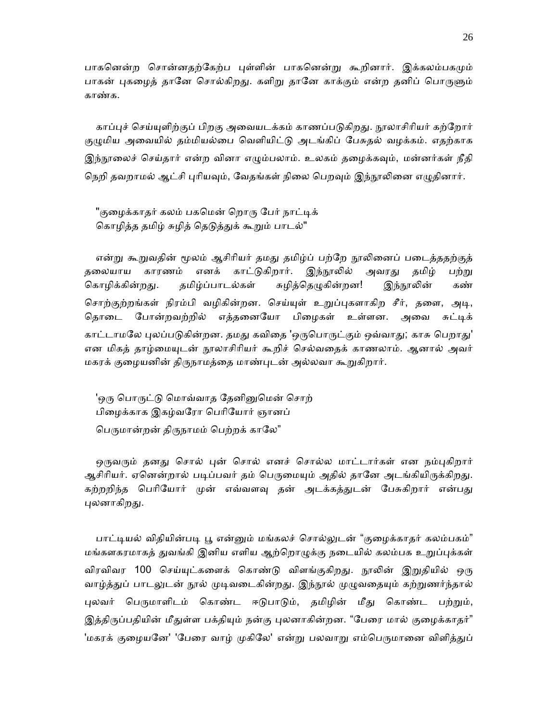பாகனென்ற சொன்னதற்கேற்ப புள்ளின் பாகனென்று கூறினார். இக்கலம்பகமும் பாகன் புகழைத் தானே சொல்கிறது. களிறு தானே காக்கும் என்ற தனிப் பொருளும் காண்க.

காப்புச் செய்யுளிற்குப் பிறகு அவையடக்கம் காணப்படுகிறது. நூலாசிரியர் கற்றோர் குழுமிய அவையில் தம்மியல்பை வெளியிட்டு அடங்கிப் பேசுதல் வழக்கம். எதற்காக இந்நூலைச் செய்தார் என்ற வினா எழும்பலாம். உலகம் தழைக்கவும், மன்னர்கள் நீதி நெறி தவறாமல் ஆட்சி புரியவும், வேதங்கள் நிலை பெறவும் இந்நூலினை எழுதினார்.

"குமைக்காதர் கலம் பகமென் றொரு பேர் நாட்டிக் கொழித்த தமிழ் சுழித் தெடுத்துக் கூறும் பாடல்"

என்று கூறுவதின் மூலம் ஆசிரியர் தமது தமிழ்ப் பற்றே நூலினைப் படைத்ததற்குத் தலையாய காரணம் எனக் காட்டுகிறார். இந்நூலில் அவரது தமிழ் பற்று கொழிக்கின்றது. தமிழ்ப்பாடல்கள் சுழித்தெழுகின்றன! இந்நூலின் கண் சொற்குற்றங்கள் நிரம்பி வழிகின்றன. செய்யுள் உறுப்புகளாகிற சீர், தளை, அடி, தொடை போன்றவற்றில் எத்தனையோ பிழைகள் உள்ளன. அவை சுட்டிக் காட்டாமலே புலப்படுகின்றன. தமது கவிதை 'ஒருபொருட்கும் ஒவ்வாது; காசு பெறாது' என மிகத் தாழ்மையுடன் நூலாசிரியர் கூறிச் செல்வதைக் காணலாம். ஆனால் அவர் மகரக் குழையனின் திருநாமத்தை மாண்புடன் அல்லவா கூறுகிறார்.

'ஒரு பொருட்டு மொவ்வாத தேனினுமென் சொற் பிைழக்காக இகழ்வேரா ெபாிேயார் ஞானப் பெருமான்றன் திருநாமம் பெற்றக் காலே"

ஒருவரும் தனது சொல் புன் சொல் எனச் சொல்ல மாட்டார்கள் என நம்புகிறார் ஆசிரியர். ஏனென்றால் படிப்பவர் தம் பெருமையும் அதில் தானே அடங்கியிருக்கிறது. கற்றறிந்த பெரியோர் முன் எவ்வளவு தன் அடக்கத்துடன் பேசுகிறார் என்பது புலனாகிறது.

பாட்டியல் விதியின்படி பூ என்னும் மங்கலச் சொல்லுடன் "குழைக்காதர் கலம்பகம்" மங்களகரமாகத் துவங்கி இனிய எளிய ஆற்றொழுக்கு நடையில் கலம்பக உறுப்புக்கள் விரவிவர 100 செய்யுட்களைக் கொண்டு விளங்குகிறது. நூலின் இறுதியில் ஒரு வாழ்த்துப் பாடலுடன் நூல் முடிவடைகின்றது. இந்நூல் முழுவதையும் கற்றுணர்ந்தால் புலவர் பெருமாளிடம் கொண்ட ஈடுபாடும், தமிழின் மீது கொண்ட பற்றும், இத்திருப்பதியின் மீதுள்ள பக்தியும் நன்கு புலனாகின்றன. "பேரை மால் குழைக்காதர்" 'மகரக் குழையனே' 'பேரை வாழ் முகிலே' என்று பலவாறு எம்பெருமானை விளித்துப்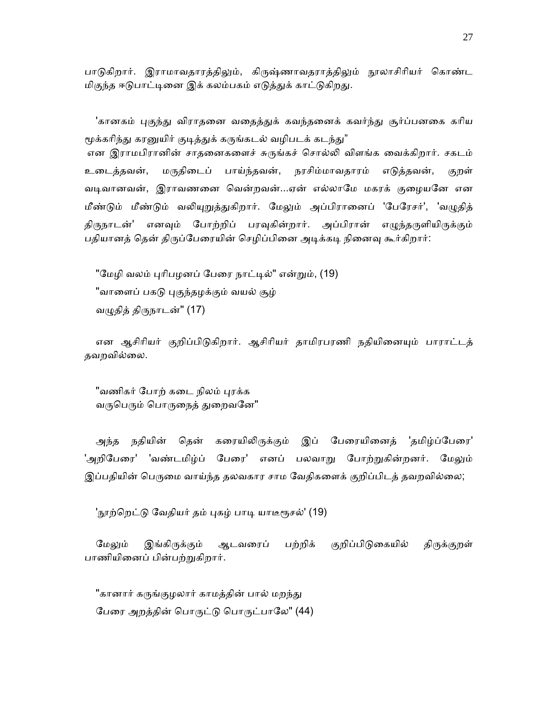பாடுகிறார். இராமாவதாரத்திலும், கிருஷ்ணாவதராத்திலும் நூலாசிரியர் கொண்ட மிகுந்த ஈடுபாட்டினை இக் கலம்பகம் எடுத்துக் காட்டுகிறது.

'கானகம் புகுந்து விராதனை வதைத்துக் கவந்தனைக் கவர்ந்து சூர்ப்பனகை கரிய மூக்கரிந்து கரனுயிர் குடித்துக் கருங்கடல் வழிபடக் கடந்து" என இராமபிரானின் சாதனைகளைச் சுருங்கச் சொல்லி விளங்க வைக்கிறார். சகடம் உைடத்தவன், மᾞதிைடப் பாய்ந்தவன், நரசிம்மாவதாரம் எᾌத்தவன், குறள்

வடிவானவன், இராவணனை வென்றவன்...ஏன் எல்லாமே மகரக் குழையனே என மீண்டும் மீண்டும் வலியுறுத்துகிறார். மேலும் அப்பிரானைப் 'பேரேசர்', 'வழுதித் திருநாடன்' எனவும் போற்றிப் பரவுகின்றார். அப்பிரான் எழுந்தருளியிருக்கும் பதியானத் தென் திருப்பேரையின் செழிப்பினை அடிக்கடி நினைவு கூர்கிறார்:

"மேழி வலம் புரிபழனப் பேரை நாட்டில்" என்றும், (19) "வாளைப் பகடு புகுந்தழக்கும் வயல் சூழ் வழுதித் திருநாடன்"  $(17)$ 

என ஆசிரியர் குறிப்பிடுகிறார். ஆசிரியர் தாமிரபரணி நதியினையும் பாராட்டத் தவறவில்ைல.

"வணிகர் போற் கடை நிலம் புரக்க வருபெரும் பொருநைத் துறைவனே"

அந்த நதியின் தென் கரையிலிருக்கும் இப் பேரையினைத் 'தமிழ்ப்பேரை' 'அறிபேரை' 'வண்டமிழ்ப் பேரை' எனப் பலவாறு போற்றுகின்றனர். மேலும் இப்பதியின் பெருமை வாய்ந்த தலவகார சாம வேதிகளைக் குறிப்பிடத் தவறவில்லை;

'நூற்றெட்டு வேதியர் தம் புகழ் பாடி யாடீரூசல்' (19)

மேலும் இங்கிருக்கும் ஆடவரைப் பற்றிக் குறிப்பிடுகையில் திருக்குறள் பாணியினைப் பின்பற்றுகிறார்.

"கானார் கருங்குழலார் காமத்தின் பால் மறந்து பேரை அறத்தின் பொருட்டு பொருட்பாலே" (44)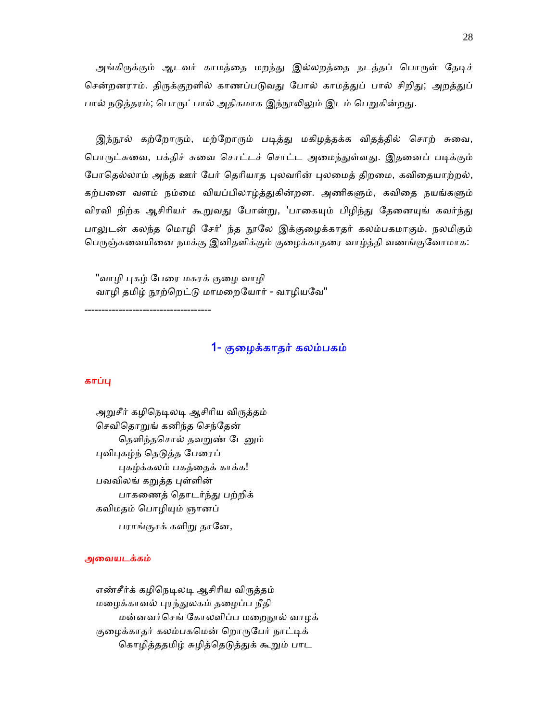அங்கிருக்கும் ஆடவர் காமத்தை மறந்து இல்லறத்தை நடத்தப் பொருள் தேடிச் சென்றனராம். திருக்குறளில் காணப்படுவது போல் காமத்துப் பால் சிறிது; அறத்துப் பால் நடுத்தரம்; பொருட்பால் அதிகமாக இந்நூலிலும் இடம் பெறுகின்றது.

இந்நூல் கற்றோரும், மற்றோரும் படித்து மகிழத்தக்க விதத்தில் சொற் சுவை, பொருட்சுவை, பக்திச் சுவை சொட்டச் சொட்ட அமைந்துள்ளது. இதனைப் படிக்கும் போதெல்லாம் அந்த ஊர் பேர் தெரியாத புலவரின் புலமைத் திறமை, கவிதையாற்றல், கற்பனை வளம் நம்மை வியப்பிலாழ்த்துகின்றன. அணிகளும், கவிதை நயங்களும் விரவி நிற்க ஆசிரியர் கூறுவது போன்று, 'பாகையும் பிழிந்து தேனையுங் கவர்ந்து பாலுடன் கலந்த மொழி சேர்' ந்த நூலே இக்குழைக்காதர் கலம்பகமாகும். நலமிகும் பெருஞ்சுவையினை நமக்கு இனிதளிக்கும் குழைக்காதரை வாழ்த்தி வணங்குவோமாக:

"வாழி புகழ் பேரை மகரக் குழை வாழி வாழி தமிழ் நூற்றெட்டு மாமறையோர் - வாழியவே"

1- குைழக்காதர் கலம்பகம்

### காப்பு

அறுசீர் கழிநெடிலடி ஆசிரிய விருத்தம் ெசவிெதாᾠங் கனிந்த ெசந்ேதன் தெளிந்தசொல் தவறுண் டேனும் புவிபுகழ்ந் தெடுத்த பேரைப் புகழ்க்கலம் பகத்தைக் காக்க! பவவிலங் கறுத்த புள்ளின் பாகணைத் தொடர்ந்து பற்றிக் கவிமதம் ெபாழிᾜம் ஞானப் பராங்குசக் களிறு தானே,

-------------------------------------

#### அைவயடக்கம்

எண்சீர்க் கழிநெடிலடி ஆசிரிய விருத்தம் மைழக்காவல் ᾗரந்ᾐலகம் தைழப்ப நீதி மன்னவர்செங் கோலளிப்ப மறைநூல் வாழக் குழைக்காதர் கலம்பகமென் றொருபேர் நாட்டிக் கொழித்ததமிழ் சுழித்தெடுத்துக் கூறும் பாட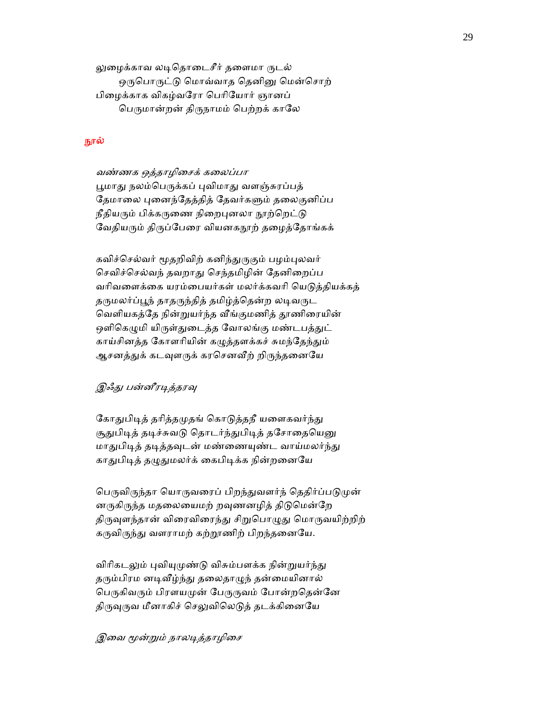லுழைக்காவ லடிதொடைசீர் தளைமா ருடல் ஒருபொருட்டு மொவ்வாத தெனினு மென்சொற் பிைழக்காக விகழ்வேரா ெபாிேயார் ஞானப் பெருமான்றன் திருநாமம் பெற்றக் காலே

# நூல்

 வண்ணக ஒத்தாழிைசக் கைலப்பா பூமாது நலம்பெருக்கப் புவிமாது வளஞ்சுரப்பத் தேமாலை புனைந்தேத்தித் தேவர்களும் தலைகுனிப்ப நீதியரும் பிக்கருணை நிறைபுனலா நூற்றெட்டு வேதியரும் திருப்பேரை வியனகநூற் தழைத்தோங்கக்

கவிச்செல்வர் மூதறிவிற் கனிந்துருகும் பழம்புலவர் ெசவிச்ெசல்வந் தவறாᾐ ெசந்தமிழின் ேதனிைறப்ப வரிவளைக்கை யரம்பையர்கள் மலர்க்கவரி யெடுத்தியக்கத் தருமலர்ப்பூந் தாதருந்தித் தமிழ்த்தென்ற லடிவருட வெளியகத்தே நின்றுயர்ந்த வீங்குமணித் தூணிரையின் ஒளிகெழுமி யிருள்துடைத்த வோலங்கு மண்டபத்துட் காய்சினத்த கோளரியின் கழுத்தளக்கச் சுமந்தேந்தும் ஆசனத்துக் கடவுளருக் கரசெனவீற் றிருந்தனையே

# இஃது பன்னீரடித்தரவு

கோதுபிடித் தரித்தமுதங் கொடுத்தநீ யளைகவர்ந்து சூதுபிடித் தடிச்சுவடு தொடர்ந்துபிடித் தசோதையெனு மாதுபிடித் தடித்தவுடன் மண்ணையுண்ட வாய்மலர்ந்து காதுபிடித் தழுதுமலர்க் கைபிடிக்க நின்றனையே

பெருவிருந்தா யொருவரைப் பிறந்துவளர்ந் தெதிர்ப்படுமுன் னருகிருந்த மதலையைமற் றவுணனழித் திடுமென்றே திருவுளந்தான் விரைவிரைந்து சிறுபொழுது மொருவயிற்றிற் கருவிருந்து வளராமற் கற்றூணிற் பிறந்தனையே.

விரிகடலும் புவியுமுண்டு விசும்பளக்க நின்றுயர்ந்து தரும்பிரம னடிவீழ்ந்து தலைதாழுந் தன்மையினால் பெருகிவரும் பிரளயமுன் பேருருவம் போன்றதென்னே திருவுருவ மீனாகிச் செலுவிலெடுத் தடக்கினையே

## இவை மூன்றும் நாலடித்தாழிசை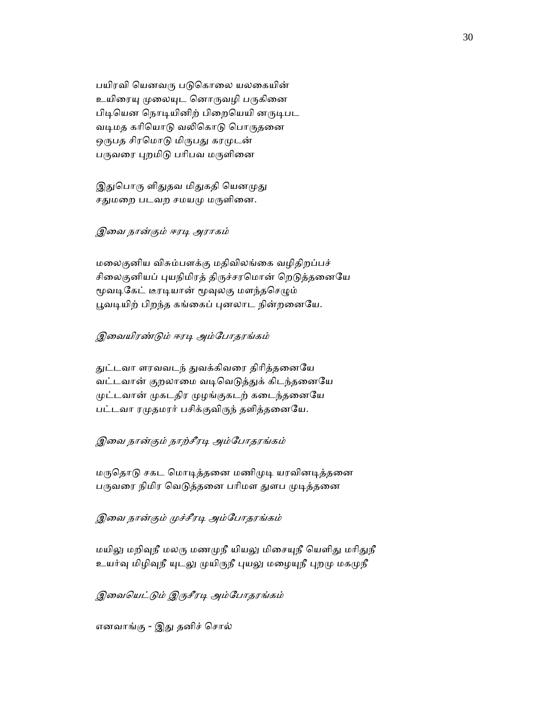பயிரவி யெனவரு படுகொலை யலகையின் உயிரையு முலையுட னொருவழி பருகினை பிடியென நொடியினிற் பிறையெயி னருடிபட வடிமத கரியொடு வலிகொடு பொருதனை ஒருபத சிரமொடு மிருபது கரமுடன் பருவரை புறமிடு பரிபவ மருளினை

இதுபொரு ளிதுதவ மிதுகதி யெனமுது சதுமறை படவற சமயமு மருளினை.

### இவை நான்கும் ஈரடி அராகம்

 மைலகுனிய விசும்பளக்கு மதிவிலங்ைக வழிதிறப்பச் சிலைகுனியப் புயநிமிரத் திருச்சரமொன் றெடுத்தனையே மூவடிகேட் டீரடியான் மூவுலகு மளந்தசெழும் பூவடியிற் பிறந்த கங்கைப் புனலாட நின்றனையே.

# இவையிரண்டும் ஈரடி அம்போதரங்கம்

துட்டவா ளரவவடந் துவக்கிவரை திரித்தனையே வட்டவான் குறலாமை வடிவெடுத்துக் கிடந்தனையே முட்டவான் முகடதிர முழங்குகடற் கடைந்தனையே பட்டவா ரமுதமரர் பசிக்குவிருந் தளித்தனையே.

## இவை நான்கும் நாற்சீரடி அம்போதரங்கம்

மருதொடு சகட மொடித்தனை மணிமுடி யரவினடித்தனை பருவரை நிமிர வெடுத்தனை பரிமள துளப முடித்தனை

### இவை நான்கும் முச்சீரடி அம்போதரங்கம்

மயிலு மறிவுநீ மலரு மணமுநீ யியலு மிசையுநீ யெளிது மரிதுநீ உயர்வு மிழிவுநீ யுடலு முயிருநீ புயலு மழையுநீ புறமு மகமுநீ

இவையெட்டும் இருசீரடி அம்போதரங்கம்

எனவாங்கு - இᾐ தனிச் ெசால்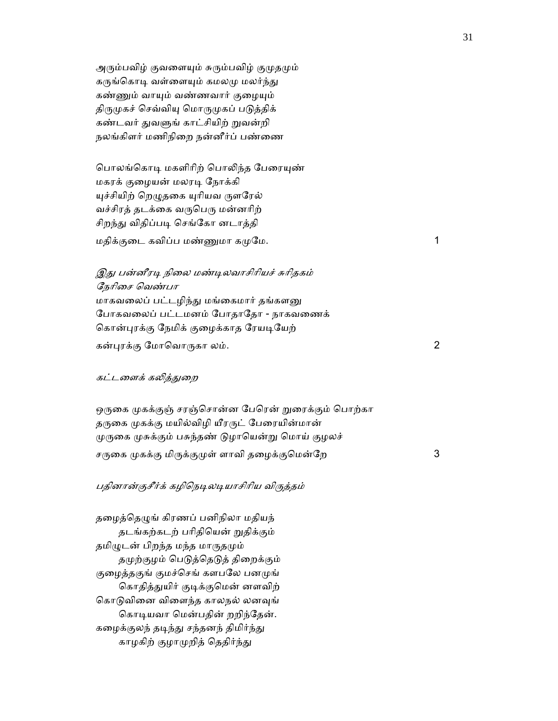அரும்பவிழ் குவளையும் சுரும்பவிழ் குமுதமும் கருங்கொடி வள்ளையும் கமலமு மலர்ந்து கண்ணும் வாயும் வண்ணவார் குழையும் திருமுகச் செவ்வியு மொருமுகப் படுத்திக் கண்டவர் துவளுங் காட்சியிற் றுவன்றி நலங்கிளர் மணிநிைற நன்னீர்ப் பண்ைண

பொலங்கொடி மகளிரிற் பொலிந்த பேரையுண் மகரக் குைழயன் மலரᾊ ேநாக்கி யுச்சியிற் றெழுதகை யுரியவ ருளரேல் வச்சிரத் தடக்கை வருபெரு மன்னரிற் சிறந்து விதிப்படி செங்கோ னடாத்தி

மதிக்குடை கவிப்ப மண்ணுமா கமுமே.  $1$ 

இது பன்னீரடி நிலை மண்டிலவாசிரியச் சுரிதகம் ேநாிைச ெவண்பா மாகவலைப் பட்டழிந்து மங்கைமார் தங்களனு ேபாகவைலப் பட்டமனம் ேபாதாேதா - நாகவைணக் கொன்புரக்கு நேமிக் குழைக்காத ரேயடியேற் கன்ᾗரக்கு ேமாெவாᾞகா லம். 2

## கட்டளைக் கலித்துறை

ஒருகை முகக்குஞ் சரஞ்சொன்ன பேரென் றுரைக்கும் பொற்கா தருகை முகக்கு மயில்விழி யீரருட் பேரையின்மான் முருகை முசுக்கும் பசுந்தண் டுழாயென்று மொய் குழலச் சᾞைக ᾙகக்கு மிᾞக்குᾙள் ளாவி தைழக்குெமன்ேற 3

## பதினான்குசீர்க் கழிநெடிலடியாசிரிய விருத்தம்

தழைத்தெழுங் கிரணப் பனிநிலா மதியந் தடங்கற்கடற் பாிதிெயன் ᾠதிக்கும் தமிழுடன் பிறந்த மந்த மாருதமும் தமுற்குழம் பெடுத்தெடுத் திறைக்கும் குழைத்தகுங் குமச்செங் களபலே பனமுங் கொதித்துயிர் குடிக்குமென் னளவிற் கொடுவினை விளைந்த காலநல் லனவுங் கொடியவா மென்பதின் றறிந்தேன். கழைக்குலந் தடிந்து சந்தனந் திமிர்ந்து காழகிற் குழாமுறித் தெதிர்ந்து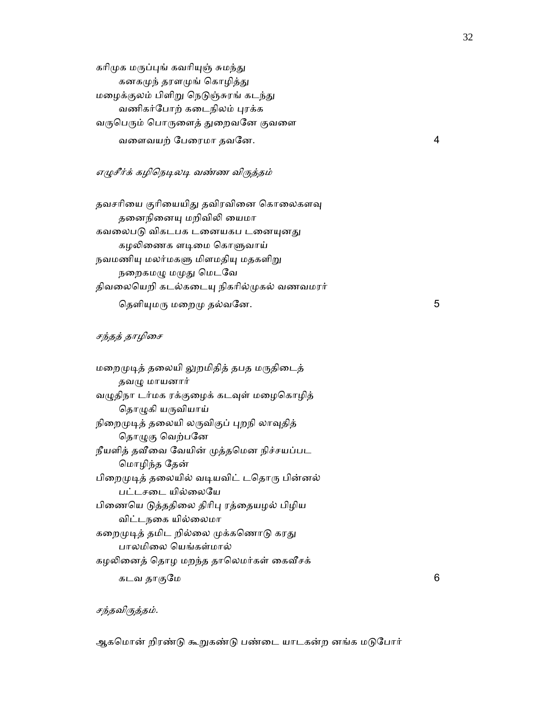கரிமுக மருப்புங் கவரியுஞ் சுமந்து கனகமுந் தரளமுங் கொழித்து மழைக்குலம் பிளிறு நெடுஞ்சுரங் கடந்து வணிகர்போற் கடைநிலம் புரக்க வருபெரும் பொருளைத் துறைவனே குவளை வைளவயற் ேபைரமா தவேன. 4

# எழுசீர்க் கழிநெடிலடி வண்ண விருத்தம்

தவசரியை குரியையிது தவிரவினை கொலைகளவு தனைநினையு மறிவிலி யைமா கவலைபடு விகடபக டனையகப டனையுனது கழலிணைக ளடிமை கொளுவாய் நவமணியு மலர்மகளு மிளமதியு மதகளிறு நறைகமழு மமுது மெடவே திவலையெறி கடல்கடையு நிகரில்முகல் வணவமரர் தெளியுமரு மறைமு தல்வனே.  $5$ 

#### சந்தத் தாழிசை

| மறைமுடித் தலையி லுறமிதித் தபத மருதிடைத்   |   |
|-------------------------------------------|---|
| தவழு மாயனார்                              |   |
| வழுதிநா டர்மக ரக்குழைக் கடவுள் மழைகொழித்  |   |
| தொழுகி யருவியாய்                          |   |
| நிறைமுடித் தலையி லருவிகுப் புறநி லாவுதித் |   |
| தொழுகு வெற்பனே                            |   |
| நீயளித் தவீவை வேயின் முத்தமென நிச்சயப்பட  |   |
| மொழிந்த தேன்                              |   |
| பிறைமுடித் தலையில் வடியவிட் டதொரு பின்னல் |   |
| பட்டசடை யில்லையே                          |   |
| பிணையெ டுத்ததிலை திரிபு ரத்தையழல் பிழிய   |   |
| விட்டநகை யில்லைமா                         |   |
| கறைமுடித் தமிட றில்லை முக்கணொடு கரது      |   |
| பாலமிலை யெங்கள்மால்                       |   |
| கழலினைத் தொழ மறந்த தாலெமர்கள் கைவீசக்     |   |
| கடவ தாகுமே                                | 6 |
|                                           |   |

## சந்தவிருத்தம்.

ஆகமொன் றிரண்டு கூறுகண்டு பண்டை யாடகன்ற னங்க மடுபோர்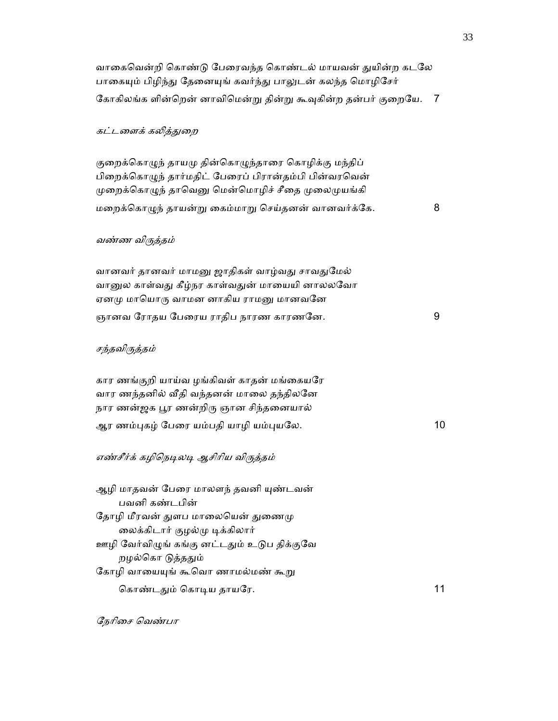| வாகைவென்றி கொண்டு பேரைவந்த கொண்டல் மாயவன் துயின்ற கடலே<br>பாகையும் பிழிந்து தேனையுங் கவர்ந்து பாலுடன் கலந்த மொழிசேர்                                                                                               |    |
|--------------------------------------------------------------------------------------------------------------------------------------------------------------------------------------------------------------------|----|
| கோகிலங்க ளின்றென் னாவிமென்று தின்று கூவுகின்ற தன்பர் குறையே.                                                                                                                                                       | 7  |
| கட்டளைக் கலித்துறை                                                                                                                                                                                                 |    |
| குறைக்கொழுந் தாயமு தின்கொழுந்தாரை கொழிக்கு மந்திப்<br>பிறைக்கொழுந் தார்மதிட் பேரைப் பிரான்தம்பி பின்வரவென்<br>முறைக்கொழுந் தாவெனு மென்மொழிச் சீதை முலைமுயங்கி<br>மறைக்கொழுந் தாயன்று கைம்மாறு செய்தனன் வானவர்க்கே. | 8  |
| வண்ண விருத்தம்                                                                                                                                                                                                     |    |
|                                                                                                                                                                                                                    |    |
| வானவர் தானவர் மாமனு ஜாதிகள் வாழ்வது சாவதுமேல்<br>வானுல காள்வது கீழ்நர காள்வதுன் மாயையி னாலலவோ<br>ஏனமு மாயொரு வாமன னாகிய ராமனு மானவனே                                                                               |    |
| ஞானவ ரோதய பேரைய ராதிப நாரண காரணனே.                                                                                                                                                                                 | 9  |
| சந்தவிருத்தம்                                                                                                                                                                                                      |    |
| கார ணங்குறி யாய்வ ழங்கிவள் காதன் மங்கையரே<br>வார ணந்தனில் வீதி வந்தனன் மாலை தந்திலனே<br>நார ணன்ஜக பூர ணன்றிரு ஞான சிந்தனையால்<br>ஆர ணம்புகழ் பேரை யம்பதி யாழி யம்புயலே.                                            | 10 |
| எண்சீர்க் கழிநெடிலடி ஆசிரிய விருத்தம்                                                                                                                                                                              |    |
| ஆழி மாதவன் பேரை மாலளந் தவனி யுண்டவன்<br>பவனி கண்டபின்<br>தோழி மீரவன் துளப மாலையென் துணைமு<br>லைக்கிடார் குழல்மு டிக்கிலார்                                                                                         |    |
| ஊழி வேர்விழுங் கங்கு னட்டதும் உடுப திக்குவே<br>றழல்கொ டுத்ததும்                                                                                                                                                    |    |
| கோழி வாயையுங் கூவொ ணாமல்மண் கூறு<br>கொண்டதும் கொடிய தாயரே.                                                                                                                                                         | 11 |

ேநாிைச ெவண்பா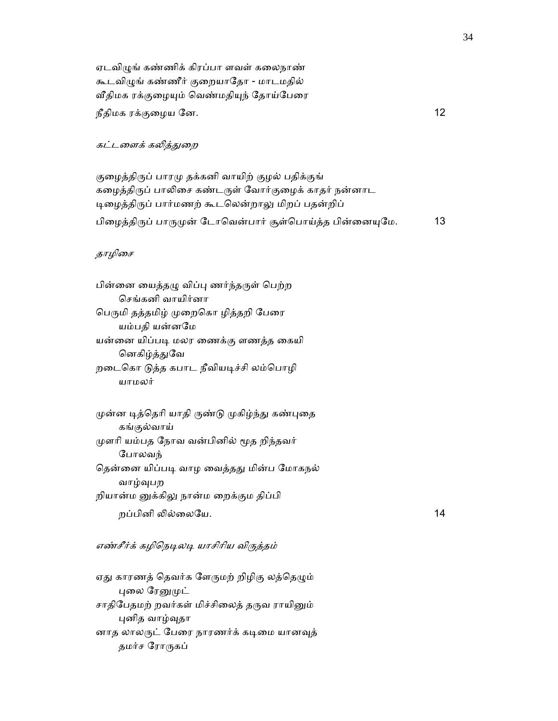ஏடவிழுங் கண்ணிக் கிரப்பா ளவள் கலைநாண் கூடவிழுங் கண்ணீர் குறையாதோ - மாடமதில் வீதிமக ரக்குழையும் வெண்மதியுந் தோய்பேரை நீதிமக ரக்குழைய னே.  $12$ 

#### கட்டளைக் கலித்துறை

குழைத்திருப் பாரமு தக்கனி வாயிற் குழல் பதிக்குங் கழைத்திருப் பாலிசை கண்டருள் வோர்குழைக் காதர் நன்னாட டிழைத்திருப் பார்மணற் கூடலென்றாலு மிறப் பதன்றிப் பிழைத்திருப் பாருமுன் டோவென்பார் சூள்பொய்த்த பின்னையுமே. 13

## தாழிசை

யாமலர்

பின்னை யைத்தழு விப்பு ணர்ந்தருள் பெற்ற ெசங்கனி வாயிர்னா பெருமி தத்தமிழ் முறைகொ ழித்தறி பேரை யம்பதி யன்னேம யன்னை யிப்படி மலர ணைக்கு ளணத்த கையி னெகிழ்த்துவே றைடெகா ᾌத்த கபாட நீவியᾊச்சி லம்ெபாழி

முன்ன டித்தெரி யாதி ருண்டு முகிழ்ந்து கண்புதை கங்குல்வாய் முளரி யம்பத நோவ வன்பினில் மூத றிந்தவர் ேபாலவந் தென்னை யிப்படி வாழ வைத்தது மின்ப மோகநல் வாழ்ᾫபற றியான்ம னுக்கிலு நான்ம றைக்கும திப்பி  $p$ ப்பினி லில்லையே. 14

#### எண்சீர்க் கழிநெடிலடி யாசிரிய விருத்தம்

ஏது காரணத் தெவர்க ளேருமற் றிழிகு லத்தெழும் புலை ரேனுமுட் சாதிபேதமற் றவர்கள் மிச்சிலைத் தருவ ராயினும் புனித வாழ்வுதா னாத லாலருட் பேரை நாரணர்க் கடிமை யானவுத் தமர்ச ரோருகப்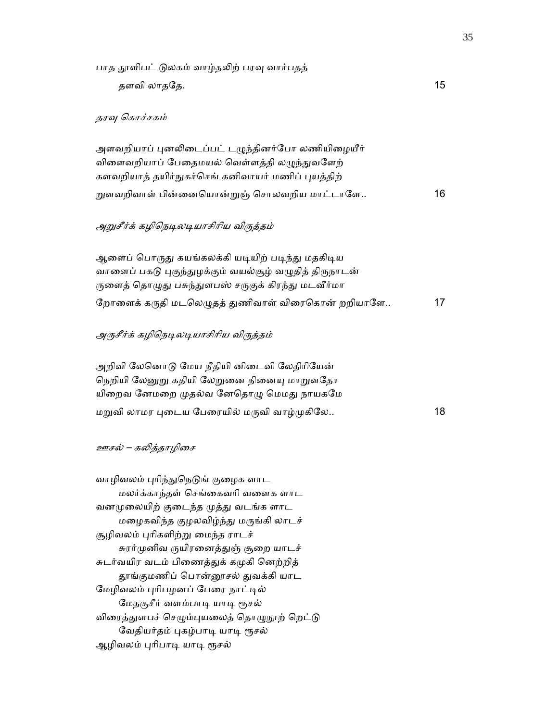பாத தூளிபட் டுலகம் வாழ்தலிற் பரவு வார்பதத் தளவி லாதேத. 15 தரவு கொச்சகம் அளவறியாப் புனலிடைப்பட் டழுந்தினர்போ லணியிழையீர் விளைவறியாப் பேதைமயல் வெள்ளத்தி லமுந்துவளேற் களவறியாத் தயிர்நுகர்செங் கனிவாயர் மணிப் புயத்திற் றுளவறிவாள் பின்னையொன்றுஞ் சொலவறிய மாட்டாளே.. 16 அறுசீர்க் கழிநெடிலடியாசிரிய விருக்கம் ஆளைப் பொருது கயங்கலக்கி யடியிற் படிந்து மதகிடிய வாளைப் பகடு புகுந்துழக்கும் வயல்சூழ் வழுதித் திருநாடன் ருளைத் தொழுது பசுந்துளபஸ் சருகுக் கிரந்து மடவீர்மா றோளைக் கருதி மடலெழுதத் துணிவாள் விரைகொன் றறியாளே.. 17 அருசீர்க் கழிநெடிலடியாசிரிய விருத்தம் அறிவி லேனொடு மேய நீதியி னிடைவி லேதிரியேன் நெறியி லேனுறு கதியி லேறுனை நினையு மாறுளதோ யிறைவ னேமறை முதல்வ னேதொழு மெமது நாயகமே மᾠவி லாமர ᾗைடய ேபைரயில் மᾞவி வாழ்ᾙகிேல.. 18 ஊசல் – கᾢத்தாழிைச

வாழிவலம் புரிந்துநெடுங் குழைக ளாட மலர்க்காந்தள் ெசங்ைகவாி வைளக ளாட வனமுலையிற் குடைந்த முத்து வடங்க ளாட மழைகவிந்த குழலவிழ்ந்து மருங்கி லாடச் சூழிவலம் புரிகளிற்று மைந்த ராடச் சுரர்முனிவ ருயிரனைத்துஞ் சூறை யாடச் சுடர்வயிர வடம் பிணைத்துக் கமுகி னெற்றித் தூங்குமணிப் பொன்னூசல் துவக்கி யாட மேழிவலம் புரிபழனப் பேரை நாட்டில் மேதகுசீர் வளம்பாடி யாடி ரூசல் விரைத்துளபச் செழும்புயலைத் தொழுநூற் றெட்டு வேதியர்தம் புகழ்பாடி யாடி ரூசல் ஆழிவலம் புரிபாடி யாடி ரூசல்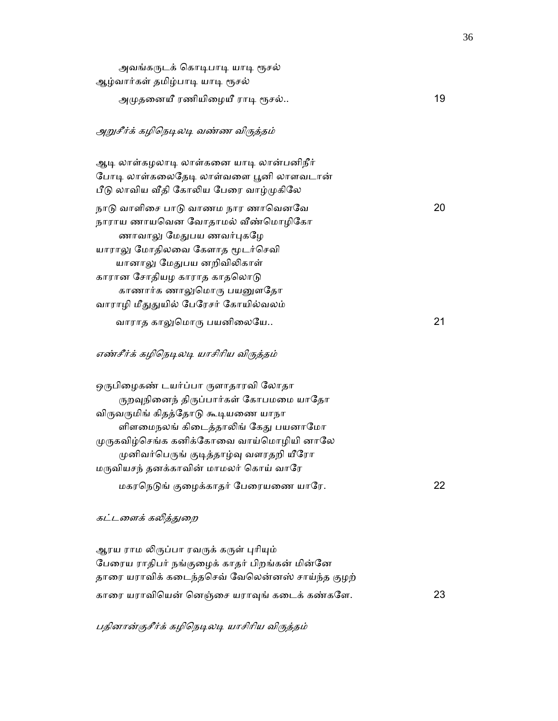| அவங்கருடக் கொடிபாடி யாடி ரூசல்<br>ஆழ்வார்கள் தமிழ்பாடி யாடி ரூசல்                                                                                                                                                                                                                      |    |
|----------------------------------------------------------------------------------------------------------------------------------------------------------------------------------------------------------------------------------------------------------------------------------------|----|
| அமுதனையீ ரணியிழையீ ராடி ரூசல்                                                                                                                                                                                                                                                          | 19 |
| அறுசீர்க் கழிநெடிலடி வண்ண விருத்தம்                                                                                                                                                                                                                                                    |    |
| ஆடி லாள்கழலாடி லாள்கனை யாடி லான்பனிநீர்<br>போடி லாள்கலைதேடி லாள்வளை பூனி லாளவடான்<br>பீடு லாவிய வீதி கோலிய பேரை வாழ்முகிலே                                                                                                                                                             |    |
| நாடு வாளிசை பாடு வாணம நார ணாவெனவே<br>நாராய ணாயவென வோதாமல் வீண்மொழிகோ<br>ணாவாலு மேதுபய ணவர்புகழே<br>யாராலு மோதிலவை கேளாத மூடர்செவி<br>யானாலு மேதுபய னறிவிலிகாள்<br>காரான சோதியழ காராத காதலொடு<br>காணார்க ணாலுமொரு பயனுளதோ                                                               | 20 |
| வாராழி மீதுதுயில் பேரேசர் கோயில்வலம்<br>வாராத காலுமொரு பயனிலையே                                                                                                                                                                                                                        | 21 |
| எண்சீர்க் கழிநெடிலடி யாசிரிய விருத்தம்                                                                                                                                                                                                                                                 |    |
| ஒருபிழைகண் டயர்ப்பா ருளாதாரவி லோதா<br>ருறவுநினைந் திருப்பார்கள் கோபமமை யாதோ<br>விருவருமிங் கிதத்தோடு கூடியணை யாநா<br>ளிளமைநலங் கிடைத்தாலிங் கேது பயனாமோ<br>முருகவிழ்செங்க கனிக்கோவை வாய்மொழியி னாலே<br>முனிவர்பெருங் குடித்தாழ்வு வளரதறி யீரோ<br>மருவியசந் தனக்காவின் மாமலர் கொய் வாரே |    |
| மகரநெடுங் குழைக்காதர் பேரையணை யாரே.                                                                                                                                                                                                                                                    | 22 |
| கட்டளைக் கலி <u>த்த</u> ுறை                                                                                                                                                                                                                                                            |    |
| ஆரய ராம லிருப்பா ரவருக் கருள் புரியும்<br>பேரைய ராதிபர் நங்குழைக் காதர் பிறங்கன் மின்னே<br>தாரை யராவிக் கடைந்தசெவ் வேலென்னஸ் சாய்ந்த குழற்                                                                                                                                             |    |
| காரை யராவியென் னெஞ்சை யராவுங் கடைக் கண்களே.                                                                                                                                                                                                                                            | 23 |

பதினான்குசீர்க் கழிநெடிலடி யாசிரிய விருத்தம்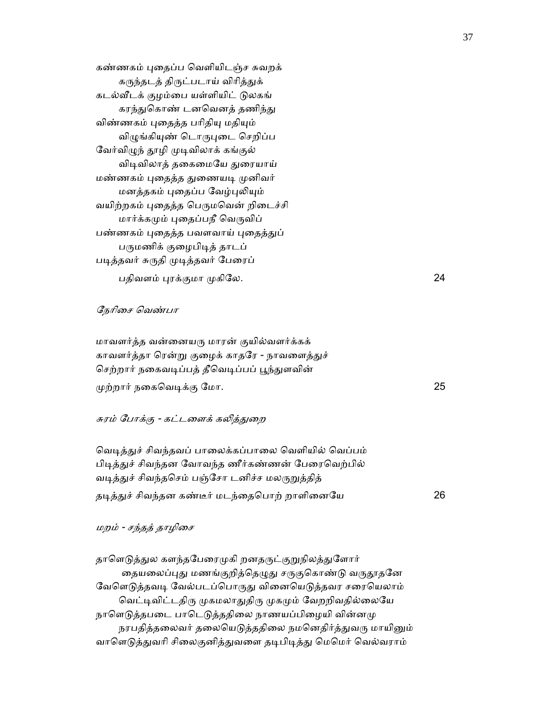கண்ணகம் புதைப்ப வெளியிடஞ்ச சுவறக் கருந்தடத் திருட்படாய் விரித்துக் கடல்ᾪடக் குழம்ைப யள்ளியிட் ᾌலகங் கரந்துகொண் டனவெனத் தணிந்து விண்ணகம் புதைத்த பரிதியு மதியும் விழுங்கியுண் டொருபுடை செறிப்ப வேர்விழுந் தூழி முடிவிலாக் கங்குல் விடிவிலாத் தகைமையே துரையாய் மண்ணகம் புதைத்த துணையடி முனிவர் மனத்தகம் புதைப்ப வேழ்புலியும் வயிற்றகம் புதைத்த பெருமவென் றிடைச்சி மார்க்கமும் புதைப்பநீ வெருவிப் பண்ணகம் புதைத்த பவளவாய் புதைத்துப் பருமணிக் குழைபிடித் தாடப் படித்தவர் சுருதி முடித்தவர் பேரைப் பதிவளம் ᾗரக்குமா ᾙகிேல. 24

#### ேநாிைச ெவண்பா

 மாவளர்த்த வன்ைனயᾞ மாரன் குயில்வளர்க்கக் காவளர்த்தா ரென்று குழைக் காதரே - நாவளைத்துச் செற்றார் நகைவடிப்பத் தீவெடிப்பப் பூந்துளவின்  $\mu$ ற்றார் நகைவெடிக்கு மோ. 25

#### சுரம் போக்கு - கட்டளைக் கலித்துறை

வெடித்துச் சிவந்தவப் பாலைக்கப்பாலை வெளியில் வெப்பம் பிடித்துச் சிவந்தன வோவந்த ணீர்கண்ணன் பேரைவெற்பில் வடித்துச் சிவந்தசெம் பஞ்சோ டனிச்ச மலருறுத்தித் தᾊத்ᾐச் சிவந்தன கண்டீர் மடந்ைதெபாற் றாளிைனேய 26

## மறம் - சந்தத் தாழிைச

தாளெடுத்துல களந்தபேரைமுகி றனதருட்குறுநிலத்துளோர் தையலைப்புது மணங்குறித்தெழுது சருகுகொண்டு வருதூதனே வேளெடுத்தவடி வேல்படப்பொருது வினையெடுத்தவர சரையெலாம் வெட்டிவிட்டதிரு முகமலாதுதிரு முகமும் வேறறிவதில்லையே நாளெடுத்தபடை பாடெடுத்ததிலை நாணயப்பிழையி வின்னமு நரபதித்தலைவர் தலையெடுத்ததிலை நமனெதிர்த்துவரு மாயினும் வாளெடுத்துவரி சிலைகுனித்துவளை தடிபிடித்து மெமெர் வெல்வராம்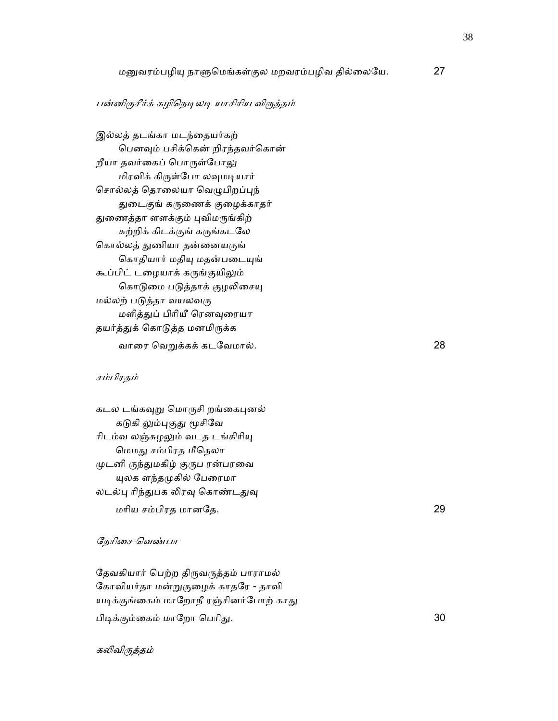## பன்னிருசீர்க் கழிநெடிலடி யாசிரிய விருத்தம்

இல்லத் தடங்கா மடந்தையர்கற் பெனவும் பசிக்கென் றிரந்தவர்கொன் றீயா தவர்கைப் பொருள்போலு மிரவிக் கிᾞள்ேபா லᾫமᾊயார் சொல்லத் தொலையா வெழுபிறப்புந் துடைகுங் கருணைக் குழைக்காதர் துணைத்தா ளளக்கும் புவிமருங்கிற் சுற்றிக் கிடக்குங் கருங்கடலே கொல்லத் துணியா தன்னையருங் கொதியார் மதியு மதன்படையுங் கூப்பிட் டழையாக் கருங்குயிலும் கொடுமை படுத்தாக் குழலிசையு மல்லற் படுத்தா வயலவரு மளித்துப் பிரியீ ரெனவுரையா தயர்த்துக் கொடுத்த மனமிருக்க வாைர ெவᾠக்கக் கடேவமால். 28

## சம்பிரதம்

| கடல டங்கவுறு மொருசி றங்கைபுனல்  |    |
|---------------------------------|----|
| கடுகி லும்புகுது மூசிவே         |    |
| ரிடம்வ லஞ்சுழலும் வடத டங்கிரியு |    |
| மெமது சம்பிரத மீதெலா            |    |
| முடனி ருந்துமகிழ் குருப ரன்பரவை |    |
| யுலக ளந்தமுகில் பேரைமா          |    |
| லடல்பு ரிந்துபக லிரவு கொண்டதுவு |    |
| மரிய சம்பிரத மானதே.             | 29 |

### ேநாிைச ெவண்பா

தேவகியார் பெற்ற திருவருத்தம் பாராமல் கோவியர்தா மன்றுகுழைக் காதரே - தாவி யடிக்குங்கைம் மாறோநீ ரஞ்சினர்போற் காது பிடிக்கும்கைம் மாறோ பெரிது. 30 பேர் மான் மான் மான் மான் 30 போக்கும் வைக்கும் ப

கலிவிருத்தம்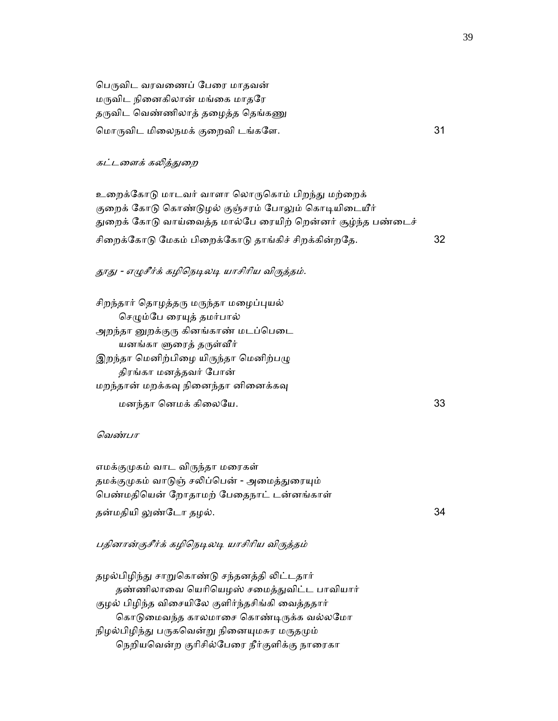பெருவிட வரவணைப் பேரை மாதவன் மருவிட நினைகிலான் மங்கை மாதரே தருவிட வெண்ணிலாத் தழைத்த தெங்கணு ெமாᾞவிட மிைலநமக் குைறவி டங்கேள. 31

### கட்டளைக் கலித்துறை

உறைக்கோடு மாடவர் வாளா லொருகொம் பிறந்து மற்றைக் குறைக் கோடு கொண்டுழல் குஞ்சரம் போலும் கொடியிடையீர் துறைக் கோடு வாய்வைத்த மால்பே ரையிற் றென்னர் சூழ்ந்த பண்டைச் சிறைக்கோடு மேகம் பிறைக்கோடு தாங்கிச் சிறக்கின்றதே. 32

## தூது - எழுசீர்க் கழிநெடிலடி யாசிரிய விருத்தம்.

சிறந்தார் தொழத்தரு மருந்தா மழைப்புயல் செழும்பே ரையுத் தமர்பால் அறந்தா னுறக்குரு கினங்காண் மடப்பெடை யனங்கா ளுரைத் தருள்வீர் இறந்தா மெனிற்பிழை யிருந்தா மெனிற்பழு திரங்கா மனத்தவர் ேபான் மறந்தான் மறக்கவு நினைந்தா னினைக்கவு மனந்தா ெனமக் கிைலேய. 33

## ெவண்பா

 எமக்குᾙகம் வாட விᾞந்தா மைரகள் தமக்குமுகம் வாடுஞ் சலிப்பென் - அமைத்துரையும் ெபண்மதிெயன் ேறாதாமற் ேபைதநாட் டன்னங்காள் தன்மதியி ᾤண்ேடா தழல். 34

## பதினான்குசீர்க் கழிநெடிலடி யாசிரிய விருத்தம்

தழல்பிழிந்து சாறுகொண்டு சந்தனத்தி லிட்டதார் தண்ணிலாவை யெரியெழஸ் சமைத்துவிட்ட பாவியார் குழல் பிழிந்த விைசயிேல குளிர்ந்தசிங்கி ைவத்ததார் கொடுமைவந்த காலமாசை கொண்டிருக்க வல்லமோ நிழல்பிழிந்து பருகவென்று நினையுமசுர மருதமும் ெநறியெவன்ற குாிசில்ேபைர நீர்குளிக்கு நாைரகா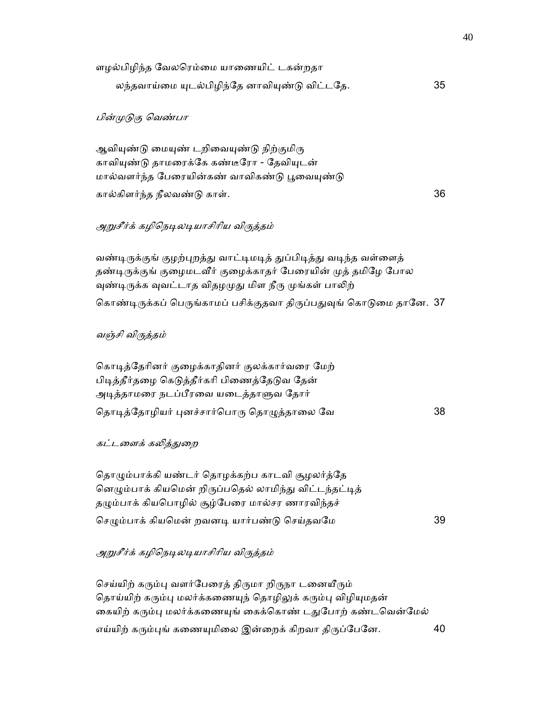| ளழல்பிழிந்த வேலரெம்மை யாணையிட் டகன்றதா       |    |
|----------------------------------------------|----|
| லந்தவாய்மை யுடல்பிழிந்தே னாவியுண்டு விட்டதே. | 35 |

## பின்ᾙᾌகு ெவண்பா

ஆவியுண்டு மையுண் டறிவையுண்டு நிற்குமிரு காவியுண்டு தாமரைக்கே கண்டீரோ - தேவியுடன் மால்வளர்ந்த பேரையின்கண் வாவிகண்டு பூவையுண்டு கால்கிளர்ந்த நீலவண்ᾌ காள். 36

## அறுசீர்க் கழிநெடிலடியாசிரிய விருக்கம்

வண்டிருக்குங் குழற்புறத்து வாட்டிமடித் துப்பிடித்து வடிந்த வள்ளைத் தண்டிருக்குங் குழைமடவீர் குழைக்காதர் பேரையின் முத் தமிழே போல வுண்டிருக்க வுவட்டாத விதழமுது மிள நீரு முங்கள் பாலிற் கொண்டிருக்கப் பெருங்காமப் பசிக்குதவா திருப்பதுவுங் கொடுமை தானே. 37

## வஞ்சி விᾞத்தம்

கொடித்தேரினர் குழைக்காதினர் குலக்கார்வரை மேற் பிடித்தீர்தழை கெடுத்தீர்கரி பிணைத்தேடுவ தேன் அடித்தாமரை நடப்பீரவை யடைத்தாளுவ தோர் தொடித்தோழியர் புனச்சார்பொரு தொழுத்தாலை வே

## கட்டளைக் கலித்துறை

தொழும்பாக்கி யண்டர் தொழக்கற்ப காடவி சூழலர்த்தே னெழும்பாக் கியமென் றிருப்பதெல் லாமிந்து விட்டந்தட்டித் தழும்பாக் கியபொழில் சூழ்பேரை மால்சர ணாரவிந்தச் ெசᾨம்பாக் கியெமன் றவனᾊ யார்பண்ᾌ ெசய்தவேம 39

## அறுசீர்க் கழிநெடிலடியாசிரிய விருத்தம்

செய்யிற் கரும்பு வளர்பேரைத் திருமா றிருநா டனையீரும் தொய்யிற் கரும்பு மலர்க்கணையுந் தொழிலுக் கரும்பு விழியுமதன் கையிற் கரும்பு மலர்க்கணையுங் கைக்கொண் டதுபோற் கண்டவென்மேல் எய்யிற் கரும்புங் கணையுமிலை இன்றைக் கிறவா திருப்பேனே. 40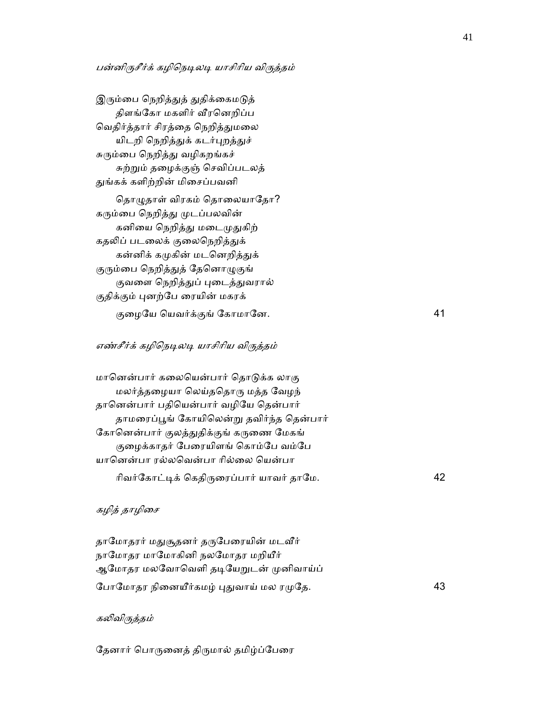## பன்னிருசீர்க் கழிநெடிலடி யாசிரிய விருத்தம்

இரும்பை நெறித்துத் துதிக்கைமடுத் திளங்ேகா மகளிர் ᾪரெனறிப்ப வெதிர்த்தார் சிரத்தை நெறித்துமலை யிடறி நெறித்துக் கடர்புறத்துச் சுரும்பை நெறித்து வழிகறங்கச் சுற்ᾠம் தைழக்குஞ் ெசவிப்படலத் துங்கக் களிற்றின் மிசைப்பவனி

தொழுதாள் விரகம் தொலையாதோ? கரும்பை நெறித்து முடப்பலவின் கனியை நெறித்து மடைமுதுகிற் கதலிப் படலைக் குலைநெறித்துக் கன்னிக் கமுகின் மடனெறித்துக் குரும்பை நெறித்துத் தேனொழுகுங் குவளை நெறித்துப் புடைத்துவரால் குதிக்கும் புனற்பே ரையின் மகரக் குைழேய ெயவர்க்குங் ேகாமாேன. 41

## எண்சீர்க் கழிநெடிலடி யாசிரிய விருத்தம்

மானென்பார் கலையென்பார் தொடுக்க லாகு மலர்த்தைழயா ெலய்தெதாᾞ மத்த ேவழந் தானென்பார் பதியென்பார் வழியே தென்பார் தாமரைப்பூங் கோயிலென்று தவிர்ந்த தென்பார் கோனென்பார் குலத்துதிக்குங் கருணை மேகங் குழைக்காதர் பேரையிளங் கொம்பே வம்பே யானென்பா ரல்லவென்பா ரில்லை யென்பா ாிவர்ேகாட்ᾊக் ெகதிᾞைரப்பார் யாவர் தாேம. 42

## கழித் தாழிசை

தாமோதரர் மதுசூதனர் தருபேரையின் மடவீர் நாமோதர மாமோகினி நலமோதர மறியீர் ஆமோதர மலவோவெளி தடியேறுடன் முனிவாய்ப் ேபாமோதர நினையீர்கமழ் புதுவாய் மல ரமுதே.  $43$ 

### கலிவிருக்கம்

தேனார் பொருனைத் திருமால் தமிழ்ப்பேரை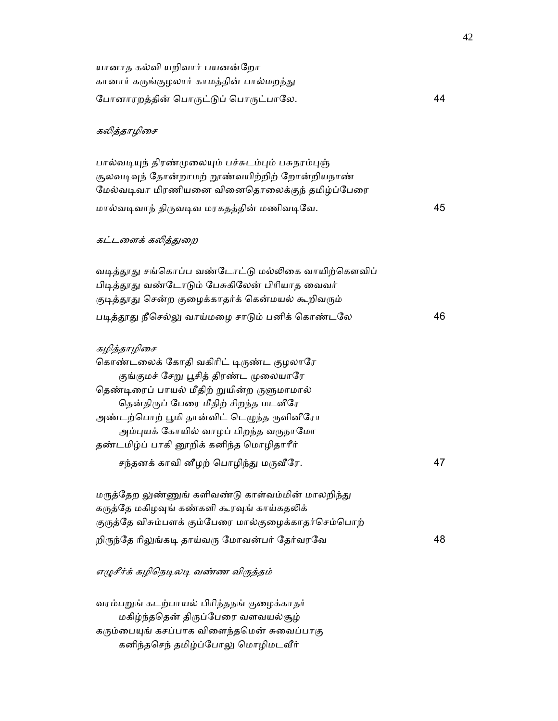| யானாத கல்வி யறிவார் பயனன்றோ                                                                                                                                                                                                                                                                                                                                   |    |
|---------------------------------------------------------------------------------------------------------------------------------------------------------------------------------------------------------------------------------------------------------------------------------------------------------------------------------------------------------------|----|
| கானார் கருங்குழலார் காமத்தின் பால்மறந்து<br>போனாரறத்தின் பொருட்டுப் பொருட்பாலே.                                                                                                                                                                                                                                                                               | 44 |
|                                                                                                                                                                                                                                                                                                                                                               |    |
| கலித்தாழிசை                                                                                                                                                                                                                                                                                                                                                   |    |
| பால்வடியுந் திரண்முலையும் பச்சுடம்பும் பசுநரம்புஞ்<br>சூலவடிவுந் தோன்றாமற் றூண்வயிற்றிற் றோன்றியநாண்<br>மேல்வடிவா மிரணியனை வினைதொலைக்குந் தமிழ்ப்பேரை                                                                                                                                                                                                         |    |
| மால்வடிவாந் திருவடிவ மரகதத்தின் மணிவடிவே.                                                                                                                                                                                                                                                                                                                     | 45 |
| கட்டளைக் கலி <u>த்த</u> ுறை                                                                                                                                                                                                                                                                                                                                   |    |
| வடித்தூது சங்கொப்ப வண்டோட்டு மல்லிகை வாயிற்கௌவிப்<br>பிடித்தூது வண்டோடும் பேசுகிலேன் பிரியாத வைவர்<br>குடித்தூது சென்ற குழைக்காதர்க் கென்மயல் கூறிவரும்                                                                                                                                                                                                       |    |
| படித்தூது நீசெல்லு வாய்மழை சாடும் பனிக் கொண்டலே                                                                                                                                                                                                                                                                                                               | 46 |
| கழித்தாழிசை<br>கொண்டலைக் கோதி வகிரிட் டிருண்ட குழலாரே<br>குங்குமச் சேறு பூசித் திரண்ட முலையாரே<br>தெண்டிரைப் பாயல் மீதிற் றுயின்ற ருளுமாமால்<br>தென்திருப் பேரை மீதிற் சிறந்த மடவீரே<br>அண்டற்பொற் பூமி தான்விட் டெழுந்த ருளினீரோ<br>அம்புயக் கோயில் வாழப் பிறந்த வருநாமோ<br>தண்டமிழ்ப் பாகி னூறிக் கனிந்த மொழிதாரீர்<br>சந்தனக் காவி னீழற் பொழிந்து மருவீரே. | 47 |
| மருத்தேற லுண்ணுங் களிவண்டு காள்வம்மின் மாலறிந்து<br>கருத்தே மகிழவுங் கண்களி கூரவுங் காய்கதலிக்<br>குருத்தே விசும்பளக் கும்பேரை மால்குழைக்காதர்செம்பொற்                                                                                                                                                                                                        |    |
| றிருந்தே ரிலுங்கடி தாய்வரு மோவன்பர் தேர்வரவே                                                                                                                                                                                                                                                                                                                  | 48 |
| எழுசீர்க் கழிநெடிலடி வண்ண விருத்தம்                                                                                                                                                                                                                                                                                                                           |    |
| வரம்பறுங் கடற்பாயல் பிரிந்தநங் குழைக்காதர்<br>மகிழ்ந்ததென் திருப்பேரை வளவயல்சூழ்<br>கரும்பையுங் கசப்பாக விளைந்தமென் சுவைப்பாகு<br>கனிந்தசெந் தமிழ்ப்போலு மொழிமடவீர்                                                                                                                                                                                           |    |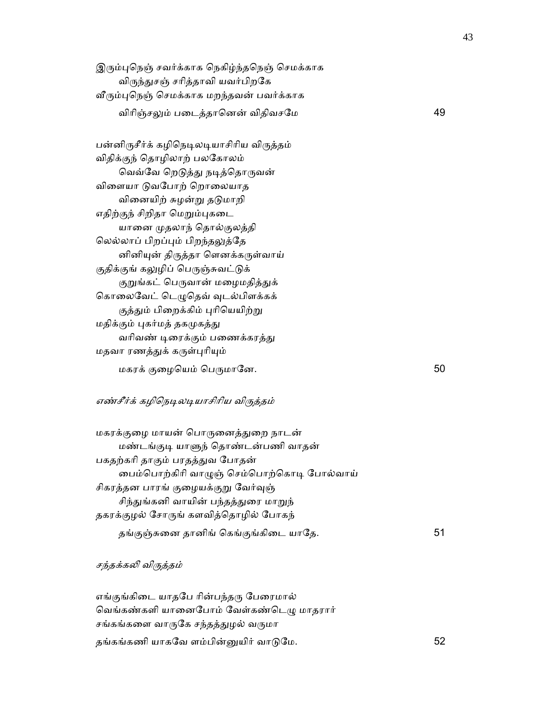இரும்புநெஞ் சவர்க்காக நெகிழ்ந்தநெஞ் செமக்காக விருந்துசஞ் சரித்தாவி யவர்பிறகே வீரும்புநெஞ் செமக்காக மறந்தவன் பவர்க்காக விரிஞ்சலும் படைத்தானென் விதிவசமே பார் மான் மான் 49

பன்னிருசீர்க் கழிநெடிலடியாசிரிய விருத்தம் விதிக்குந் ெதாழிலாற் பலேகாலம் வெவ்வே றெடுத்து நடித்தொருவன் விளையா டுவபோற் றொலையாத வினையிற் சுழன்று தடுமாறி எதிற்குந் சிறிதா மெறும்புகடை யாைன ᾙதலாந் ெதால்குலத்தி ெலல்லாப் பிறப்ᾗம் பிறந்தᾤத்ேத னினிᾜன் திᾞத்தா ெளனக்கᾞள்வாய் குதிக்குங் கலுழிப் பெருஞ்சுவட்டுக் குறுங்கட் பெருவான் மழைமதித்துக் கொலைவேட் டெழுதெவ் வுடல்பிளக்கக் குத்தும் பிறைக்கிம் புரியெயிற்று மதிக்கும் புகர்மத் தகமுகத்து வரிவண் டிரைக்கும் பணைக்கரத்து மதவா ரணத்துக் கருள்புரியும் மகரக் குழையெம் பெருமானே.  $50$ 

## எண்சீர்க் கழிநெடிலடியாசிரிய விருத்தம்

 மகரக்குைழ மாயன் ெபாᾞைனத்ᾐைற நாடன் மண்டங்குᾊ யாᾦந் ெதாண்டன்பணி வாதன் பகதற்காி தாகும் பரதத்ᾐவ ேபாதன் ைபம்ெபாற்கிாி வாᾨஞ் ெசம்ெபாற்ெகாᾊ ேபால்வாய் சிகரத்தன பாரங் குழையக்குறு வேர்வுஞ் சிந்துங்கனி வாயின் பந்தத்துரை மாறுந் தகரக்குழல் ேசாᾞங் களவித்ெதாழில் ேபாகந் தங்குஞ்சுைன தானிங் ெகங்குங்கிைட யாேத. 51

சந்தக்கலி விருத்தம்

எங்குங்கிடை யாதபே ரின்பந்தரு பேரைமால் வெங்கண்களி யானைபோம் வேள்கண்டெழு மாதரார் சங்கங்களை வாருகே சந்தத்துழல் வருமா தங்கங்கணி யாகேவ ளம்பின்ᾔயிர் வாᾌேம. 52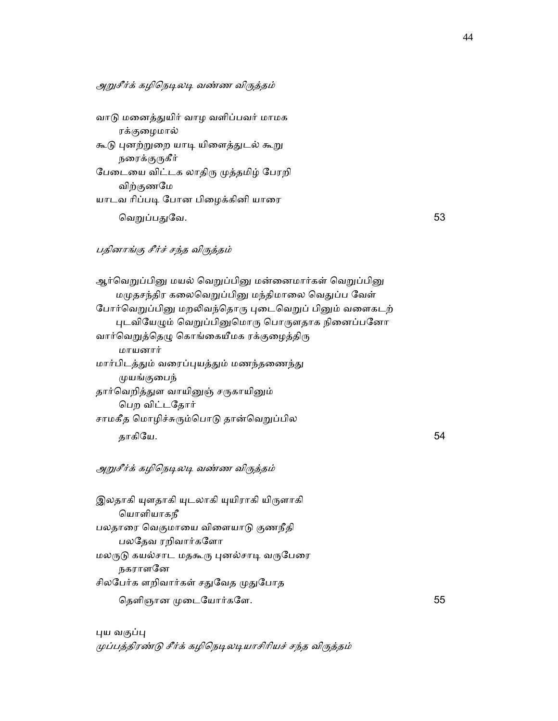அறுசீர்க் கழிநெடிலடி வண்ண விருத்தம்

| வாடு மனைத்துயிர் வாழ வளிப்பவர் மாமக  |    |
|--------------------------------------|----|
| ரக்குழைமால்                          |    |
| கூடு புனற்றுறை யாடி யிளைத்துடல் கூறு |    |
| நரைக்குருகீர்                        |    |
| பேடையை விட்டக லாதிரு முத்தமிழ் பேரறி |    |
| விற்குணமே                            |    |
| யாடவ ரிப்படி போன பிழைக்கினி யாரை     |    |
| வெறுப்பதுவே.                         | 53 |

#### பதினாங்கு சீர்ச் சந்த விᾞத்தம்

ஆர்வெறுப்பினு மயல் வெறுப்பினு மன்னைமார்கள் வெறுப்பினு மமுதசந்திர கலைவெறுப்பினு மந்திமாலை வெதுப்ப வேள் போர்வெறுப்பினு மறலிவந்தொரு புடைவெறுப் பினும் வளைகடற் புடவியேழும் வெறுப்பினுமொரு பொருளதாக நினைப்பனோ வார்வெறுத்தெழு கொங்கையீமக ரக்குழைத்திரு மாயனார் மார்பிடத்தும் வரைப்புயத்தும் மணந்தணைந்து ᾙயங்குைபந் தார்வெறித்துள வாயினுஞ் சருகாயினும் ெபற விட்டேதார் சாமகீத மொழிச்சுரும்பொடு தான்வெறுப்பில தாகிேய. 54

## அறுசீர்க் கழிநெடிலடி வண்ண விருத்தம்

இலதாகி யுளதாகி யுடலாகி யுயிராகி யிருளாகி ெயாளியாகநீ பலதாரை வெகுமாயை விளையாடு குணநீதி பலேதவ ரறிவார்கேளா மலருடு கயல்சாட மதகூரு புனல்சாடி வருபேரை நகராளேன சிலபேர்க ளறிவார்கள் சதுவேத முதுபோத ெதளிஞான ᾙைடேயார்கேள. 55

புய வகுப்பு முப்பத்திரண்டு சீர்க் கழிநெடிலடியாசிரியச் சந்த விருத்தம்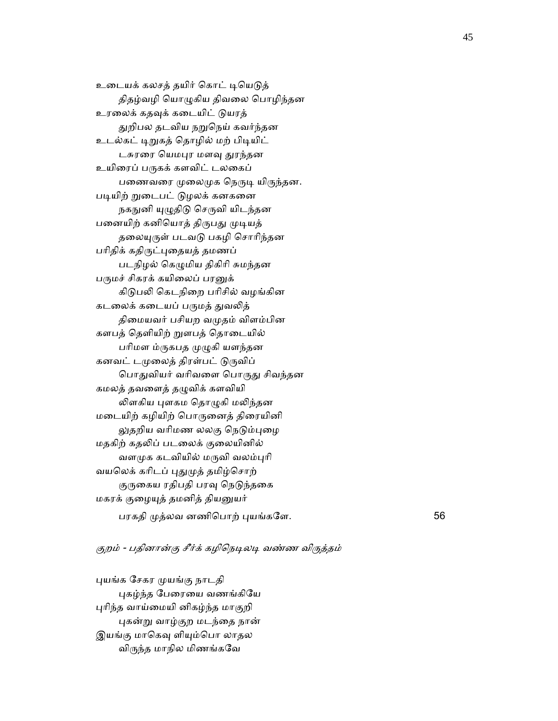உடையக் கலசத் தயிர் கொட் டியெடுத் திதழ்வழி ெயாᾨகிய திவைல ெபாழிந்தன உரலைக் கதவுக் கடையிட் டுயரத் துறிபல தடவிய நறுநெய் கவர்ந்தன உடல்கட் டிறுகத் தொழில் மற் பிடியிட் டசுரரை யெமபுர மளவு துரந்தன உயிரைப் பருகக் களவிட் டலகைப் பணைவரை முலைமுக நெருடி யிருந்தன. படியிற் றுடைபட் டுழலக் கனகனை நகநுனி யுழுதிடு செருவி யிடந்தன பனையிற் கனியொத் திருபது முடியத் தலையுருள் படவடு பகழி சொரிந்தன பரிதிக் கதிருட்புதையத் தமணப் படநிழல் ெகᾨமிய திகிாி சுமந்தன பருமச் சிகரக் கயிலைப் பரனுக் கிடுபலி கெடநிறை பரிசில் வழங்கின கடலைக் கடையப் பருமத் துவலித் திமையவர் பசியற வமுதம் விளம்பின களபத் ெதளியிற் ᾠளபத் ெதாைடயில் பரிமள ம்ருகபத முழுகி யளந்தன கனவட் டமுலைத் திரள்பட் டுருவிப் பொதுவியர் வரிவளை பொருது சிவந்தன கமலத் தவளைத் தழுவிக் களவியி லிளகிய புளகம தொழுகி மலிந்தன மைடயிற் கழியிற் ெபாᾞைனத் திைரயினி லுதறிய வரிமண லலகு நெடும்புழை மதகிற் கதலிப் படலைக் குலையினில் வளமுக கடவியில் மருவி வலம்புரி வயலெக் கரிடப் புதுமுத் தமிழ்சொற் குருகைய ரதிபதி பரவு நெடுந்தகை மகரக் குைழᾜத் தமனித் தியᾔயர் பரகதி ᾙத்லவ னணிெபாற் ᾗயங்கேள. 56

#### குறம் - பதினான்கு சீர்க் கழிநெடிலடி வண்ண விருத்தம்

 ᾗயங்க ேசகர ᾙயங்கு நாடதி ᾗகழ்ந்த ேபைரைய வணங்கிேய ᾗாிந்த வாய்ைமயி னிகழ்ந்த மாகுறி புகன்று வாழ்குற மடந்தை நான் இயங்கு மாகெவு ளியும்பொ லாதல விᾞந்த மாநில மிணங்கேவ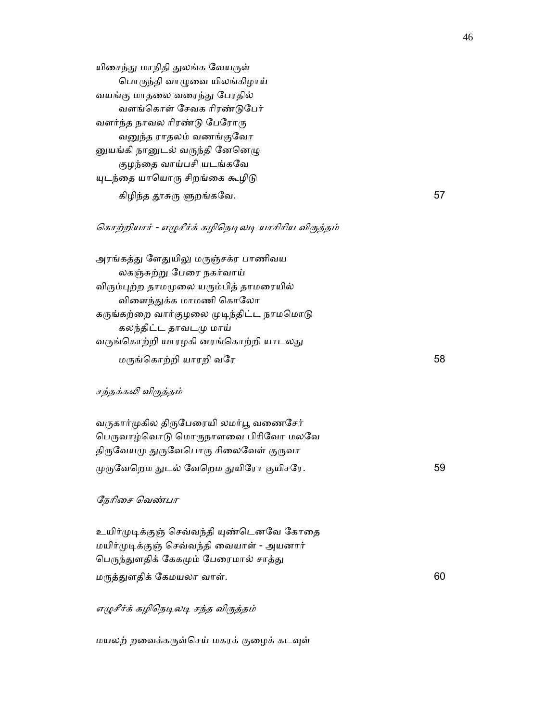யிசைந்து மாநிதி துலங்க வேயருள் ெபாᾞந்தி வாᾨைவ யிலங்கிழாய் வயங்கு மாதலை வரைந்து பேரதில் வளங்ெகாள் ேசவக ாிரண்ᾌேபர் வளர்ந்த நாவல ரிரண்டு பேரோரு வனுந்த ராதலம் வணங்குவோ னுயங்கி நானுடல் வருந்தி னேனெழு குழந்ைத வாய்பசி யடங்கேவ யுடந்தை யாயொரு சிறங்கை கூழிடு கிழிந்த ᾑசுᾞ ᾦறங்கேவ. 57

## கொற்றியார் - எழுசீர்க் கழிநெடிலடி யாசிரிய விருத்தம்

அரங்கத்து ளேதுயிலு மருஞ்சக்ர பாணிவய லகஞ்சுற்ᾠ ேபைர நகர்வாய் விரும்புற்ற தாமமுலை யரும்பித் தாமரையில் விளைந்துக்க மாமணி கொலோ கருங்கற்றை வார்குழலை முடிந்திட்ட நாமமொடு கலந்திட்ட தாவடᾙ மாய் வருங்கொற்றி யாரழகி னரங்கொற்றி யாடலது  $\mu$ ருங்கொற்றி யாரறி வரே 58

## சந்தக்கலி விருத்தம்

வருகார்முகில திருபேரையி லமர்பூ வணைசேர் பெருவாழ்வொடு மொருநாளவை பிரிவோ மலவே திருவேயமு துருவேபொரு சிலைவேள் குருவா ᾙᾞேவெறம ᾐடல் ேவெறம ᾐயிேரா குயிசேர. 59

#### ேநாிைச ெவண்பா

உயிர்முடிக்குஞ் செவ்வந்தி யுண்டெனவே கோதை மயிர்ᾙᾊக்குஞ் ெசவ்வந்தி ைவயாள் - அயனார் பெருந்துளதிக் கேகமும் பேரைமால் சாத்து மருத்துளதிக் கேமயலா வாள்.  $60$ 

### எழுசீர்க் கழிநெடிலடி சந்த விருத்தம்

மயலற் றவைக்கருள்செய் மகரக் குழைக் கடவுள்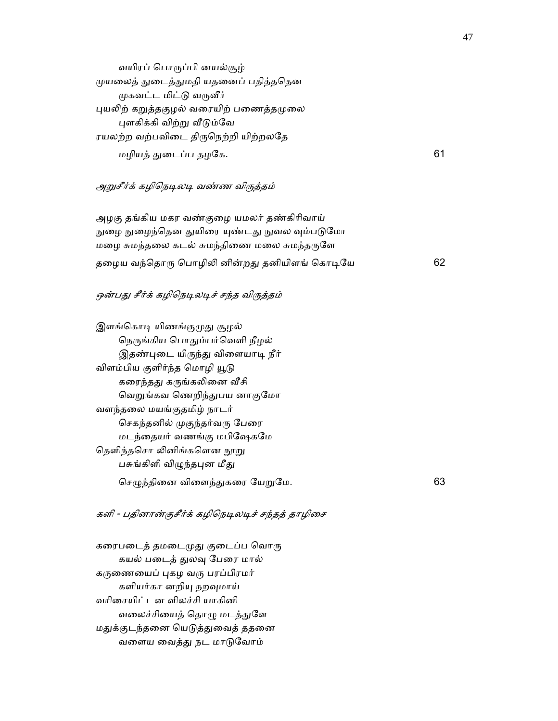வயிரப் ெபாᾞப்பி னயல்சூழ் ᾙயைலத் ᾐைடத்ᾐமதி யதைனப் பதித்தெதன முகவட்ட மிட்டு வருவீர் புயலிற் கறுத்தகுழல் வரையிற் பணைத்தமுலை புளகிக்கி விற்று வீடும்வே ரயலற்ற வற்பவிடை திருநெற்றி யிற்றலதே மழியத் ᾐைடப்ப தழேக. 61

## அறுசீர்க் கழிநெடிலடி வண்ண விருத்தம்

 அழகு தங்கிய மகர வண்குைழ யமலர் தண்கிாிவாய் நுழை நுழைந்தென துயிரை யுண்டது நுவல வும்படுமோ மழை சுமந்தலை கடல் சுமந்திணை மலை சுமந்தருளே தழைய வந்தொரு பொழிலி னின்றது தனியிளங் கொடியே பான் பை 62

## ஒன்பது சீர்க் கழிநெடிலடிச் சந்த விருத்தம்

இளங்கொடி யிணங்குமுது சூழல் நெருங்கிய பொதும்பர்வெளி நீழல் இதண்புடை யிருந்து விளையாடி நீர் விளம்பிய குளிர்ந்த மொழி யூடு கரைந்தது கருங்கலினை வீசி வெறுங்கவ ணெறிந்துபய னாகுமோ வளந்தைல மயங்குதமிழ் நாடர் செகந்தனில் முகுந்தர்வரு பேரை மடந்ைதயர் வணங்கு மபிேஷகேம தெளிந்தசொ லினிங்களென நூறு பசுங்கிளி விழுந்தபுன மீது  $G$ சமுந்தினை விளைந்துகரை யேறுமே.  $63$ 

களி - பதினான்குசீர்க் கழிநெடிலடிச் சந்தத் தாழிசை

கரைபடைத் தமடைமுது குடைப்ப வொரு கயல் படைத் துலவு பேரை மால் கருணையைப் புகழ வரு பரப்பிரமர் களியர்கா னறியு நறவுமாய் வாிைசயிட்டன ளிலச்சி யாகினி வலைச்சியைத் தொழு மடத்துளே மதுக்குடந்தனை யெடுத்துவைத் ததனை வளைய வைத்து நட மாடுவோம்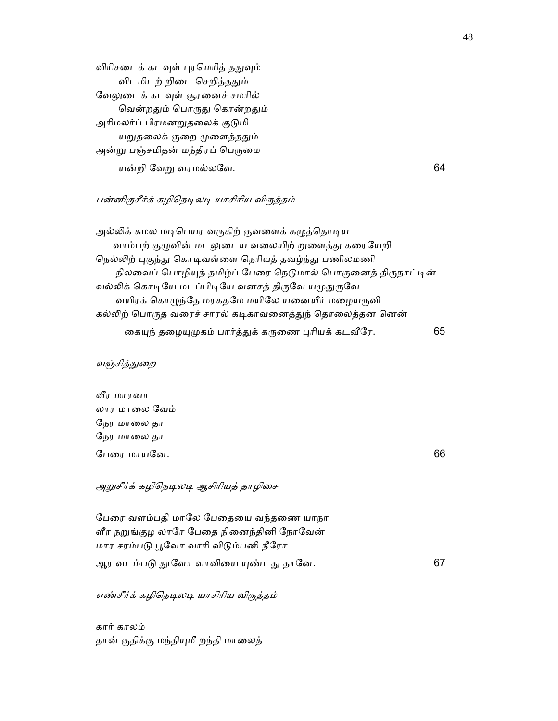விரிசடைக் கடவுள் புரமெரித் ததுவும் விடமிடற் றிடை செறித்ததும் வேலுடைக் கடவுள் சூரனைச் சமரில் வென்றதும் பொருது கொன்றதும் அரிமலர்ப் பிரமனறுதலைக் குடுமி யறுதலைக் குறை முளைத்ததும் அன்று பஞ்சமிதன் மந்திரப் பெருமை யன்றி ேவᾠ வரமல்லேவ. 64

## பன்னிருசீர்க் கழிநெடிலடி யாசிரிய விருத்தம்

அல்லிக் கமல மடிபெயர வருகிற் குவளைக் கழுத்தொடிய வாம்பற் குழுவின் மடலுடைய வலையிற் றுளைத்து கரையேறி நெல்லிற் புகுந்து கொடிவள்ளை நெரியத் தவழ்ந்து பணிலமணி நிலவைப் பொழியுந் தமிழ்ப் பேரை நெடுமால் பொருனைத் திருநாட்டின் வல்லிக் கொடியே மடப்பிடியே வனசத் திருவே யமுதுருவே வயிரக் கொழுந்தே மரகதமே மயிலே யனையீர் மழையருவி கல்லிற் பொருத வரைச் சாரல் கடிகாவனைத்துந் தொலைத்தன னென் ைகᾜந் தைழᾜᾙகம் பார்த்ᾐக் கᾞைண ᾗாியக் கடᾪேர. 65

#### வஞ்சித்துறை

 ᾪர மாரனா லார மாைல ேவம் ேநர மாைல தா ேநர மாைல தா ேபைர மாயேன. 66

அறுசீர்க் கழிநெடிலடி ஆசிரியத் தாழிசை

 ேபைர வளம்பதி மாேல ேபைதைய வந்தைண யாநா ளீர நறுங்குழ லாரே பேதை நினைந்தினி நோவேன் மார சரம்பᾌ ᾘேவா வாாி விᾌம்பனி நீேரா

ஆர வடம்பᾌ ᾑேளா வாவிைய ᾜண்டᾐ தாேன. 67

எண்சீர்க் கழிநெடிலடி யாசிரிய விருத்தம்

 கார் காலம் தான் குதிக்கு மந்தியுமீ றந்தி மாலைத்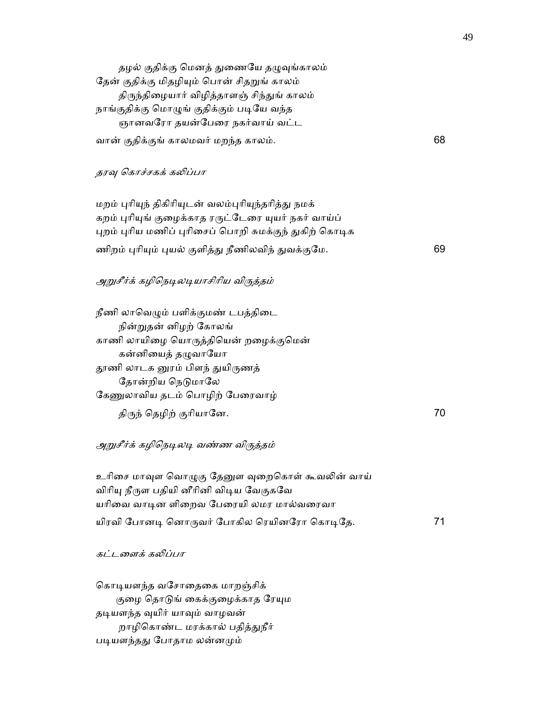தழல் குதிக்கு மெனத் துணையே தழுவுங்காலம் தேன் குதிக்கு மிதழியும் பொன் சிதறுங் காலம் திருந்திழையார் விழித்தாளஞ் சிந்துங் காலம் நாங்குதிக்கு மொழுங் குதிக்கும் படியே வந்த ஞானவேரா தயன்ேபைர நகர்வாய் வட்ட வான் குதிக்குங் காலமவர் மறந்த காலம். 68

#### தரவு கொச்சகக் கலிப்பா

 மறம் ᾗாிᾜந் திகிாிᾜடன் வலம்ᾗாிᾜந்தாித்ᾐ நமக் கறம் புரியுங் குழைக்காத ரருட்டேரை யுயர் நகர் வாய்ப் புறம் புரிய மணிப் புரிசைப் பொறி சுமக்குந் துகிற் கொடிக ணிறம் புரியும் புயல் குளித்து நீணிலவிந் துவக்குமே. காண்டி முன் பார் குரி

### அறுசீர்க் கழிநெடிலடியாசிரிய விருத்தம்

நீணி லாவெழும் பளிக்குமண் டபத்திடை நின்ᾠதன் னிழற் ேகாலங் காணி லாயிைழ ெயாᾞத்திெயன் றைழக்குெமன் கன்னியைத் தழுவாயோ தூணி லாடக னுரம் பிளந் துயிருணத் தோன்றிய நெடுமாலே கேணுலாவிய தடம் பொழிற் பேரைவாழ் திᾞந் ெதழிற் குாியாேன. 70

#### அறுசீர்க் கழிநெடிலடி வண்ண விருத்தம்

உரிசை மாவுள வொழுகு தேனுள வுறைகொள் கூவலின் வாய் விரியு நீருள பதியி னீரினி விடிய வேகுகவே யரிவை வாடின ளிறைவ பேரையி லமர மால்வரைவா யிரவி ேபானᾊ ெனாᾞவர் ேபாகில ெரயினேரா ெகாᾊேத. 71

#### கட்டளைக் கலிப்பா

கொடியளந்த வசோதைகை மாறஞ்சிக் குழை தொடுங் கைக்குழைக்காத ரேயும தடியளந்த வுயிர் யாவும் வாழவன் றாழிகொண்ட மரக்கால் பதித்துநீர் படியளந்தது போதாம லன்னமும்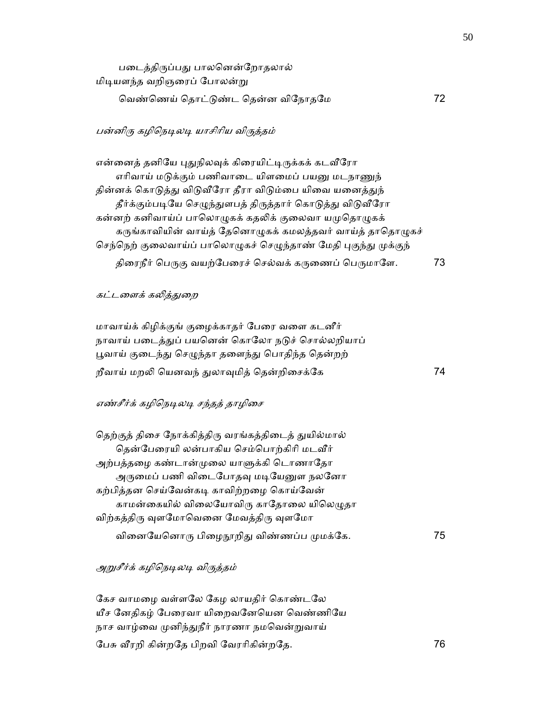| படைத்திருப்பது பாலனென்றோதலால்    |  |
|----------------------------------|--|
| மிடியளந்த வறிஞரைப் போலன்று       |  |
| வெண்ணெய் தொட்டுண்ட தென்ன விநோதமே |  |

## பன்னிரு கழிநெடிலடி யாசிரிய விருத்தம்

என்னைத் தனியே புதுநிலவுக் கிரையிட்டிருக்கக் கடவீரோ எரிவாய் மடுக்கும் பணிவாடை யிளமைப் பயனு மடநாணுந் தின்னக் கொடுத்து விடுவீரோ தீரா விடும்பை யிவை யனைத்துந் தீர்க்கும்படியே செழுந்துளபத் திருத்தார் கொடுத்து விடுவீரோ கன்னற் கனிவாய்ப் பாலொழுகக் கதலிக் குலைவா யமுதொழுகக் கருங்காவியின் வாய்த் தேனொழுகக் கமலத்தவர் வாய்த் தாதொழுகச் செந்நெற் குலைவாய்ப் பாலொழுகச் செழுந்தாண் மேதி புகுந்து முக்குந் திரைநீர் பெருகு வயற்பேரைச் செல்வக் கருணைப் பெருமாளே. 73

#### கட்டளைக் கலித்துறை

 மாவாய்க் கிழிக்குங் குைழக்காதர் ேபைர வைள கடனீர் நாவாய் படைத்துப் பயனென் கொலோ நடுச் சொல்லறியாப் பூவாய் குடைந்து செழுந்தா தளைந்து பொதிந்த தென்றற் றீவாய் மறᾢ ெயனவந் ᾐலாᾫமித் ெதன்றிைசக்ேக 74

### எண்சீர்க் கழிநெடிலடி சந்தத் தாழிசை

| தெற்குத் திசை நோக்கித்திரு வரங்கத்திடைத் துயில்மால் |    |
|-----------------------------------------------------|----|
| தென்பேரையி லன்பாகிய செம்பொற்கிரி மடவீர்             |    |
| அற்பத்தழை கண்டான்முலை யாளுக்கி டொணாதோ               |    |
| அருமைப் பணி விடைபோதவு மடியேனுள நலனோ                 |    |
| கற்பித்தன செய்வேன்கடி காவிற்றழை கொய்வேன்            |    |
| காமன்கையில் விலையோவிரு காதோலை யிலெழுதா              |    |
| விற்கத்திரு வுளமோவெனை மேவத்திரு வுளமோ               |    |
| வினையேனொரு பிழைநூறிது விண்ணப்ப முமக்கே.             | 75 |
|                                                     |    |

## அறுசீர்க் கழிநெடிலடி விருத்தம்

கேச வாமழை வள்ளலே கேழ லாயதிர் கொண்டலே யீச னேதிகழ் பேரைவா யிறைவனேயென வெண்ணியே நாச வாழ்வை முனிந்துநீர் நாரணா நமவென்றுவாய் ேபசு ᾪரறி கின்றேத பிறவி ேவராிகின்றேத. 76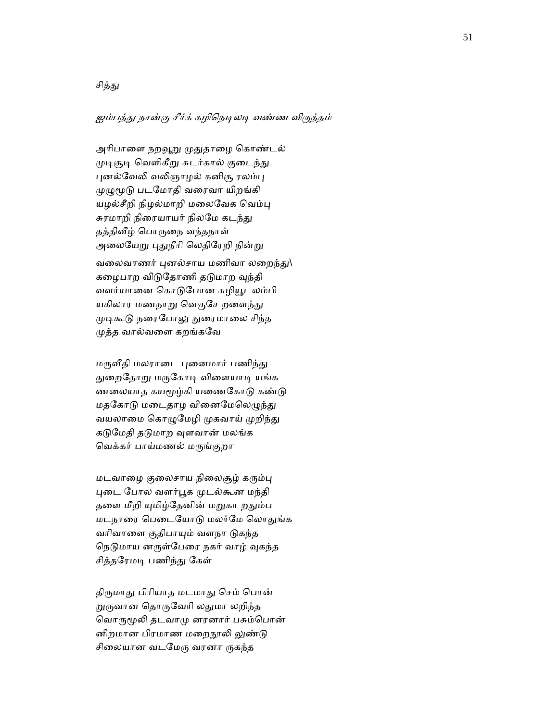## சித்து

# ஐம்பத்து நான்கு சீர்க் கழிநெடிலடி வண்ண விருத்தம்

அரிபாளை நறவூறு முதுதாழை கொண்டல் முடிசூடி வெளிகீறு சுடர்கால் குடைந்து புனல்வேலி வலிஞாழல் கனிசூ ரலம்பு ᾙᾨᾚᾌ படேமாதி வைரவா யிறங்கி யழல்சீறி நிழல்மாறி மலைவேக வெம்பு சுரமாறி நிரையாயர் நிலமே கடந்து தத்திᾪழ் ெபாᾞைந வந்தநாள் அலையேறு புதுநீரி லெதிரேறி நின்று வலைவாணர் புனல்சாய மணிவா லறைந்து $\setminus$ கழைபாற விடுதோணி தடுமாற வுந்தி வளர்யானை கொடுபோன சுழியூடலம்பி யகிலார மணநாறு வெகுசே றளைந்து முடிகூடு நரைபோலு நுரைமாலை சிந்த ᾙத்த வால்வைள கறங்கேவ

மருவீதி மலராடை புனைமார் பணிந்து துறைதோறு மருகோடி விளையாடி யங்க ணலையாத கயமூழ்கி யணைகோடு கண்டு மதகோடு மடைதாழ வினைமேலெழுந்து வயலாமை கொழுமேழி முகவாய் முறிந்து கடுமேதி தடுமாற வுளவான் மலங்க ெவக்கர் பாய்மணல் மᾞங்குறா

மடவாழை குலைசாய நிலைசூழ் கரும்பு புடை போல வளர்பூக முடல்கூன மந்தி தளை மீறி யுமிழ்தேனின் மறுகா றதும்ப மடநாரை பெடையோடு மலர்மே லொதுங்க வரிவாளை குதிபாயும் வளநா டுகந்த நெடுமாய னருள்பேரை நகர் வாழ் வுகந்த சித்தரேமடி பணிந்து கேள்

திருமாது பிரியாத மடமாது செம் பொன் றுருவான தொருவேரி லதுமா லறிந்த வொருமூலி தடவாமு னரனார் பசும்பொன் னிறமான பிரமாண மறைநூலி லுண்டு சிலையான வடமேரு வரனா ருகந்த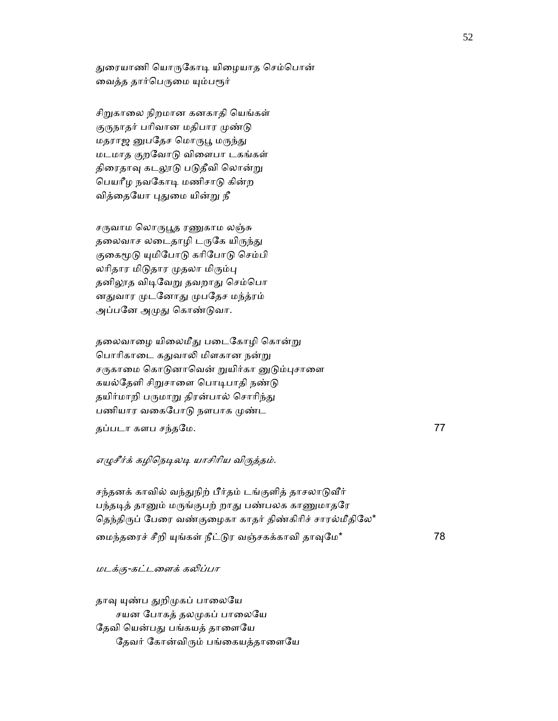துரையாணி யொருகோடி யிழையாத செம்பொன் வைத்த தார்பெருமை யும்பரூர்

சிறுகாலை நிறமான கனகாதி யெங்கள் குருநாதர் பரிவான மதிபார முண்டு மதராஜ னுபதேச மொருபூ மருந்து மடமாத குறேவாᾌ விைளபா டகங்கள் திரைதாவு கடலூடு படுதீவி லொன்று ெபயாீழ நவேகாᾊ மணிசாᾌ கின்ற வித்தையோ புதுமை யின்று நீ

சருவாம லொருபூத ரணுகாம லஞ்சு தலைவாச லடைதாழி டருகே யிருந்து குகைமூடு யுமிபோடு கரிபோடு செம்பி லரிதார மிடுதார முதலா மிரும்பு தனிலூத விடிவேறு தவறாது செம்பொ னதுவார முடனோது முபதேச மந்த்ரம் அப்பனே அமுது கொண்டுவா.

தலைவாழை யிலைமீது படைகோழி கொன்று பொரிகாடை கதுவாலி மிளகான நன்று சருகாமை கொடுனாவென் றுயிர்கா னுடும்புசாளை கயல்தேளி சிறுசாளை பொடிபாதி நண்டு தயிர்மாறி பருமாறு திரன்பால் சொரிந்து பணியார வகைபோடு நளபாக முண்ட

தப்படா களப சந்தேம. 77

#### எழுசீர்க் கழிநெடிலடி யாசிரிய விருத்தம்.

சந்தனக் காவில் வந்துநிற் பீர்தம் டங்குளித் தாசலாடுவீர் பந்தடித் தானும் மருங்குபற் றாது பண்பலக காணுமாதரே தெந்திருப் பேரை வண்குழைகா காதர் திண்கிரிச் சாரல்மீதிலே\* மைந்தரைச் சீறி யுங்கள் நீட்டுர வஞ்சகக்காவி தாவுமே\* 78

## மடக்கு-கட்டைளக் கᾢப்பா

தாவு யுண்ப துறிமுகப் பாலையே சயன போகத் தலமுகப் பாலையே தேவி யென்பது பங்கயத் தாளையே தேவர் கோன்விரும் பங்கையத்தாளையே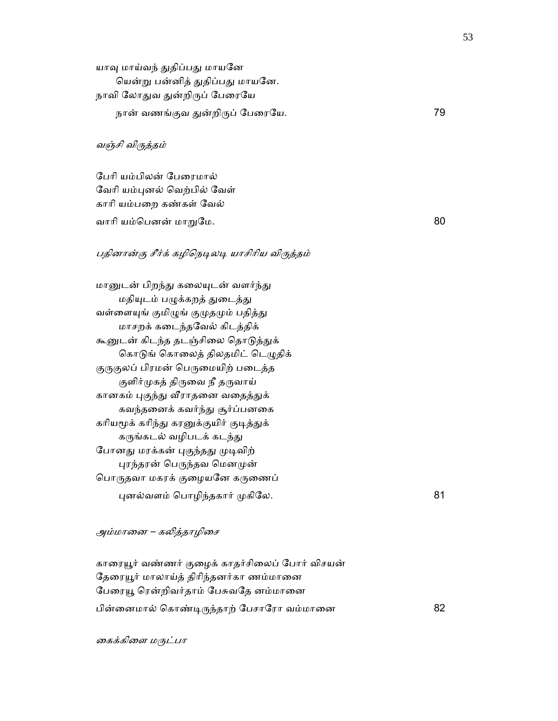யாவு மாய்வந் துதிப்பது மாயனே யென்று பன்னித் துதிப்பது மாயனே. நாவி லோதுவ துன்றிருப் பேரையே நான் வணங்குவ ᾐன்றிᾞப் ேபைரேய. 79

#### வஞ்சி விᾞத்தம்

 ேபாி யம்பிலன் ேபைரமால் வேரி யம்புனல் வெற்பில் வேள் காாி யம்பைற கண்கள் ேவல் வாாி யம்ெபனன் மாᾠேம. 80

## பதினான்கு சீர்க் கழிநெடிலடி யாசிரிய விருத்தம்

மானுடன் பிறந்து கலையுடன் வளர்ந்து மதியுடம் பழுக்கறத் துடைத்து வள்ளையுங் குமிழுங் குமுதமும் பதித்து மாசறக் கைடந்தேவல் கிடத்திக் கூனுடன் கிடந்த தடஞ்சிலை தொடுத்துக் கொடுங் கொலைத் திலதமிட் டெழுதிக் குருகுலப் பிரமன் பெருமையிற் படைத்த குளிர்முகத் திருவை நீ தருவாய் கானகம் புகுந்து வீராதனை வதைத்துக் கவந்தைனக் கவர்ந்ᾐ சூர்ப்பனைக கரியமூக் கரிந்து கரனுக்குயிர் குடித்துக் கருங்கடல் வழிபடக் கடந்து போனது மரக்கன் புகுந்தது முடிவிற் புரந்தரன் பெருந்தவ மெனமுன் பொருதவா மகரக் குழையனே கருணைப்

ᾗனல்வளம் ெபாழிந்தகார் ᾙகிேல. 81

## அம்மானை – கலித்தாழிசை

காரையூர் வண்ணர் குழைக் காதர்சிலைப் போர் விசயன் தேரையூர் மாலாய்த் திரிந்தனர்கா ணம்மானை பேரையூ ரென்றிவர்தாம் பேசுவதே னம்மானை பின்னைமால் கொண்டிருந்தாற் பேசாரோ வம்மானை 82

கைக்கிளை மருட்பா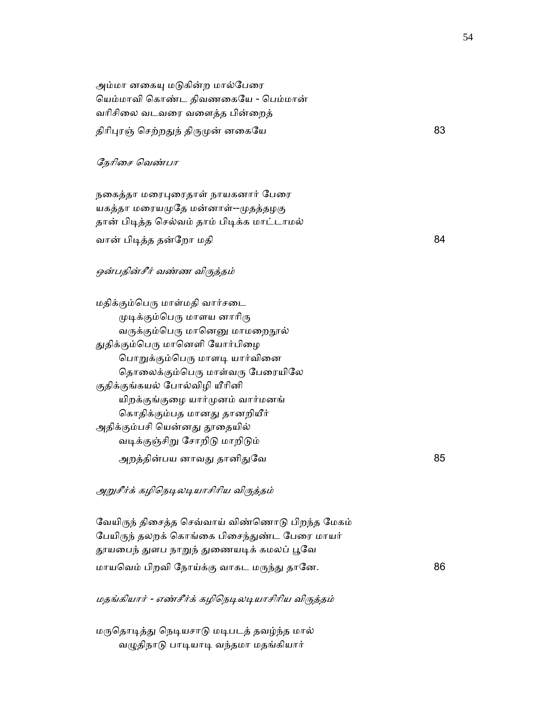அம்மா னகையு மடுகின்ற மால்பேரை ெயம்மாவி ெகாண்ட திவணைகேய - ெபம்மான் வாிசிைல வடவைர வைளத்த பின்ைறத் திரிபுரஞ் செற்றதுந் திருமுன் னகையே கூட காலை 83

## ேநாிைச ெவண்பா

நகைத்தா மரைபுரைதாள் நாயகனார் பேரை யகத்தா மரையமுதே மன்னாள்--முதத்தழகு தான் பிᾊத்த ெசல்வம் தாம் பிᾊக்க மாட்டாமல் வான் பிடித்த தன்றோ மதி கால் கால் கால் கால் கால் கால் 84

#### ஒன்பதின்சீர் வண்ண விருத்தம்

மதிக்கும்பெரு மாள்மதி வார்சடை முடிக்கும்பெரு மாளய னாரிரு வருக்கும்பெரு மானெனு மாமறைநூல் துதிக்கும்பெரு மானெளி யோர்பிழை பொறுக்கும்பெரு மாளடி யார்வினை தொலைக்கும்பெரு மாள்வரு பேரையிலே குதிக்குங்கயல் ேபால்விழி யீாினி யிறக்குங்குைழ யார்ᾙனம் வார்மனங் கொதிக்கும்பத மானது தானறியீர் அதிக்கும்பசி யென்னது தூதையில் வடிக்குஞ்சிறு சோறிடு மாறிடும் அறத்தின்பய னாவது தானிதுவே கால காலை காலை 85

## அறுசீர்க் கழிநெடிலடியாசிரிய விருத்தம்

வேயிருந் திசைத்த செவ்வாய் விண்ணொடு பிறந்த மேகம் பேயிருந் தலறக் கொங்கை பிசைந்துண்ட பேரை மாயர் தூயபைந் துளப நாறுந் துணையடிக் கமலப் பூவே மாயவெம் பிறவி நோய்க்கு வாகட மருந்து தானே. 86

மதங்கியார் - எண்சீர்க் கழிநெடிலடியாசிரிய விருத்தம்

மருதொடித்து நெடியசாடு மடிபடத் தவழ்ந்த மால் வழுதிநாடு பாடியாடி வந்தமா மதங்கியார்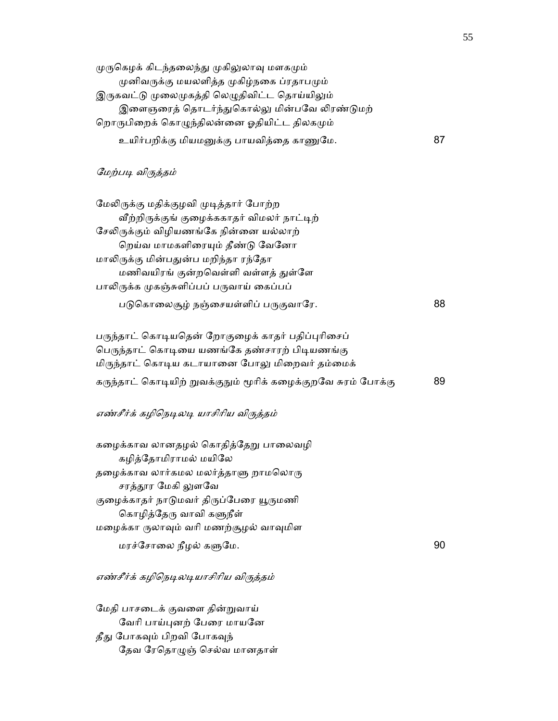| முருகெழக் கிடந்தலைந்து முகிலுலாவு மளகமும்    |    |
|----------------------------------------------|----|
| முனிவருக்கு மயலளித்த முகிழ்நகை ப்ரதாபமும்    |    |
| இருகவட்டு முலைமுகத்தி லெழுதிவிட்ட தொய்யிலும் |    |
| இளைஞரைத் தொடர்ந்துகொல்லு மின்பவே லிரண்டுமற்  |    |
| றொருபிறைக் கொழுந்திலன்னை ஓதியிட்ட திலகமும்   |    |
| உயிர்பறிக்கு மியமனுக்கு பாயவித்தை காணுமே.    | 87 |

## மேற்படி விருத்தம்

மேலிருக்கு மதிக்குழவி முடித்தார் போற்ற வீற்றிருக்குங் குழைக்ககாதர் விமலர் நாட்டிற் சேலிருக்கும் விழியணங்கே நின்னை யல்லாற் றெய்வ மாமகளிரையும் தீண்டு வேனோ மாலிருக்கு மின்பதுன்ப மறிந்தா ரந்தோ மணிவயிரங் குன்றவெள்ளி வள்ளத் துள்ளே பாலிருக்க முகஞ்சுளிப்பப் பருவாய் கைப்பப் படுகொலைசூழ் நஞ்சையள்ளிப் பருகுவாரே. 88

பருந்தாட் கொடியதென் றோகுழைக் காதர் பதிப்புரிசைப் பெருந்தாட் கொடியை யணங்கே தண்சாரற் பிடியணங்கு மிருந்தாட் கொடிய கடாயானை போலு மிறைவர் தம்மைக் கருந்தாட் கொடியிற் றுவக்குநும் மூரிக் கழைக்குறவே சுரம் போக்கு 89

## எண்சீர்க் கழிநெடிலடி யாசிரிய விருத்தம்

கழைக்காவ லானதழல் கொதித்தேறு பாலைவழி கழித்ேதாமிராமல் மயிேல தழைக்காவ லார்கமல மலர்த்தாளு றாமலொரு சரத்தூர மேகி லுளவே குழைக்காதர் நாடுமவர் திருப்பேரை யூருமணி கொழித்தேரு வாவி களுநீள் மைழக்கா ᾞலாᾫம் வாி மணற்சூழல் வாᾫமிள மரச்ேசாைல நீழல் கᾦேம. 90

## எண்சீர்க் கழிநெடிலடியாசிரிய விருத்தம்

 ேமதி பாசைடக் குவைள தின்ᾠவாய் வேரி பாய்புனற் பேரை மாயனே தீது போகவும் பிறவி போகவுந் தேவ ரேதொழுஞ் செல்வ மானதாள்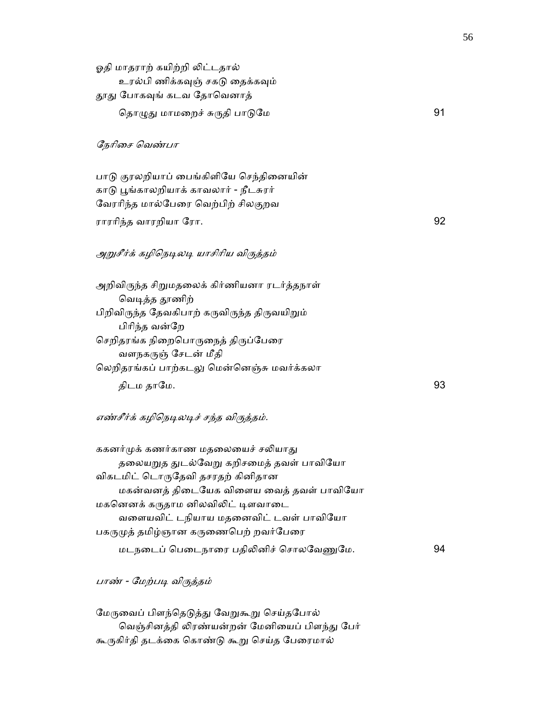| ஓதி மாதராற் கயிற்றி லிட்டதால்                |    |
|----------------------------------------------|----|
| உரல்பி ணிக்கவுஞ் சகடு தைக்கவும்              |    |
| தூது போகவுங் கடவ தோவெனாத்                    |    |
| தொழுது மாமறைச் சுருதி பாடுமே                 | 91 |
|                                              |    |
| நேரிசை வெண்பா                                |    |
|                                              |    |
| பாடு குரலறியாப் பைங்கிளியே செந்தினையின்      |    |
| காடு பூங்காலறியாக் காவலார் - நீடசுரர்        |    |
| வேரரிந்த மால்பேரை வெற்பிற் சிலகுறவ           |    |
| ராரரிந்த வாரறியா ரோ.                         | 92 |
|                                              |    |
| அறுசீர்க் கழிநெடிலடி யாசிரிய விருத்தம்       |    |
|                                              |    |
| லூலிவிகர்சு ரிறுமாலைச் ரிர்ணியனா சடர்ச்சாரன் |    |

அறிவிருந்த சிறுமதலைக் கிர்ணியனா ரடர்த்தநாள் வெடித்த தூணிற் பிறிவிருந்த தேவகிபாற் கருவிருந்த திருவயிறும் பிாிந்த வன்ேற செறிதரங்க நிறைபொருநைத் திருப்பேரை வளநகᾞஞ் ேசடன் மீதி லெறிதரங்கப் பாற்கடலு மென்னெஞ்சு மவர்க்கலா திடம தாமே.  $93$ 

# எண்சீர்க் கழிநெடிலடிச் சந்த விருத்தம்.

| ககனர்முக் கணர்காண மதலையைச் சலியாது      |    |
|-----------------------------------------|----|
| தலையறுத துடல்வேறு கறிசமைத் தவள் பாவியோ  |    |
| விகடமிட் டொருதேவி தசரதற் கினிதான        |    |
| மகன்வனத் திடையேக விளைய வைத் தவள் பாவியோ |    |
| மகனெனக் கருதாம னிலவிலிட் டிளவாடை        |    |
| வளையவிட் டநியாய மதனைவிட் டவள் பாவியோ    |    |
| பகருமுத் தமிழ்ஞான கருணைபெற் றவர்பேரை    |    |
| மடநடைப் பெடைநாரை பதிலினிச் சொலவேணுமே.   | 94 |

பாண் - மேற்படி விருத்தம்

மேருவைப் பிளந்தெடுத்து வேறுகூறு செய்தபோல் வெஞ்சினத்தி லிரண்யன்றன் மேனியைப் பிளந்து பேர் கூᾞகிர்தி தடக்ைக ெகாண்ᾌ கூᾠ ெசய்த ேபைரமால்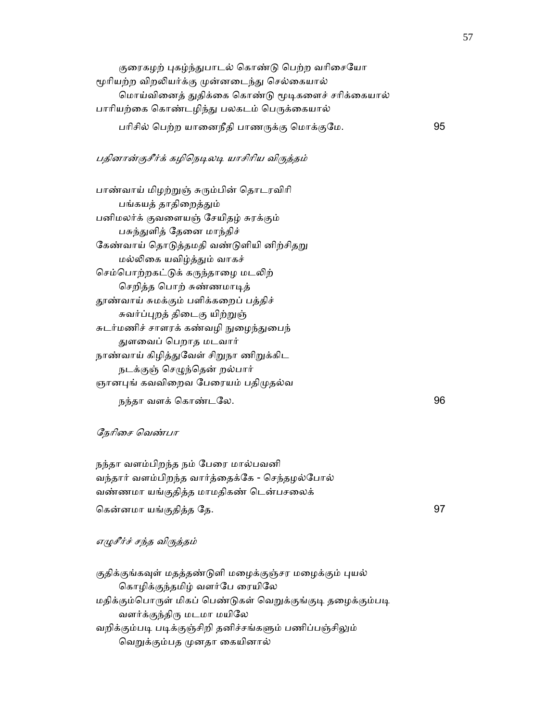குரைகழற் புகழ்ந்துபாடல் கொண்டு பெற்ற வரிசையோ மூரியற்ற விறலியர்க்கு முன்னடைந்து செல்கையால் மொய்வினைத் துதிக்கை கொண்டு மூடிகளைச் சரிக்கையால் பாரியற்கை கொண்டழிந்து பலகடம் பெருக்கையால் பரிசில் பெற்ற யானைநீதி பாணருக்கு மொக்குமே. 95

## பதினான்குசீர்க் கழிநெடிலடி யாசிரிய விருத்தம்

பாண்வாய் மிழற்றுஞ் சுரும்பின் தொடரவிரி பங்கயத் தாதிறைத்தும் பனிமலர்க் குவைளயஞ் ேசயிதழ் சுரக்கும் பசுந்துளித் தேனை மாந்திச் கேண்வாய் தொடுத்தமதி வண்டுளியி னிற்சிதறு மல்ᾢைக யவிழ்த்ᾐம் வாகச் செம்பொற்றகட்டுக் கருந்தாழை மடலிற் ெசறித்த ெபாற் சுண்ணமாᾊத் ᾑண்வாய் சுமக்கும் பளிக்கைறப் பத்திச் சுவர்ப்புறத் திடைகு யிற்றுஞ் சுடர்மணிச் சாளரக் கண்வழி நுழைந்துபைந் ᾐளைவப் ெபறாத மடவார் நாண்வாய் கிழித்துவேள் சிறுநா ணிறுக்கிட நடக்குஞ் செழுந்தென் றல்பார் ஞானபுங் கவவிறைவ பேரையம் பதிமுதல்வ நந்தா வளக் ெகாண்டேல. 96

#### ேநாிைச ெவண்பா

நந்தா வளம்பிறந்த நம் பேரை மால்பவனி வந்தார் வளம்பிறந்த வார்த்ைதக்ேக - ெசந்தழல்ேபால் வண்ணமா யங்குதித்த மாமதிகண் டென்பசலைக் ெகன்னமா யங்குதித்த ேத. 97

எᾨசீர்ச் சந்த விᾞத்தம்

குதிக்குங்கவுள் மதத்தண்டுளி மழைக்குஞ்சர மழைக்கும் புயல் ெகாழிக்குந்தமிழ் வளர்ேப ைரயிேல மதிக்கும்பொருள் மிகப் பெண்டுகள் வெறுக்குங்குடி தழைக்கும்படி வளர்க்குந்திᾞ மடமா மயிேல வறிக்கும்படி படிக்குஞ்சிறி தனிச்சங்களும் பணிப்பஞ்சிலும் வெறுக்கும்பத முனதா கையினால்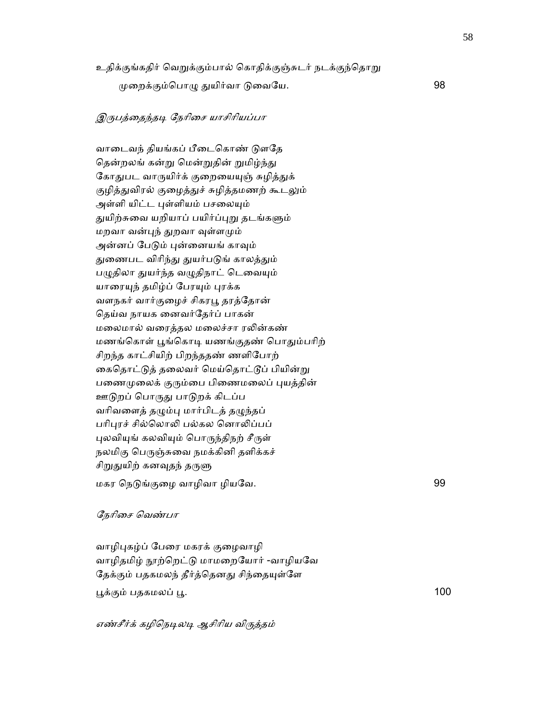உதிக்குங்கதிர் வெறுக்கும்பால் கொதிக்குஞ்சுடர் நடக்குந்தொறு

ᾙைறக்கும்ெபாᾨ ᾐயிர்வா ᾌைவேய. 98

## இருபத்தைந்தடி நேரிசை யாசிரியப்பா

வாடைவந் தியங்கப் பீடைகொண் டுளதே தென்றலங் கன்று மென்றுதின் றுமிழ்ந்து கோதுபட வாருயிர்க் குறையையுஞ் சுழித்துக் குழித்துவிரல் குழைத்துச் சுழித்தமணற் கூடலும் அள்ளி யிட்ட புள்ளியம் பசலையும் துயிற்சுவை யறியாப் பயிர்ப்புறு தடங்களும் மறவா வன்ᾗந் ᾐறவா ᾫள்ளᾙம் அன்னப் பேடும் புன்னையங் காவும் துணைபட விரிந்து துயர்படுங் காலத்தும் பழுதிலா துயர்ந்த வழுதிநாட் டெவையும் யாரையுந் தமிழ்ப் பேரயும் புரக்க வளநகர் வார்குைழச் சிகரᾘ தரத்ேதான் ெதய்வ நாயக ைனவர்ேதர்ப் பாகன் மைலமால் வைரத்தல மைலச்சா ரᾢன்கண் மணங்கொள் பூங்கொடி யணங்குதண் பொதும்பரிற் சிறந்த காட்சியிற் பிறந்ததண் ணளிேபாற் கைதொட்டுத் தலைவர் மெய்தொட்டூப் பியின்று பணைமுலைக் குரும்பை பிணைமலைப் புயத்தின் ஊடுறப் பொருது பாடுறக் கிடப்ப வரிவளைத் தழும்பு மார்பிடத் தழுந்தப் பரிபுரச் சில்லொலி பல்கல னொலிப்பப் புலவியுங் கலவியும் பொருந்திநற் சீருள் நலமிகு பெருஞ்சுவை நமக்கினி தளிக்கச் சிறுதுயிற் கனவுதந் தருளு மகர ெநᾌங்குைழ வாழிவா ழியேவ. 99

## ேநாிைச ெவண்பா

வாழிபுகழ்ப் பேரை மகரக் குழைவாழி வாழிதமிழ் நூற்றெட்டு மாமறையோர் -வாழியவே தேக்கும் பதகமலந் தீர்த்தெனது சிந்தையுள்ளே பூக்கும் பதகமலப் பூ.

எண்சீர்க் கழிநெடிலடி ஆசிரிய விருத்தம்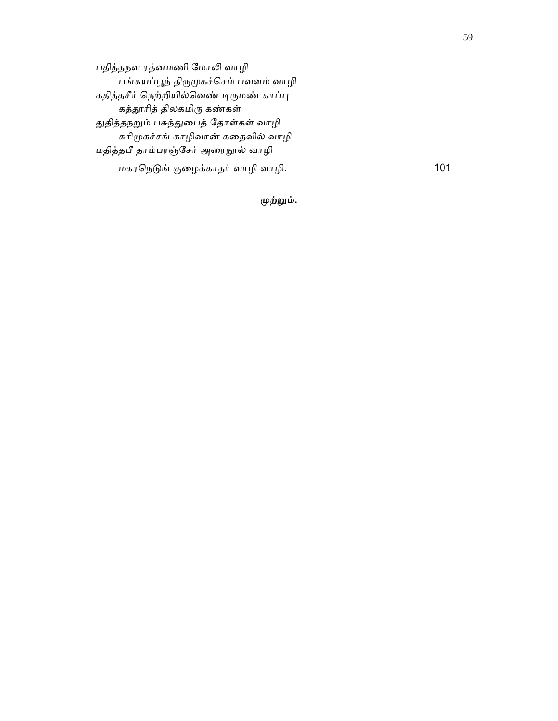பதித்தநவ ரத்னமணி ேமாᾢ வாழி பங்கயப்ᾘந் திᾞᾙகச்ெசம் பவளம் வாழி கதித்தசீர் நெற்றியில்வெண் டிருமண் காப்பு கத்தூரித் திலகமிரு கண்கள் துதித்தநறும் பசுந்துபைத் தோள்கள் வாழி சுாிᾙகச்சங் காழிவான் கைதவில் வாழி மதித்தபீ தாம்பரஞ்சேர் அரைநூல் வாழி மகரநெடுங் குழைக்காதர் வாழி வாழி. 101

# முற்றும்.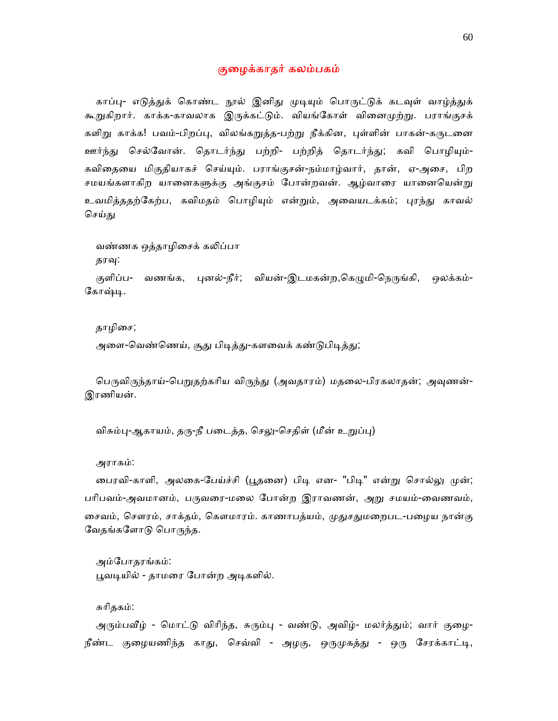## குைழக்காதர் கலம்பகம்

காப்பு- எடுத்துக் கொண்ட நூல் இனிது முடியும் பொருட்டுக் கடவுள் வாழ்த்துக் கூறுகிறார். காக்க-காவலாக இருக்கட்டும். வியங்கோள் வினைமுற்று. பராங்குசக் களிறு காக்க! பவம்-பிறப்பு, விலங்கறுத்த-பற்று நீக்கின, புள்ளின் பாகன்-கருடனை ஊர்ந்து செல்வோன். தொடர்ந்து பற்றி- பற்றித் தொடர்ந்து; கவி பொழியும்-கவிைதைய மிகுதியாகச் ெசய்ᾜம். பராங்குசன்-நம்மாழ்வார், தான், ஏ-அைச, பிற சமயங்களாகிற யானைகளுக்கு அங்குசம் போன்றவன். ஆழ்வாரை யானையென்று உவமித்ததற்கேற்ப, கவிமதம் பொழியும் என்றும், அவையடக்கம்; புரந்து காவல் செய்து

வண்ணக ஒத்தாழிசைக் கலிப்பா தரவு:

குளிப்ப- வணங்க, புனல்-நீர்; வியன்-இடமகன்ற,கெழுமி-நெருங்கி, ஒலக்கம்-கோஷ்டி.

தாழிசை;

அளை-வெண்ணெய், சூது பிடித்து-களவைக் கண்டுபிடித்து;

பெருவிருந்தாய்-பெறுதற்கரிய விருந்து (அவதாரம்) மதலை-பிரகலாதன்; அவுணன்-இரணியன்.

விசும்பு-ஆகாயம், தரு-நீ படைத்த, செலு-செதிள் (மீன் உறுப்பு)

அராகம்:

பைரவி-காளி, அலகை-பேய்ச்சி (பூதனை) பிடி என- "பிடி" என்று சொல்லு முன்; பரிபவம்-அவமானம், பருவரை-மலை போன்ற இராவணன், அறு சமயம்-வைணவம், சைவம், சௌரம், சாக்தம், கௌமாரம். காணாபத்யம், முதுசதுமறைபட-பழைய நான்கு வேதங்களோடு பொருந்த.

 அம்ேபாதரங்கம்: பூவடியில் - தாமரை போன்ற அடிகளில்.

சுாிதகம்:

அரும்பவீழ் - மொட்டு விரிந்த, சுரும்பு - வண்டு, அவிழ்- மலர்த்தும்; வார் குழை-நீண்ட குழையணிந்த காது, செவ்வி - அழகு, ஒருமுகத்து - ஒரு சேரக்காட்டி,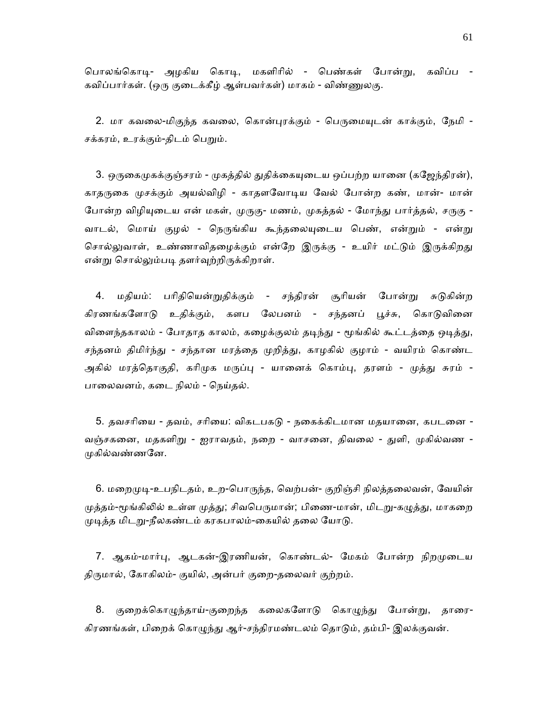பொலங்கொடி- அமகிய கொடி, மகளிரில் - பெண்கள் போன்று, கவிப்ப -கவிப்பார்கள். (ஒரு குடைக்கீழ் ஆள்பவர்கள்) மாகம் - விண்ணுலகு.

2. மா கவலை-மிகுந்த கவலை, கொன்புரக்கும் - பெருமையுடன் காக்கும், நேமி -சக்கரம், உரக்கும்-திடம் பெறும்.

3. ஒருகைமுகக்குஞ்சரம் - முகத்தில் துதிக்கையுடைய ஒப்பற்ற யானை (கஜேந்திரன்), காதருகை முசக்கும் அயல்விழி - காதளவோடிய வேல் போன்ற கண், மான்- மான் போன்ற விழியுடைய என் மகள், முருகு- மணம், முகத்தல் - மோந்து பார்த்தல், சருகு -வாடல், மொய் குழல் - நெருங்கிய கூந்தலையுடைய பெண், என்றும் - என்று சொல்லுவாள், உண்ணாவிதழைக்கும் என்றே இருக்கு - உயிர் மட்டும் இருக்கிறது என்று சொல்லும்படி தளர்வுற்றிருக்கிறாள்.

4. மதியம்: பரிதியென்றுதிக்கும் - சந்திரன் சூரியன் போன்று சுடுகின்ற கிரணங்களோடு உதிக்கும், களப லேபனம் - சந்தனப் பூச்சு, கொடுவினை விளைந்தகாலம் - போதாத காலம், கழைக்குலம் தடிந்து - மூங்கில் கூட்டத்தை ஒடித்து, சந்தனம் திமிர்ந்து - சந்தான மரத்தை முறித்து, காழகில் குழாம் - வயிரம் கொண்ட அகில் மரத்தொகுதி, கரிமுக மருப்பு - யானைக் கொம்பு, தரளம் - முத்து சுரம் -பாலைவனம், கடை நிலம் - நெய்தல்.

5. தவசரியை - தவம், சரியை: விகடபகடு - நகைக்கிடமான மதயானை, கபடனை -வஞ்சகனை, மதகளிறு - ஐராவதம், நறை - வாசனை, திவலை - துளி, முகில்வண -முகில்வண்ணனே.

6. மறைமுடி-உபநிடதம், உற-பொருந்த, வெற்பன்- குறிஞ்சி நிலத்தலைவன், வேயின் முத்தம்-மூங்கிலில் உள்ள முத்து; சிவபெருமான்; பிணை-மான், மிடறு-கழுத்து, மாகறை முடித்த மிடறு-நீலகண்டம் கரகபாலம்-கையில் தலை யோடு.

7. ஆகம்-மார்பு, ஆடகன்-இரணியன், கொண்டல்- மேகம் போன்ற நிறமுடைய திருமால், கோகிலம்- குயில், அன்பர் குறை-தலைவர் குற்றம்.

8. குறைக்கொழுந்தாய்-குறைந்த கலைகளோடு கொழுந்து போன்று, தாரை-கிரணங்கள், பிறைக் கொழுந்து ஆர்-சந்திரமண்டலம் தொடும், தம்பி- இலக்குவன்.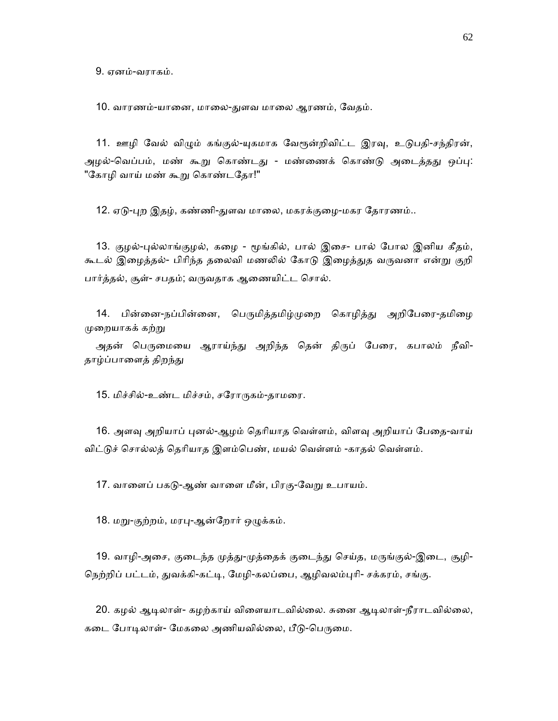9. ஏனம்-வராகம்.

10. வாரணம்-யானை, மாலை-துளவ மாலை ஆரணம், வேதம்.

11. ஊழி வேல் விழும் கங்குல்-யுகமாக வேரூன்றிவிட்ட இரவு, உடுபதி-சந்திரன், அழல்-வெப்பம், மண் கூறு கொண்டது - மண்ணைக் கொண்டு அடைத்தது ஒப்பு: "கோழி வாய் மண் கூறு கொண்டதோ!"

12. ஏடு-புற இதழ், கண்ணி-துளவ மாலை, மகரக்குழை-மகர தோரணம்..

13. குழல்-புல்லாங்குழல், கழை - மூங்கில், பால் இசை- பால் போல இனிய கீதம், கூடல் இழைத்தல்- பிரிந்த தலைவி மணலில் கோடு இழைத்துத வருவனா என்று குறி பார்த்தல், சூள்- சபதம்; வருவதாக ஆணையிட்ட சொல்.

14. பின்னை-நப்பின்னை, பெருமித்தமிழ்முறை கொழித்து அறிபேரை-தமிழை ᾙைறயாகக் கற்ᾠ

அதன் பெருமையை ஆராய்ந்து அறிந்த தென் திருப் பேரை, கபாலம் நீவி-தாழ்ப்பாளைத் திறந்து

15. மிச்சில்-உண்ட மிச்சம், சரோருகம்-தாமரை.

16. அளவு அறியாப் புனல்-ஆழம் தெரியாத வெள்ளம், விளவு அறியாப் பேதை-வாய் விட்டுச் சொல்லத் தெரியாத இளம்பெண், மயல் வெள்ளம் -காதல் வெள்ளம்.

17. வாளைப் பகடு-ஆண் வாளை மீன், பிரகு-வேறு உபாயம்.

18. மறு-குற்றம், மரபு-ஆன்றோர் ஒழுக்கம்.

19. வாழி-அசை, குடைந்த முத்து-முத்தைக் குடைந்து செய்த, மருங்குல்-இடை, சூழி-நெற்றிப் பட்டம், துவக்கி-கட்டி, மேழி-கலப்பை, ஆழிவலம்புரி- சக்கரம், சங்கு.

20. கழல் ஆடிலாள்- கழற்காய் விளையாடவில்லை. சுனை ஆடிலாள்-நீராடவில்லை, கடை போடிலாள்- மேகலை அணியவில்லை, பீடு-பெருமை.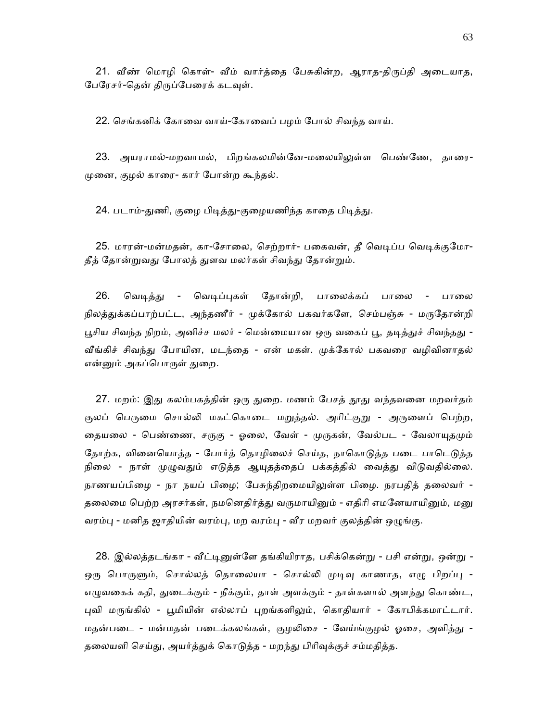21. வீண் மொழி கொள்- வீம் வார்த்தை பேசுகின்ற, ஆராத-திருப்தி அடையாத, பேரேசர்-தென் திருப்பேரைக் கடவுள்.

22. செங்கனிக் கோவை வாய்-கோவைப் பழம் போல் சிவந்த வாய்.

23. அயராமல்-மறவாமல், பிறங்கலமின்னே-மலையிலுள்ள பெண்ணே, தாரை-ᾙைன, குழல் காைர- கார் ேபான்ற கூந்தல்.

24. படாம்-துணி, குழை பிடித்து-குழையணிந்த காதை பிடித்து.

25. மாரன்-மன்மதன், கா-சோலை, செற்றார்- பகைவன், தீ வெடிப்ப வெடிக்குமோ-தீத் தோன்றுவது போலத் துளவ மலர்கள் சிவந்து தோன்றும்.

26. வெடித்து - வெடிப்புகள் தோன்றி, பாலைக்கப் பாலை - பாலை நிலத்துக்கப்பாற்பட்ட, அந்தணீர் - முக்கோல் பகவர்களே, செம்பஞ்சு - மருதோன்றி பூசிய சிவந்த நிறம், அனிச்ச மலர் - மென்மையான ஒரு வகைப் பூ, தடித்துச் சிவந்தது -வீங்கிச் சிவந்து போயின, மடந்தை - என் மகள். முக்கோல் பகவரை வழிவினாதல் என்னும் அகப்பொருள் துறை.

27. மறம்: இது கலம்பகத்தின் ஒரு துறை. மணம் பேசத் தூது வந்தவனை மறவர்தம் குலப் பெருமை சொல்லி மகட்கொடை மறுத்தல். அரிட்குறு - அருளைப் பெற்ற, தையலை - பெண்ணை, சருகு - ஓலை, வேள் - முருகன், வேல்பட - வேலாயுதமும் தோற்க, வினையொத்த - போர்த் தொழிலைச் செய்த, நாகொடுத்த படை பாடெடுத்த நிலை - நாள் முழுவதும் எடுத்த ஆயுதத்தைப் பக்கத்தில் வைத்து விடுவதில்லை. நாணயப்பிழை - நா நயப் பிழை; பேசுந்திறமையிலுள்ள பிழை. நரபதித் தலைவர் -தலைமை பெற்ற அரசர்கள், நமனெதிர்த்து வருமாயினும் - எதிரி எமனேயாயினும், மனு வரம்பு - மனித ஜாதியின் வரம்பு, மற வரம்பு - வீர மறவர் குலத்தின் ஒழுங்கு.

28. இல்லத்தடங்கா - வீட்டினுள்ளே தங்கியிராத, பசிக்கென்று - பசி என்று, ஒன்று -ஒரு பொருளும், சொல்லத் தொலையா - சொல்லி முடிவு காணாத, எழு பிறப்பு -எழுவகைக் கதி, துடைக்கும் - நீக்கும், தாள் அளக்கும் - தாள்களால் அளந்து கொண்ட, புவி மருங்கில் - பூமியின் எல்லாப் புறங்களிலும், கொதியார் - கோபிக்கமாட்டார். மதன்படை - மன்மதன் படைக்கலங்கள், குழலிசை - வேய்ங்குழல் ஓசை, அளித்து -தலையளி செய்து, அயர்த்துக் கொடுத்த - மறந்து பிரிவுக்குச் சம்மதித்த.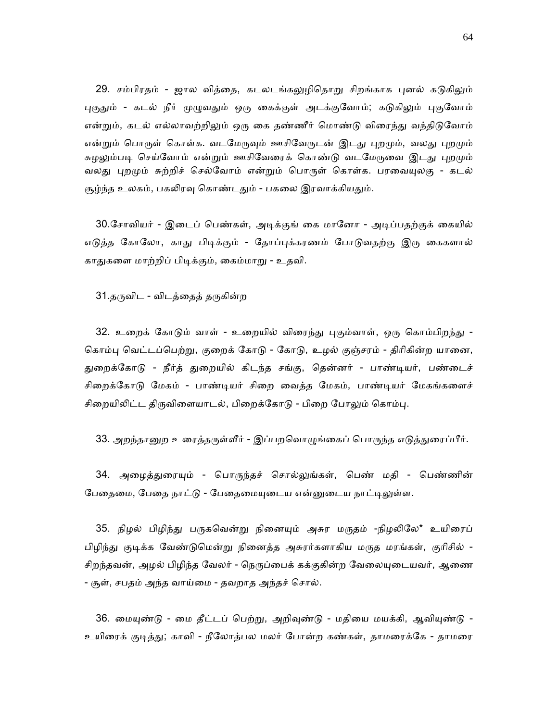29. சம்பிரதம் - ஜால வித்தை, கடலடங்கலுழிதொறு சிறங்காக புனல் கடுகிலும் புகுதும் - கடல் நீர் முழுவதும் ஒரு கைக்குள் அடக்குவோம்; கடுகிலும் புகுவோம் என்றும், கடல் எல்லாவற்றிலும் ஒரு கை தண்ணீர் மொண்டு விரைந்து வந்திடுவோம் என்றும் பொருள் கொள்க. வடமேருவும் ஊசிவேருடன் இடது புறமும், வலது புறமும் சுழலும்படி செய்வோம் என்றும் ஊசிவேரைக் கொண்டு வடமேருவை இடது புறமும் வலது புறமும் சுற்றிச் செல்வோம் என்றும் பொருள் கொள்க. பரவையுலகு - கடல் சூழ்ந்த உலகம், பகலிரவு கொண்டதும் - பகலை இரவாக்கியதும்.

30.சோவியர் - இடைப் பெண்கள், அடிக்குங் கை மானோ - அடிப்பதற்குக் கையில் எடுத்த கோலோ, காது பிடிக்கும் - தோப்புக்கரணம் போடுவதற்கு இரு கைகளால் காᾐகைள மாற்றிப் பிᾊக்கும், ைகம்மாᾠ - உதவி.

31.தருவிட - விடத்தைத் தருகின்ற

32. உறைக் கோடும் வாள் - உறையில் விரைந்து புகும்வாள், ஒரு கொம்பிறந்து -கொம்பு வெட்டப்பெற்று, குறைக் கோடு - கோடு, உழல் குஞ்சரம் - திரிகின்ற யானை, துறைக்கோடு - நீர்த் துறையில் கிடந்த சங்கு, தென்னர் - பாண்டியர், பண்டைச் சிறைக்கோடு மேகம் - பாண்டியர் சிறை வைத்த மேகம், பாண்டியர் மேகங்களைச் சிறையிலிட்ட திருவிளையாடல், பிறைக்கோடு - பிறை போலும் கொம்பு.

33. அறந்தானுற உரைத்தருள்வீர் - இப்பறவொழுங்கைப் பொருந்த எடுத்துரைப்பீர்.

34. அழைத்துரையும் - பொருந்தச் சொல்லுங்கள், பெண் மதி - பெண்ணின் பேதைமை, பேதை நாட்டு - பேதைமையுடைய என்னுடைய நாட்டிலுள்ள.

35. நிழல் பிழிந்து பருகவென்று நினையும் அசுர மருதம் -நிழலிலே\* உயிரைப் பிழிந்து குடிக்க வேண்டுமென்று நினைத்த அசுரர்களாகிய மருத மரங்கள், குரிசில் -சிறந்தவன், அழல் பிழிந்த வேலர் - நெருப்பைக் கக்குகின்ற வேலையுடையவர், ஆணை - சூள், சபதம் அந்த வாய்ைம - தவறாத அந்தச் ெசால்.

36. மையுண்டு - மை தீட்டப் பெற்று, அறிவுண்டு - மதியை மயக்கி, ஆவியுண்டு -உயிரைக் குடித்து; காவி - நீலோத்பல மலர் போன்ற கண்கள், தாமரைக்கே - தாமரை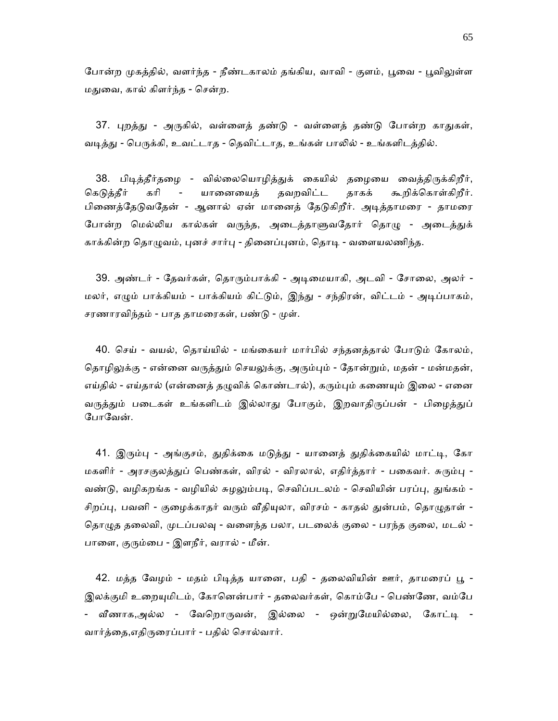போன்ற முகத்தில், வளர்ந்த - நீண்டகாலம் தங்கிய, வாவி - குளம், பூவை - பூவிலுள்ள மதுவை, கால் கிளர்ந்த - சென்ற.

37. புறத்து - அருகில், வள்ளைத் தண்டு - வள்ளைத் தண்டு போன்ற காதுகள், வடித்து - பெருக்கி, உவட்டாத - தெவிட்டாத, உங்கள் பாலில் - உங்களிடத்தில்.

38. பிடித்தீர்தழை - வில்லையொழித்துக் கையில் தழையை வைத்திருக்கிறீர், கெடுத்தீர் கரி - யானையைத் தவறவிட்ட தாகக் கூறிக்கொள்கிறீர். பிணைத்தேடுவதேன் - ஆனால் ஏன் மானைத் தேடுகிறீர். அடித்தாமரை - தாமரை போன்ற மெல்லிய கால்கள் வருந்த, அடைத்தாளுவதோர் தொழு - அடைத்துக் காக்கின்ற தொழுவம், புனச் சார்பு - தினைப்புனம், தொடி - வளையலணிந்த.

39. அண்டர் - தேவர்கள், தொரும்பாக்கி - அடிமையாகி, அடவி - சோலை, அலர் -மலர், எழும் பாக்கியம் - பாக்கியம் கிட்டும், இந்து - சந்திரன், விட்டம் - அடிப்பாகம், சரணாரவிந்தம் - பாத தாமரைகள், பண்டு - முள்.

40. செய் - வயல், தொய்யில் - மங்கையர் மார்பில் சந்தனத்தால் போடும் கோலம், தொழிலுக்கு - என்னை வருத்தும் செயலுக்கு, அரும்பும் - தோன்றும், மதன் - மன்மதன், எய்தில் - எய்தால் (என்னைத் தழுவிக் கொண்டால்), கரும்பும் கணையும் இலை - எனை வருத்தும் படைகள் உங்களிடம் இல்லாது போகும், இறவாதிருப்பன் - பிழைத்துப் போவேன்.

41. இரும்பு - அங்குசம், துதிக்கை மடுத்து - யானைத் துதிக்கையில் மாட்டி, கோ மகளிர் - அரசகுலத்துப் பெண்கள், விரல் - விரலால், எதிர்த்தார் - பகைவர். சுரும்பு -வண்டு, வழிகறங்க - வழியில் சுழலும்படி, செவிப்படலம் - செவியின் பரப்பு, துங்கம் -சிறப்பு, பவனி - குழைக்காதர் வரும் வீதியுலா, விரசம் - காதல் துன்பம், தொழுதாள் -தொழுத தலைவி, முடப்பலவு - வளைந்த பலா, படலைக் குலை - பரந்த குலை, மடல் -பாளை, குரும்பை - இளநீர், வரால் - மீன்.

42. மத்த வேழம் - மதம் பிடித்த யானை, பதி - தலைவியின் ஊர், தாமரைப் பூ -இலக்குமி உறையுமிடம், கோனென்பார் - தலைவர்கள், கொம்பே - பெண்ணே, வம்பே - வீணாக,அல்ல - வேறொருவன், இல்லை - ஒன்றுமேயில்லை, கோட்டி -வார்த்தை,எதிருரைப்பார் - பதில் சொல்வார்.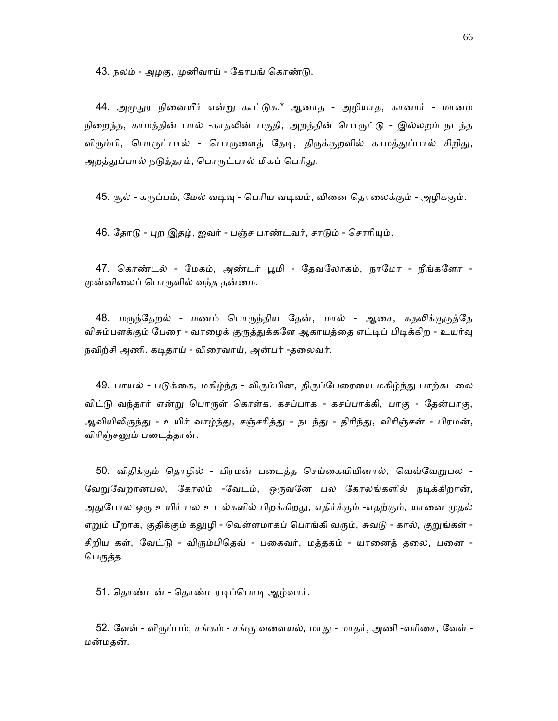43. நலம் - அமகு, முனிவாய் - கோபங் கொண்டு.

44. அமுதுர நினையீர் என்று கூட்டுக.\* ஆனாத - அழியாத, கானார் - மானம் நிறைந்த, காமத்தின் பால் -காதலின் பகுதி, அறத்தின் பொருட்டு - இல்லறம் நடத்த விரும்பி, பொருட்பால் - பொருளைத் தேடி, திருக்குறளில் காமத்துப்பால் சிறிது, அறத்துப்பால் நடுத்தரம், பொருட்பால் மிகப் பெரிது.

45. சூல் - கருப்பம், மேல் வடிவு - பெரிய வடிவம், வினை தொலைக்கும் - அழிக்கும்.

46. தோடு - புற இதழ், ஐவர் - பஞ்ச பாண்டவர், சாடும் - சொரியும்.

47. கொண்டல் - மேகம், அண்டர் பூமி - தேவலோகம், நாமோ - நீங்களோ -முன்னிலைப் பொருளில் வந்த தன்மை.

48. மருந்தேறல் - மணம் பொருந்திய தேன், மால் - ஆசை, கதலிக்குருத்தே விசும்பளக்கும் பேரை - வாழைக் குருத்துக்களே ஆகாயத்தை எட்டிப் பிடிக்கிற - உயர்வு நவிற்சி அணி. கடிதாய் - விரைவாய், அன்பர் -தலைவர்.

49. பாயல் - படுக்கை, மகிழ்ந்த - விரும்பின, திருப்பேரையை மகிழ்ந்து பாற்கடலை விட்டு வந்தார் என்று பொருள் கொள்க. கசப்பாக - கசப்பாக்கி, பாகு - தேன்பாகு, ஆவியிலிருந்து - உயிர் வாழ்ந்து, சஞ்சரித்து - நடந்து - திரிந்து, விரிஞ்சன் - பிரமன், விாிஞ்சᾔம் பைடத்தான்.

50. விதிக்கும் தொழில் - பிரமன் படைத்த செய்கையியினால், வெவ்வேறுபல -வேறுவேறானபல, கோலம் -வேடம், ஒருவனே பல கோலங்களில் நடிக்கிறான், அதுபோல ஒரு உயிர் பல உடல்களில் பிறக்கிறது, எதிர்க்கும் -எதற்கும், யானை முதல் எறும் பீறாக, குதிக்கும் கலுழி - வெள்ளமாகப் பொங்கி வரும், சுவடு - கால், குறுங்கள் -சிறிய கள், வேட்டு - விரும்பிதெவ் - பகைவர், மத்தகம் - யானைத் தலை, பனை -பெருத்த.

51. தொண்டன் - தொண்டரடிப்பொடி ஆழ்வார்.

52. வேள் - விருப்பம், சங்கம் - சங்கு வளையல், மாது - மாதர், அணி -வரிசை, வேள் -மன்மதன்.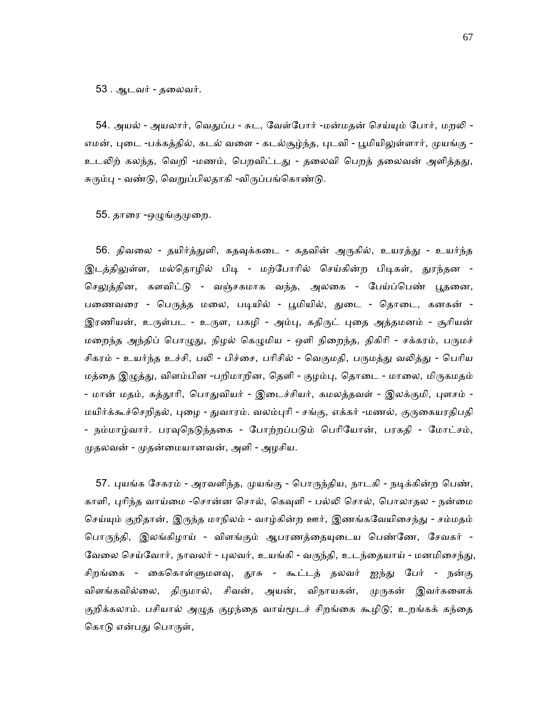53 . ஆடவர் - தைலவர்.

54. அயல் - அயலார், வெதுப்ப - சுட, வேள்போர் -மன்மதன் செய்யும் போர், மறலி -எமன், புடை -பக்கத்தில், கடல் வளை - கடல்சூழ்ந்த, புடவி - பூமியிலுள்ளார், முயங்கு -உடலிற் கலந்த, வெறி -மணம், பெறவிட்டது - தலைவி பெறத் தலைவன் அளித்தது, சுரும்பு - வண்டு, வெறுப்பிலதாகி -விருப்பங்கொண்டு.

55. தாரை -ஒழுங்குமுறை.

56. திவலை - தயிர்த்துளி, கதவுக்கடை - கதவின் அருகில், உயரத்து - உயர்ந்த இடத்திலுள்ள, மல்தொழில் பிடி - மற்போரில் செய்கின்ற பிடிகள், துரந்தன -செலுத்தின, களவிட்டு - வஞ்சகமாக வந்த, அலகை - பேய்ப்பெண் பூதனை, பணைவரை - பெருத்த மலை, படியில் - பூமியில், துடை - தொடை, கனகன் -இரணியன், உருள்பட - உருள, பகழி - அம்பு, கதிருட் புதை அத்தமனம் - சூரியன் மறைந்த அந்திப் பொழுது, நிழல் கெழுமிய - ஒளி நிறைந்த, திகிரி - சக்கரம், பருமச் சிகரம் - உயர்ந்த உச்சி, பலி - பிச்சை, பரிசில் - வெகுமதி, பருமத்து வலித்து - பெரிய மத்தை இழுத்து, விளம்பின -பறிமாறின, தெளி - குழம்பு, தொடை - மாலை, மிருகமதம் - மான் மதம், கத்தூரி, பொதுவியர் - இடைச்சியர், கமலத்தவள் - இலக்குமி, புளசம் -மயிர்க்கூச்செறிதல், புழை - துவாரம். வலம்புரி - சங்கு, எக்கர் -மணல், குருகையரதிபதி - நம்மாழ்வார். பரவுநெடுந்தகை - போற்றப்படும் பெரியோன், பரகதி - மோட்சம், முதலவன் - முதன்மையானவன், அளி - அழசிய.

57. புயங்க சேகரம் - அரவளிந்த, முயங்கு - பொருந்திய, நாடகி - நடிக்கின்ற பெண், காளி, புரிந்த வாய்மை -சொன்ன சொல், கெவுளி - பல்லி சொல், பொலாதல - நன்மை செய்யும் குறிதான், இருந்த மாநிலம் - வாழ்கின்ற ஊர், இணங்கவேயிசைந்து - சம்மதம் பொருந்தி, இலங்கிழாய் - விளங்கும் ஆபரணத்தையுடைய பெண்ணே, சேவகர் -வேலை செய்வோர், நாவலர் - புலவர், உயங்கி - வருந்தி, உடந்தையாய் - மனமிசைந்து, சிறங்கை - கைகொள்ளுமளவு, தூசு - கூட்டத் தலவர் ஐந்து பேர் - நன்கு விளங்கவில்லை, திருமால், சிவன், அயன், விநாயகன், முருகன் இவர்களைக் குறிக்கலாம். பசியால் அழுத குழந்தை வாய்மூடச் சிறங்கை கூழிடு; உறங்கக் கந்தை கொடு என்பது பொருள்,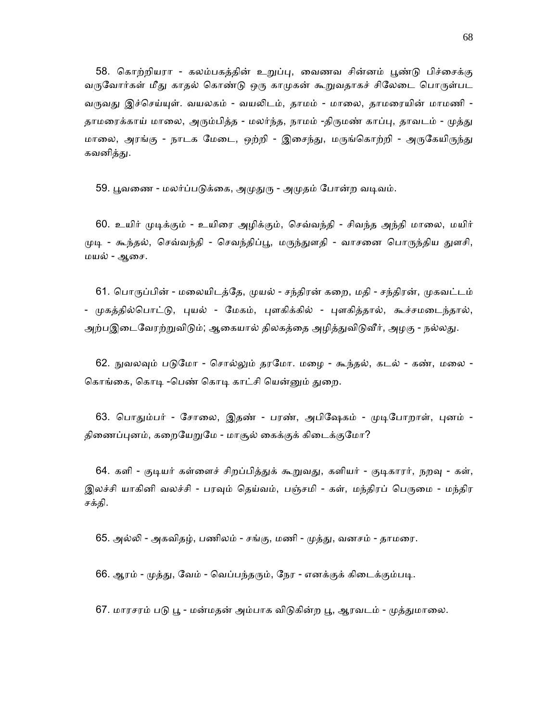58. கொற்றியரா - கலம்பகக்கின் உறுப்பு, வைணவ சின்னம் புண்டு பிச்சைக்கு வருவோர்கள் மீது காதல் கொண்டு ஒரு காமுகன் கூறுவதாகச் சிலேடை பொருள்பட வருவது இச்செய்யுள். வயலகம் - வயலிடம், தாமம் - மாலை, தாமரையின் மாமணி -தாமரைக்காய் மாலை, அரும்பித்த - மலர்ந்த, நாமம் -திருமண் காப்பு, தாவடம் - முத்து மாலை, அரங்கு - நாடக மேடை, ஒற்றி - இசைந்து, மருங்கொற்றி - அருகேயிருந்து கவனித்து.

59. பூவணை - மலர்ப்படுக்கை, அமுதுரு - அமுதம் போன்ற வடிவம்.

60. உயிர் முடிக்கும் - உயிரை அழிக்கும், செவ்வந்தி - சிவந்த அந்தி மாலை, மயிர் முடி - கூந்தல், செவ்வந்தி - செவந்திப்பூ, மருந்துளதி - வாசனை பொருந்திய துளசி, மயல் - ஆைச.

61. பொருப்பின் - மலையிடத்தே, முயல் - சந்திரன் கறை, மதி - சந்திரன், முகவட்டம் - முகத்தில்பொட்டு, புயல் - மேகம், புளகிக்கில் - புளகித்தால், கூச்சமடைந்தால், அற்பஇடைவேரற்றுவிடும்; ஆகையால் திலகத்தை அழித்துவிடுவீர், அழகு - நல்லது.

62. நுவலவும் படுமோ - சொல்லும் தரமோ. மழை - கூந்தல், கடல் - கண், மலை -கொங்கை, கொடி -பெண் கொடி காட்சி யென்னும் துறை.

63. பொதும்பர் - சோலை, இதண் - பரண், அபிஷேகம் - முடிபோறாள், புனம் -திணைப்புனம், கறையேறுமே - மாசூல் கைக்குக் கிடைக்குமோ?

64. களி - குடியர் கள்ளைச் சிறப்பித்துக் கூறுவது, களியர் - குடிகாரர், நறவு - கள், இலச்சி யாகினி வலச்சி - பரவும் தெய்வம், பஞ்சமி - கள், மந்திரப் பெருமை - மந்திர சக்தி.

65. அல்லி - அகவிதழ், பணிலம் - சங்கு, மணி - முத்து, வனசம் - தாமரை.

66. ஆரம் - முத்து, வேம் - வெப்பந்தரும், நேர - எனக்குக் கிடைக்கும்படி.

67. மாரசரம் படு பூ - மன்மதன் அம்பாக விடுகின்ற பூ, ஆரவடம் - முத்துமாலை.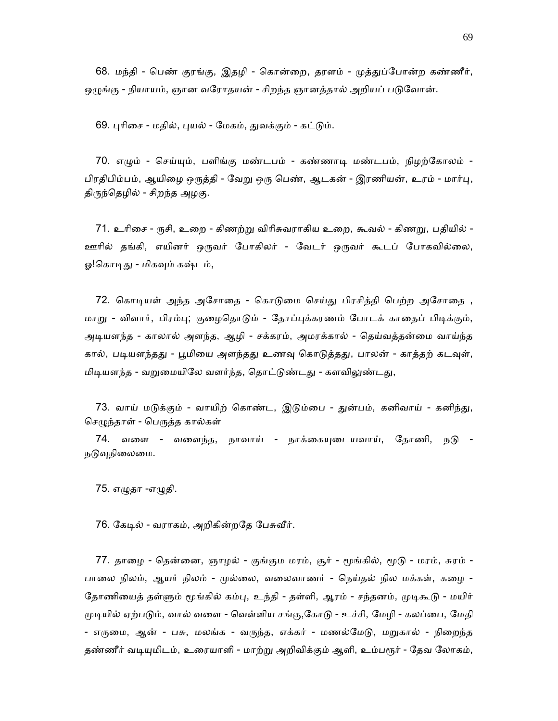68. மந்தி - பெண் குரங்கு, இதழி - கொன்றை, தரளம் - முத்துப்போன்ற கண்ணீர், ஒழுங்கு - நியாயம், ஞான வரோதயன் - சிறந்த ஞானத்தால் அறியப் படுவோன்.

69. புரிசை - மதில், புயல் - மேகம், துவக்கும் - கட்டும்.

70. எழும் - செய்யும், பளிங்கு மண்டபம் - கண்ணாடி மண்டபம், நிழற்கோலம் -பிரதிபிம்பம், ஆயிழை ஒருத்தி - வேறு ஒரு பெண், ஆடகன் - இரணியன், உரம் - மார்பு, திருந்தெழில் - சிறந்த அழகு.

 71. உாிைச - ᾞசி, உைற - கிணற்ᾠ விாிசுவராகிய உைற, கூவல் - கிணᾠ, பதியில் - ஊாில் தங்கி, எயினர் ஒᾞவர் ேபாகிலர் - ேவடர் ஒᾞவர் கூடப் ேபாகவில்ைல, ஓ!கொடிது - மிகவும் கஷ்டம்,

72. கொடியள் அந்த அசோதை - கொடுமை செய்து பிரசித்தி பெற்ற அசோதை , மாறு - விளார், பிரம்பு; குழைதொடும் - தோப்புக்கரணம் போடக் காதைப் பிடிக்கும், அடியளந்த - காலால் அளந்த, ஆழி - சக்கரம், அமரக்கால் - தெய்வத்தன்மை வாய்ந்த கால், படியளந்தது - பூமியை அளந்தது உணவு கொடுத்தது, பாலன் - காத்தற் கடவுள், மிடியளந்த - வறுமையிலே வளர்ந்த, தொட்டுண்டது - களவிலுண்டது,

73. வாய் மடுக்கும் - வாயிற் கொண்ட, இடும்பை - துன்பம், கனிவாய் - கனிந்து, செழுந்தாள் - பெருத்த கால்கள்

74. வளை - வளைந்த, நாவாய் - நாக்கையுடையவாய், தோணி, நடு -நடுவுநிலைமை.

75. எᾨதா -எᾨதி.

76. கேடில் - வராகம், அறிகின்றதே பேசுவீர்.

77. தாழை - தென்னை, ஞாழல் - குங்கும மரம், சூர் - மூங்கில், மூடு - மரம், சுரம் -பாலை நிலம், ஆயர் நிலம் - முல்லை, வலைவாணர் - நெய்தல் நில மக்கள், கழை -தோணியைத் தள்ளும் மூங்கில் கம்பு, உந்தி - தள்ளி, ஆரம் - சந்தனம், முடிகூடு - மயிர் முடியில் ஏற்படும், வால் வளை - வெள்ளிய சங்கு,கோடு - உச்சி, மேழி - கலப்பை, மேதி - எருமை, ஆன் - பசு, மலங்க - வருந்த, எக்கர் - மணல்மேடு, மறுகால் - நிறைந்த தண்ணீர் வடியுமிடம், உரையாளி - மாற்று அறிவிக்கும் ஆளி, உம்பரூர் - தேவ லோகம்,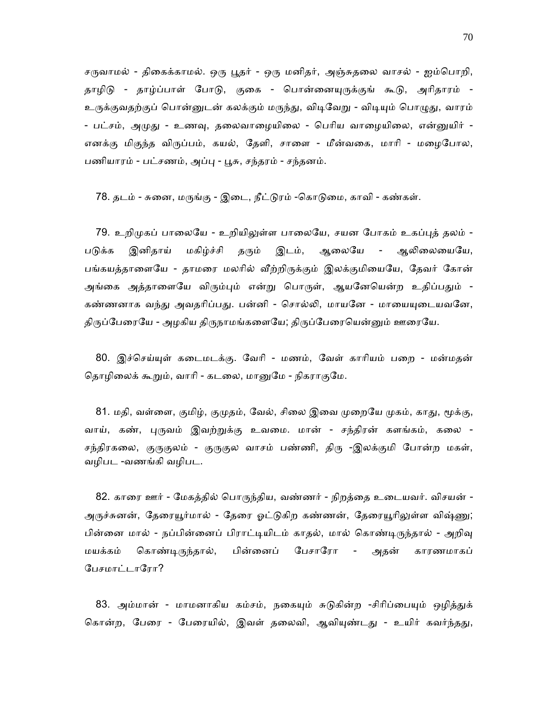சருவாமல் - திகைக்காமல். ஒரு பூதர் - ஒரு மனிதர், அஞ்சுதலை வாசல் - ஐம்பொறி, தாழிடு - தாழ்ப்பாள் போடு, குகை - பொன்னையுருக்குங் கூடு, அரிதாரம் -உருக்குவதற்குப் பொன்னுடன் கலக்கும் மருந்து, விடிவேறு - விடியும் பொழுது, வாரம் - பட்சம், அமுது - உணவு, தலைவாழையிலை - பெரிய வாழையிலை, என்னுயிர் -எனக்கு மிகுந்த விருப்பம், கயல், தேளி, சாளை - மீன்வகை, மாரி - மழைபோல, பணியாரம் - பட்சணம், அப்பு - பூசு, சந்தரம் - சந்தனம்.

78. தடம் - சுனை, மருங்கு - இடை, நீட்டுரம் -கொடுமை, காவி - கண்கள்.

79. உறிமுகப் பாலையே - உறியிலுள்ள பாலையே, சயன போகம் உகப்புத் தலம் -படுக்க இனிதாய் மகிழ்ச்சி தரும் இடம், ஆலையே - ஆலிலையையே, பங்கயத்தாளையே - தாமரை மலரில் வீற்றிருக்கும் இலக்குமியையே, தேவர் கோன் அங்கை அத்தாளையே விரும்பும் என்று பொருள், ஆயனேயென்ற உதிப்பதும் -கண்ணனாக வந்து அவதரிப்பது. பன்னி - சொல்லி, மாயனே - மாயையுடையவனே, திருப்பேரையே - அழகிய திருநாமங்களையே; திருப்பேரையென்னும் ஊரையே.

80. இச்செய்யுள் கடைமடக்கு. வேரி - மணம், வேள் காரியம் பறை - மன்மதன் தொழிலைக் கூறும், வாரி - கடலை, மானுமே - நிகராகுமே.

81. மதி, வள்ளை, குமிழ், குமுதம், வேல், சிலை இவை முறையே முகம், காது, மூக்கு, வாய், கண், புருவம் இவற்றுக்கு உவமை. மான் - சந்திரன் களங்கம், கலை -சந்திரகலை, குருகுலம் - குருகுல வாசம் பண்ணி, திரு -இலக்குமி போன்ற மகள், வழிபட -வணங்கி வழிபட.

 82. காைர ஊர் - ேமகத்தில் ெபாᾞந்திய, வண்ணர் - நிறத்ைத உைடயவர். விசயன் - அருச்சுனன், தேரையூர்மால் - தேரை ஓட்டுகிற கண்ணன், தேரையூரிலுள்ள விஷ்ணு; பின்னை மால் - நப்பின்னைப் பிராட்டியிடம் காதல், மால் கொண்டிருந்தால் - அறிவு மயக்கம் ெகாண்ᾊᾞந்தால், பின்ைனப் ேபசாேரா - அதன் காரணமாகப் ேபசமாட்டாேரா?

83. அம்மான் - மாமனாகிய கம்சம், நகையும் சுடுகின்ற -சிரிப்பையும் ஒழித்துக் கொன்ற, பேரை - பேரையில், இவள் தலைவி, ஆவியுண்டது - உயிர் கவர்ந்தது,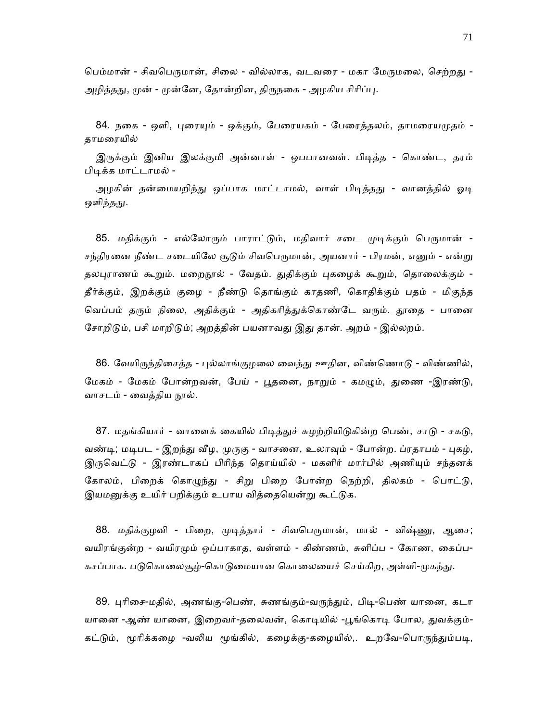பெம்மான் - சிவபெருமான், சிலை - வில்லாக, வடவரை - மகா மேருமலை, செற்றது -அழித்தது, முன் - முன்னே, தோன்றின, திருநகை - அழகிய சிரிப்பு.

84. நகை - ஒளி, புரையும் - ஒக்கும், பேரையகம் - பேரைத்தலம், தாமரையமுதம் -தாமைரயில்

இருக்கும் இனிய இலக்குமி அன்னாள் - ஒபபானவள். பிடித்த - கொண்ட, தரம் பிடிக்க மாட்டாமல் -

அழகின் தன்மையறிந்து ஒப்பாக மாட்டாமல், வாள் பிடித்தது - வானத்தில் ஓடி ஒளிந்தது.

85. மதிக்கும் - எல்லோரும் பாராட்டும், மதிவார் சடை முடிக்கும் பெருமான் -சந்திரனை நீண்ட சடையிலே சூடும் சிவபெருமான், அயனார் - பிரமன், எனும் - என்று தலபுராணம் கூறும். மறைநூல் - வேதம். துதிக்கும் புகழைக் கூறும், தொலைக்கும் -தீர்க்கும், இறக்கும் குைழ - நீண்ᾌ ெதாங்கும் காதணி, ெகாதிக்கும் பதம் - மிகுந்த வெப்பம் தரும் நிலை, அதிக்கும் - அதிகரித்துக்கொண்டே வரும். தூதை - பானை சோறிடும், பசி மாறிடும்; அறத்தின் பயனாவது இது தான். அறம் - இல்லறம்.

86. வேயிருந்திசைத்த - புல்லாங்குழலை வைத்து ஊதின, விண்ணொடு - விண்ணில், மேகம் - மேகம் போன்றவன், பேய் - புகனை, நாறும் - கமமும், துணை -இரண்டு, வாசடம் - வைத்திய நூல்.

87. மதங்கியார் - வாளைக் கையில் பிடித்துச் சுழற்றியிடுகின்ற பெண், சாடு - சகடு, வண்டி; மடிபட - இறந்து வீழ, முருகு - வாசனை, உலாவும் - போன்ற. ப்ரதாபம் - புகழ், இருவெட்டு - இரண்டாகப் பிரிந்த தொய்யில் - மகளிர் மார்பில் அணியும் சந்தனக் கோலம், பிறைக் கொழுந்து - சிறு பிறை போன்ற நெற்றி, திலகம் - பொட்டு, இயமனுக்கு உயிர் பறிக்கும் உபாய வித்தையென்று கூட்டுக.

88. மதிக்குழவி - பிறை, முடித்தார் - சிவபெருமான், மால் - விஷ்ணு, ஆசை; வயிரங்குன்ற - வயிரமும் ஒப்பாகாத, வள்ளம் - கிண்ணம், சுளிப்ப - கோண, கைப்ப-கசப்பாக. படுகொலைசூழ்-கொடுமையான கொலையைச் செய்கிற, அள்ளி-முகந்து.

89. புரிசை-மதில், அணங்கு-பெண், சுணங்கும்-வருந்தும், பிடி-பெண் யானை, கடா யானை -ஆண் யானை, இறைவர்-தலைவன், கொடியில் -பூங்கொடி போல, துவக்கும்-கட்டும், மூரிக்கழை -வலிய மூங்கில், கழைக்கு-கழையில்,. உறவே-பொருந்தும்படி,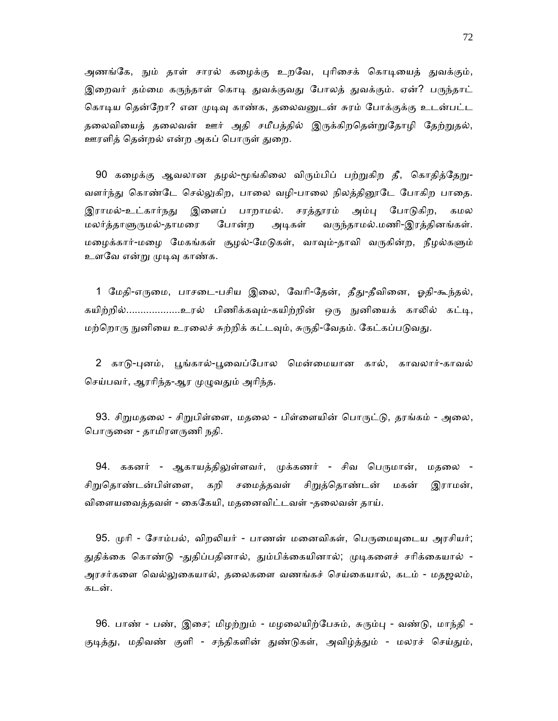அணங்கே, நும் தாள் சாரல் கழைக்கு உறவே, புரிசைக் கொடியைத் துவக்கும், இறைவர் தம்மை கருந்தாள் கொடி துவக்குவது போலத் துவக்கும். ஏன்? பருந்தாட் கொடிய தென்றோ? என முடிவு காண்க, தலைவனுடன் சுரம் போக்குக்கு உடன்பட்ட தலைவியைத் தலைவன் ஊர் அதி சமீபத்தில் இருக்கிறதென்றுதோழி தேற்றுதல், ஊரளித் தென்றல் என்ற அகப் பொருள் துறை.

90 கழைக்கு ஆவலான தழல்-மூங்கிலை விரும்பிப் பற்றுகிற தீ, கொதித்தேறு-வளர்ந்து கொண்டே செல்லுகிற, பாலை வழி-பாலை நிலத்தினூடே போகிற பாதை. இராமல்-உட்கார்நது இளைப் பாறாமல். சரத்தூரம் அம்பு போடுகிற, கமல மலர்த்தாᾦᾞமல்-தாமைர ேபான்ற அᾊகள் வᾞந்தாமல்.மணி-இரத்தினங்கள். மழைக்கார்-மழை மேகங்கள் சூழல்-மேடுகள், வாவும்-தாவி வருகின்ற, நீழல்களும் உளவே என்று முடிவு காண்க.

1 மேதி-எருமை, பாசடை-பசிய இலை, வேரி-தேன், தீது-தீவினை, ஓதி-கூந்தல், கயிற்றில்..................உரல் பிணிக்கவும்-கயிற்றின் ஒரு நுனியைக் காலில் கட்டி, மற்றொரு நுனியை உரலைச் சுற்றிக் கட்டவும், சுருதி-வேதம். கேட்கப்படுவது.

2 காடு-புனம், பூங்கால்-பூவைப்போல மென்மையான கால், காவலார்-காவல் செய்பவர், ஆரரிந்த-ஆர முழுவதும் அரிந்த.

93. சிறுமதலை - சிறுபிள்ளை, மதலை - பிள்ளையின் பொருட்டு, தரங்கம் - அலை, பொருனை - தாமிரளருணி நதி.

94. ககனர் - ஆகாயத்திலுள்ளவர், முக்கணர் - சிவ பெருமான், மதலை -சிறுதொண்டன்பிள்ளை, கறி சமைத்தவள் சிறுத்தொண்டன் மகன் இராமன், விைளயைவத்தவள் - ைகேகயி, மதைனவிட்டவள் -தைலவன் தாய்.

95. முரி - சோம்பல், விறலியர் - பாணன் மனைவிகள், பெருமையுடைய அரசியர்; துதிக்கை கொண்டு -துதிப்பதினால், தும்பிக்கையினால்; முடிகளைச் சரிக்கையால் -அரசர்கைள ெவல்ᾤைகயால், தைலகைள வணங்கச் ெசய்ைகயால், கடம் - மதஜலம், கடன்.

96. பாண் - பண், இசை; மிழற்றும் - மழலையிற்பேசும், சுரும்பு - வண்டு, மாந்தி -குடித்து, மதிவண் குளி - சந்திகளின் துண்டுகள், அவிழ்த்தும் - மலரச் செய்தும்,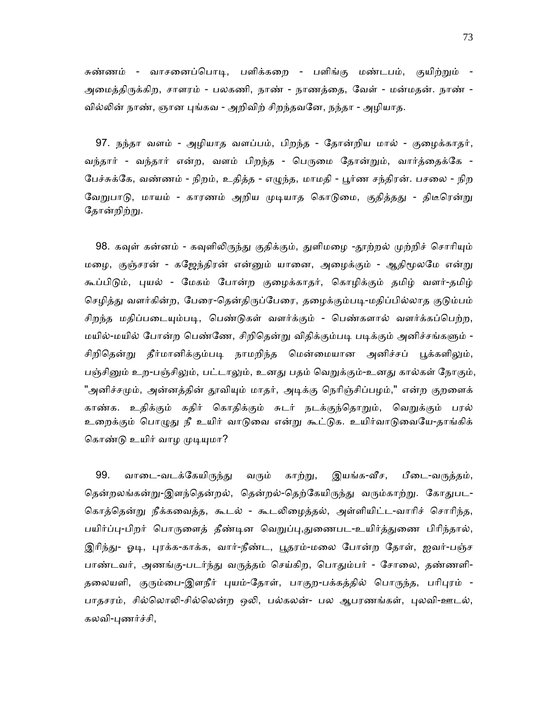சுண்ணம் - வாசனைப்பொடி, பளிக்கறை - பளிங்கு மண்டபம், குயிற்றும் -அைமத்திᾞக்கிற, சாளரம் - பலகணி, நாண் - நாணத்ைத, ேவள் - மன்மதன். நாண் - வில்லின் நாண், ஞான புங்கவ - அறிவிற் சிறந்தவனே, நந்தா - அழியாத.

 97. நந்தா வளம் - அழியாத வளப்பம், பிறந்த - ேதான்றிய மால் - குைழக்காதர், வந்தார் - வந்தார் என்ற, வளம் பிறந்த - பெருமை தோன்றும், வார்த்தைக்கே -ேபச்சுக்ேக, வண்ணம் - நிறம், உதித்த - எᾨந்த, மாமதி - ᾘர்ண சந்திரன். பசைல - நிற வேறுபாடு, மாயம் - காரணம் அறிய முடியாத கொடுமை, குதித்தது - திடீரென்று தோன்றிற்று.

98. கவுள் கன்னம் - கவுளிலிருந்து குதிக்கும், துளிமழை -தூற்றல் முற்றிச் சொரியும் மழை, குஞ்சரன் - கஜேந்திரன் என்னும் யானை, அழைக்கும் - ஆதிமூலமே என்று கூப்பிᾌம், ᾗயல் - ேமகம் ேபான்ற குைழக்காதர், ெகாழிக்கும் தமிழ் வளர்-தமிழ் செழித்து வளர்கின்ற, பேரை-தென்திருப்பேரை, தழைக்கும்படி-மதிப்பில்லாத குடும்பம் சிறந்த மதிப்படையும்படி, பெண்டுகள் வளர்க்கும் - பெண்களால் வளர்க்கப்பெற்ற, மயில்-மயில் போன்ற பெண்ணே, சிறிகென்று விதிக்கும்படி படிக்கும் அனிச்சங்களும் -சிறிதென்று தீர்மானிக்கும்படி நாமறிந்த மென்மையான அனிச்சப் பூக்களிலும், பஞ்சினும் உற-பஞ்சிலும், பட்டாலும், உனது பதம் வெறுக்கும்-உனது கால்கள் நோகும், "அனிச்சமும், அன்னத்தின் தூவியும் மாதர், அடிக்கு நெரிஞ்சிப்பழம்," என்ற குறளைக் காண்க. உதிக்கும் கதிர் கொதிக்கும் சுடர் நடக்குந்தொறும், வெறுக்கும் பரல் உறைக்கும் பொழுது நீ உயிர் வாடுவை என்று கூட்டுக. உயிர்வாடுவையே-தாங்கிக் கொண்டு உயிர் வாழ முடியுமா?

99. வாடை-வடக்கேயிருந்து வரும் காற்று, இயங்க-வீச, பீடை-வருத்தம், தென்றலங்கன்று-இளந்தென்றல், தென்றல்-தெற்கேயிருந்து வரும்காற்று. கோதுபட-ெகாத்ெதன்ᾠ நீக்கைவத்த, கூடல் - கூடᾢைழத்தல், அள்ளியிட்ட-வாாிச் ெசாாிந்த, பயிர்ப்பு-பிறர் பொருளைத் தீண்டின வெறுப்பு,துணைபட-உயிர்த்துணை பிரிந்தால், இரிந்து- ஓடி, புரக்க-காக்க, வார்-நீண்ட, பூதரம்-மலை போன்ற தோள், ஐவர்-பஞ்ச பாண்டவர், அணங்கு-படர்ந்து வருத்தம் செய்கிற, பொதும்பர் - சோலை, தண்ணளி-தலையளி, குரும்பை-இளநீர் புயம்-தோள், பாகுற-பக்கத்தில் பொருந்த, பரிபுரம் -பாதசரம், சில்லொலி-சில்லென்ற ஒலி, பல்கலன்- பல ஆபரணங்கள், புலவி-ஊடல், கலவி-ᾗணர்ச்சி,